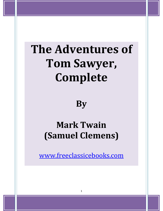# **The Adventures of Tom Sawyer, Complete**

**By** 

# **Mark Twain (Samuel Clemens)**

www.freeclassicebooks.com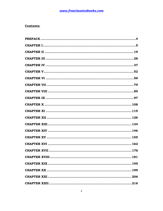### **Contents:**

| <b>CHAPTER XVIII</b> | 181 |
|----------------------|-----|
|                      |     |
|                      |     |
|                      |     |
|                      |     |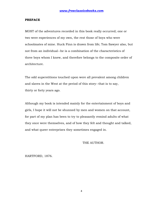#### **PREFACE**

MOST of the adventures recorded in this book really occurred; one or two were experiences of my own, the rest those of boys who were schoolmates of mine. Huck Finn is drawn from life; Tom Sawyer also, but not from an individual--he is a combination of the characteristics of three boys whom I knew, and therefore belongs to the composite order of architecture.

The odd superstitions touched upon were all prevalent among children and slaves in the West at the period of this story--that is to say, thirty or forty years ago.

Although my book is intended mainly for the entertainment of boys and girls, I hope it will not be shunned by men and women on that account, for part of my plan has been to try to pleasantly remind adults of what they once were themselves, and of how they felt and thought and talked, and what queer enterprises they sometimes engaged in.

THE AUTHOR.

HARTFORD, 1876.

4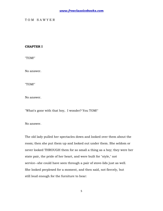#### T O M S A W Y E R

#### **CHAPTER I**

"TOM!"

No answer.

"TOM!"

No answer.

"What's gone with that boy, I wonder? You TOM!"

No answer.

The old lady pulled her spectacles down and looked over them about the room; then she put them up and looked out under them. She seldom or never looked THROUGH them for so small a thing as a boy; they were her state pair, the pride of her heart, and were built for "style," not service--she could have seen through a pair of stove-lids just as well. She looked perplexed for a moment, and then said, not fiercely, but still loud enough for the furniture to hear: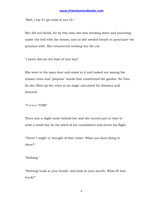"Well, I lay if I get hold of you I'll--"

She did not finish, for by this time she was bending down and punching under the bed with the broom, and so she needed breath to punctuate the punches with. She resurrected nothing but the cat.

"I never did see the beat of that boy!"

She went to the open door and stood in it and looked out among the tomato vines and "jimpson" weeds that constituted the garden. No Tom. So she lifted up her voice at an angle calculated for distance and shouted:

#### "Y-o-u-u TOM!"

There was a slight noise behind her and she turned just in time to seize a small boy by the slack of his roundabout and arrest his flight.

"There! I might 'a' thought of that closet. What you been doing in there?"

"Nothing."

"Nothing! Look at your hands. And look at your mouth. What IS that truck?"

6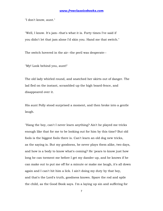"I don't know, aunt."

"Well, I know. It's jam--that's what it is. Forty times I've said if you didn't let that jam alone I'd skin you. Hand me that switch."

The switch hovered in the air--the peril was desperate--

"My! Look behind you, aunt!"

The old lady whirled round, and snatched her skirts out of danger. The lad fled on the instant, scrambled up the high board-fence, and disappeared over it.

His aunt Polly stood surprised a moment, and then broke into a gentle laugh.

"Hang the boy, can't I never learn anything? Ain't he played me tricks enough like that for me to be looking out for him by this time? But old fools is the biggest fools there is. Can't learn an old dog new tricks, as the saying is. But my goodness, he never plays them alike, two days, and how is a body to know what's coming? He 'pears to know just how long he can torment me before I get my dander up, and he knows if he can make out to put me off for a minute or make me laugh, it's all down again and I can't hit him a lick. I ain't doing my duty by that boy, and that's the Lord's truth, goodness knows. Spare the rod and spile the child, as the Good Book says. I'm a laying up sin and suffering for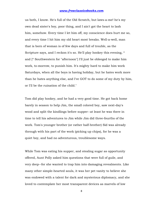us both, I know. He's full of the Old Scratch, but laws-a-me! he's my own dead sister's boy, poor thing, and I ain't got the heart to lash him, somehow. Every time I let him off, my conscience does hurt me so, and every time I hit him my old heart most breaks. Well-a-well, man that is born of woman is of few days and full of trouble, as the Scripture says, and I reckon it's so. He'll play hookey this evening, \* and [\* Southwestern for "afternoon"] I'll just be obleeged to make him work, to-morrow, to punish him. It's mighty hard to make him work Saturdays, when all the boys is having holiday, but he hates work more than he hates anything else, and I've GOT to do some of my duty by him, or I'll be the ruination of the child."

Tom did play hookey, and he had a very good time. He got back home barely in season to help Jim, the small colored boy, saw next-day's wood and split the kindlings before supper--at least he was there in time to tell his adventures to Jim while Jim did three-fourths of the work. Tom's younger brother (or rather half-brother) Sid was already through with his part of the work (picking up chips), for he was a quiet boy, and had no adventurous, troublesome ways.

While Tom was eating his supper, and stealing sugar as opportunity offered, Aunt Polly asked him questions that were full of guile, and very deep--for she wanted to trap him into damaging revealments. Like many other simple-hearted souls, it was her pet vanity to believe she was endowed with a talent for dark and mysterious diplomacy, and she loved to contemplate her most transparent devices as marvels of low

8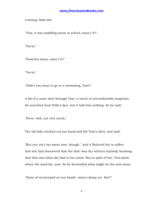cunning. Said she:

"Tom, it was middling warm in school, warn't it?"

"Yes'm."

"Powerful warm, warn't it?"

"Yes'm."

"Didn't you want to go in a-swimming, Tom?"

A bit of a scare shot through Tom--a touch of uncomfortable suspicion. He searched Aunt Polly's face, but it told him nothing. So he said:

"No'm--well, not very much."

The old lady reached out her hand and felt Tom's shirt, and said:

"But you ain't too warm now, though." And it flattered her to reflect that she had discovered that the shirt was dry without anybody knowing that that was what she had in her mind. But in spite of her, Tom knew where the wind lay, now. So he forestalled what might be the next move:

"Some of us pumped on our heads--mine's damp yet. See?"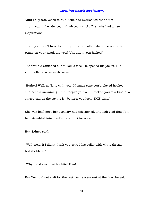Aunt Polly was vexed to think she had overlooked that bit of circumstantial evidence, and missed a trick. Then she had a new inspiration:

"Tom, you didn't have to undo your shirt collar where I sewed it, to pump on your head, did you? Unbutton your jacket!"

The trouble vanished out of Tom's face. He opened his jacket. His shirt collar was securely sewed.

"Bother! Well, go 'long with you. I'd made sure you'd played hookey and been a-swimming. But I forgive ye, Tom. I reckon you're a kind of a singed cat, as the saying is--better'n you look. THIS time."

She was half sorry her sagacity had miscarried, and half glad that Tom had stumbled into obedient conduct for once.

But Sidney said:

"Well, now, if I didn't think you sewed his collar with white thread, but it's black."

"Why, I did sew it with white! Tom!"

But Tom did not wait for the rest. As he went out at the door he said: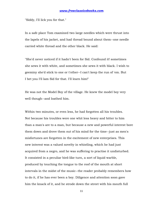"Siddy, I'll lick you for that."

In a safe place Tom examined two large needles which were thrust into the lapels of his jacket, and had thread bound about them--one needle carried white thread and the other black. He said:

"She'd never noticed if it hadn't been for Sid. Confound it! sometimes she sews it with white, and sometimes she sews it with black. I wish to geeminy she'd stick to one or t'other--I can't keep the run of 'em. But I bet you I'll lam Sid for that. I'll learn him!"

He was not the Model Boy of the village. He knew the model boy very well though--and loathed him.

Within two minutes, or even less, he had forgotten all his troubles. Not because his troubles were one whit less heavy and bitter to him than a man's are to a man, but because a new and powerful interest bore them down and drove them out of his mind for the time--just as men's misfortunes are forgotten in the excitement of new enterprises. This new interest was a valued novelty in whistling, which he had just acquired from a negro, and he was suffering to practise it undisturbed. It consisted in a peculiar bird-like turn, a sort of liquid warble, produced by touching the tongue to the roof of the mouth at short intervals in the midst of the music--the reader probably remembers how to do it, if he has ever been a boy. Diligence and attention soon gave him the knack of it, and he strode down the street with his mouth full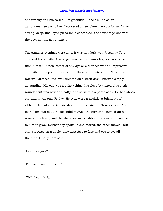of harmony and his soul full of gratitude. He felt much as an astronomer feels who has discovered a new planet--no doubt, as far as strong, deep, unalloyed pleasure is concerned, the advantage was with the boy, not the astronomer.

The summer evenings were long. It was not dark, yet. Presently Tom checked his whistle. A stranger was before him--a boy a shade larger than himself. A new-comer of any age or either sex was an impressive curiosity in the poor little shabby village of St. Petersburg. This boy was well dressed, too--well dressed on a week-day. This was simply astounding. His cap was a dainty thing, his close-buttoned blue cloth roundabout was new and natty, and so were his pantaloons. He had shoes on--and it was only Friday. He even wore a necktie, a bright bit of ribbon. He had a citified air about him that ate into Tom's vitals. The more Tom stared at the splendid marvel, the higher he turned up his nose at his finery and the shabbier and shabbier his own outfit seemed to him to grow. Neither boy spoke. If one moved, the other moved--but only sidewise, in a circle; they kept face to face and eye to eye all the time. Finally Tom said:

"I can lick you!"

"I'd like to see you try it."

"Well, I can do it."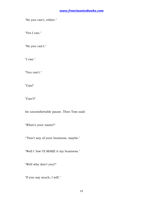"No you can't, either."

"Yes I can."

"No you can't."

"I can."

"You can't."

"Can!"

"Can't!"

An uncomfortable pause. Then Tom said:

"What's your name?"

"'Tisn't any of your business, maybe."

"Well I 'low I'll MAKE it my business."

"Well why don't you?"

"If you say much, I will."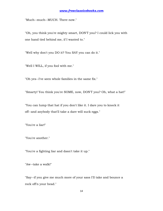"Much--much--MUCH. There now."

"Oh, you think you're mighty smart, DON'T you? I could lick you with one hand tied behind me, if I wanted to."

"Well why don't you DO it? You SAY you can do it."

"Well I WILL, if you fool with me."

"Oh yes--I've seen whole families in the same fix."

"Smarty! You think you're SOME, now, DON'T you? Oh, what a hat!"

"You can lump that hat if you don't like it. I dare you to knock it off--and anybody that'll take a dare will suck eggs."

"You're a liar!"

"You're another."

"You're a fighting liar and dasn't take it up."

"Aw--take a walk!"

"Say--if you give me much more of your sass I'll take and bounce a rock off'n your head."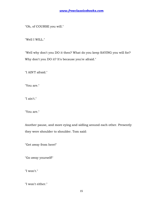"Oh, of COURSE you will."

"Well I WILL."

"Well why don't you DO it then? What do you keep SAYING you will for? Why don't you DO it? It's because you're afraid."

"I AIN'T afraid."

"You are."

"I ain't."

"You are."

Another pause, and more eying and sidling around each other. Presently they were shoulder to shoulder. Tom said:

"Get away from here!"

"Go away yourself!"

"I won't."

"I won't either."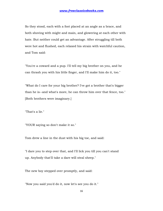So they stood, each with a foot placed at an angle as a brace, and both shoving with might and main, and glowering at each other with hate. But neither could get an advantage. After struggling till both were hot and flushed, each relaxed his strain with watchful caution, and Tom said:

"You're a coward and a pup. I'll tell my big brother on you, and he can thrash you with his little finger, and I'll make him do it, too."

"What do I care for your big brother? I've got a brother that's bigger than he is--and what's more, he can throw him over that fence, too." [Both brothers were imaginary.]

"That's a lie."

"YOUR saying so don't make it so."

Tom drew a line in the dust with his big toe, and said:

"I dare you to step over that, and I'll lick you till you can't stand up. Anybody that'll take a dare will steal sheep."

The new boy stepped over promptly, and said:

"Now you said you'd do it, now let's see you do it."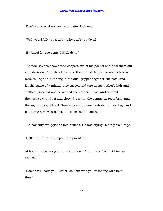"Don't you crowd me now; you better look out."

"Well, you SAID you'd do it--why don't you do it?"

"By jingo! for two cents I WILL do it."

The new boy took two broad coppers out of his pocket and held them out with derision. Tom struck them to the ground. In an instant both boys were rolling and tumbling in the dirt, gripped together like cats; and for the space of a minute they tugged and tore at each other's hair and clothes, punched and scratched each other's nose, and covered themselves with dust and glory. Presently the confusion took form, and through the fog of battle Tom appeared, seated astride the new boy, and pounding him with his fists. "Holler 'nuff!" said he.

The boy only struggled to free himself. He was crying--mainly from rage.

"Holler 'nuff!"--and the pounding went on.

At last the stranger got out a smothered "'Nuff!" and Tom let him up and said:

"Now that'll learn you. Better look out who you're fooling with next time."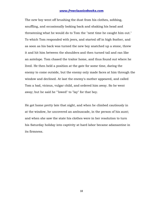The new boy went off brushing the dust from his clothes, sobbing, snuffling, and occasionally looking back and shaking his head and threatening what he would do to Tom the "next time he caught him out." To which Tom responded with jeers, and started off in high feather, and as soon as his back was turned the new boy snatched up a stone, threw it and hit him between the shoulders and then turned tail and ran like an antelope. Tom chased the traitor home, and thus found out where he lived. He then held a position at the gate for some time, daring the enemy to come outside, but the enemy only made faces at him through the window and declined. At last the enemy's mother appeared, and called Tom a bad, vicious, vulgar child, and ordered him away. So he went away; but he said he "'lowed" to "lay" for that boy.

He got home pretty late that night, and when he climbed cautiously in at the window, he uncovered an ambuscade, in the person of his aunt; and when she saw the state his clothes were in her resolution to turn his Saturday holiday into captivity at hard labor became adamantine in its firmness.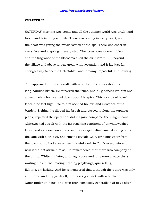#### **CHAPTER II**

SATURDAY morning was come, and all the summer world was bright and fresh, and brimming with life. There was a song in every heart; and if the heart was young the music issued at the lips. There was cheer in every face and a spring in every step. The locust-trees were in bloom and the fragrance of the blossoms filled the air. Cardiff Hill, beyond the village and above it, was green with vegetation and it lay just far enough away to seem a Delectable Land, dreamy, reposeful, and inviting.

Tom appeared on the sidewalk with a bucket of whitewash and a long-handled brush. He surveyed the fence, and all gladness left him and a deep melancholy settled down upon his spirit. Thirty yards of board fence nine feet high. Life to him seemed hollow, and existence but a burden. Sighing, he dipped his brush and passed it along the topmost plank; repeated the operation; did it again; compared the insignificant whitewashed streak with the far-reaching continent of unwhitewashed fence, and sat down on a tree-box discouraged. Jim came skipping out at the gate with a tin pail, and singing Buffalo Gals. Bringing water from the town pump had always been hateful work in Tom's eyes, before, but now it did not strike him so. He remembered that there was company at the pump. White, mulatto, and negro boys and girls were always there waiting their turns, resting, trading playthings, quarrelling, fighting, skylarking. And he remembered that although the pump was only a hundred and fifty yards off, Jim never got back with a bucket of water under an hour--and even then somebody generally had to go after

19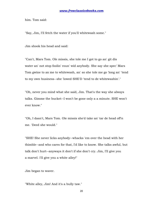him. Tom said:

"Say, Jim, I'll fetch the water if you'll whitewash some."

Jim shook his head and said:

"Can't, Mars Tom. Ole missis, she tole me I got to go an' git dis water an' not stop foolin' roun' wid anybody. She say she spec' Mars Tom gwine to ax me to whitewash, an' so she tole me go 'long an' 'tend to my own business--she 'lowed SHE'D 'tend to de whitewashin'."

"Oh, never you mind what she said, Jim. That's the way she always talks. Gimme the bucket--I won't be gone only a a minute. SHE won't ever know."

"Oh, I dasn't, Mars Tom. Ole missis she'd take an' tar de head off'n me. 'Deed she would."

"SHE! She never licks anybody--whacks 'em over the head with her thimble--and who cares for that, I'd like to know. She talks awful, but talk don't hurt--anyways it don't if she don't cry. Jim, I'll give you a marvel. I'll give you a white alley!"

Jim began to waver.

"White alley, Jim! And it's a bully taw."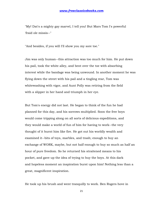"My! Dat's a mighty gay marvel, I tell you! But Mars Tom I's powerful 'fraid ole missis--"

"And besides, if you will I'll show you my sore toe."

Jim was only human--this attraction was too much for him. He put down his pail, took the white alley, and bent over the toe with absorbing interest while the bandage was being unwound. In another moment he was flying down the street with his pail and a tingling rear, Tom was whitewashing with vigor, and Aunt Polly was retiring from the field with a slipper in her hand and triumph in her eye.

But Tom's energy did not last. He began to think of the fun he had planned for this day, and his sorrows multiplied. Soon the free boys would come tripping along on all sorts of delicious expeditions, and they would make a world of fun of him for having to work--the very thought of it burnt him like fire. He got out his worldly wealth and examined it--bits of toys, marbles, and trash; enough to buy an exchange of WORK, maybe, but not half enough to buy so much as half an hour of pure freedom. So he returned his straitened means to his pocket, and gave up the idea of trying to buy the boys. At this dark and hopeless moment an inspiration burst upon him! Nothing less than a great, magnificent inspiration.

He took up his brush and went tranquilly to work. Ben Rogers hove in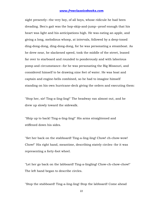sight presently--the very boy, of all boys, whose ridicule he had been dreading. Ben's gait was the hop-skip-and-jump--proof enough that his heart was light and his anticipations high. He was eating an apple, and giving a long, melodious whoop, at intervals, followed by a deep-toned ding-dong-dong, ding-dong-dong, for he was personating a steamboat. As he drew near, he slackened speed, took the middle of the street, leaned far over to starboard and rounded to ponderously and with laborious pomp and circumstance--for he was personating the Big Missouri, and considered himself to be drawing nine feet of water. He was boat and captain and engine-bells combined, so he had to imagine himself standing on his own hurricane-deck giving the orders and executing them:

"Stop her, sir! Ting-a-ling-ling!" The headway ran almost out, and he drew up slowly toward the sidewalk.

"Ship up to back! Ting-a-ling-ling!" His arms straightened and stiffened down his sides.

"Set her back on the stabboard! Ting-a-ling-ling! Chow! ch-chow-wow! Chow!" His right hand, meantime, describing stately circles--for it was representing a forty-foot wheel.

"Let her go back on the labboard! Ting-a-lingling! Chow-ch-chow-chow!" The left hand began to describe circles.

"Stop the stabboard! Ting-a-ling-ling! Stop the labboard! Come ahead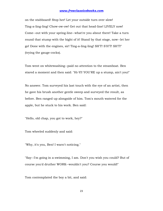on the stabboard! Stop her! Let your outside turn over slow! Ting-a-ling-ling! Chow-ow-ow! Get out that head-line! LIVELY now! Come--out with your spring-line--what're you about there! Take a turn round that stump with the bight of it! Stand by that stage, now--let her go! Done with the engines, sir! Ting-a-ling-ling! SH'T! S'H'T! SH'T!" (trying the gauge-cocks).

Tom went on whitewashing--paid no attention to the steamboat. Ben stared a moment and then said: "Hi-YI! YOU'RE up a stump, ain't you!"

No answer. Tom surveyed his last touch with the eye of an artist, then he gave his brush another gentle sweep and surveyed the result, as before. Ben ranged up alongside of him. Tom's mouth watered for the apple, but he stuck to his work. Ben said:

"Hello, old chap, you got to work, hey?"

Tom wheeled suddenly and said:

"Why, it's you, Ben! I warn't noticing."

"Say--I'm going in a-swimming, I am. Don't you wish you could? But of course you'd druther WORK--wouldn't you? Course you would!"

Tom contemplated the boy a bit, and said: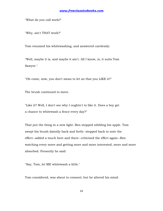"What do you call work?"

"Why, ain't THAT work?"

Tom resumed his whitewashing, and answered carelessly:

"Well, maybe it is, and maybe it ain't. All I know, is, it suits Tom Sawyer."

"Oh come, now, you don't mean to let on that you LIKE it?"

The brush continued to move.

"Like it? Well, I don't see why I oughtn't to like it. Does a boy get a chance to whitewash a fence every day?"

That put the thing in a new light. Ben stopped nibbling his apple. Tom swept his brush daintily back and forth--stepped back to note the effect--added a touch here and there--criticised the effect again--Ben watching every move and getting more and more interested, more and more absorbed. Presently he said:

"Say, Tom, let ME whitewash a little."

Tom considered, was about to consent; but he altered his mind: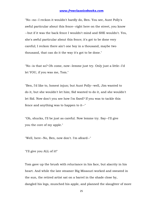"No--no--I reckon it wouldn't hardly do, Ben. You see, Aunt Polly's awful particular about this fence--right here on the street, you know --but if it was the back fence I wouldn't mind and SHE wouldn't. Yes, she's awful particular about this fence; it's got to be done very careful; I reckon there ain't one boy in a thousand, maybe two thousand, that can do it the way it's got to be done."

"No--is that so? Oh come, now--lemme just try. Only just a little--I'd let YOU, if you was me, Tom."

"Ben, I'd like to, honest injun; but Aunt Polly--well, Jim wanted to do it, but she wouldn't let him; Sid wanted to do it, and she wouldn't let Sid. Now don't you see how I'm fixed? If you was to tackle this fence and anything was to happen to it--"

"Oh, shucks, I'll be just as careful. Now lemme try. Say--I'll give you the core of my apple."

"Well, here--No, Ben, now don't. I'm afeard--"

"I'll give you ALL of it!"

Tom gave up the brush with reluctance in his face, but alacrity in his heart. And while the late steamer Big Missouri worked and sweated in the sun, the retired artist sat on a barrel in the shade close by, dangled his legs, munched his apple, and planned the slaughter of more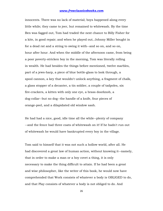innocents. There was no lack of material; boys happened along every little while; they came to jeer, but remained to whitewash. By the time Ben was fagged out, Tom had traded the next chance to Billy Fisher for a kite, in good repair; and when he played out, Johnny Miller bought in for a dead rat and a string to swing it with--and so on, and so on, hour after hour. And when the middle of the afternoon came, from being a poor poverty-stricken boy in the morning, Tom was literally rolling in wealth. He had besides the things before mentioned, twelve marbles, part of a jews-harp, a piece of blue bottle-glass to look through, a spool cannon, a key that wouldn't unlock anything, a fragment of chalk, a glass stopper of a decanter, a tin soldier, a couple of tadpoles, six fire-crackers, a kitten with only one eye, a brass doorknob, a dog-collar--but no dog--the handle of a knife, four pieces of orange-peel, and a dilapidated old window sash.

He had had a nice, good, idle time all the while--plenty of company --and the fence had three coats of whitewash on it! If he hadn't run out of whitewash he would have bankrupted every boy in the village.

Tom said to himself that it was not such a hollow world, after all. He had discovered a great law of human action, without knowing it--namely, that in order to make a man or a boy covet a thing, it is only necessary to make the thing difficult to attain. If he had been a great and wise philosopher, like the writer of this book, he would now have comprehended that Work consists of whatever a body is OBLIGED to do, and that Play consists of whatever a body is not obliged to do. And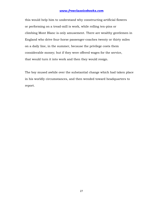this would help him to understand why constructing artificial flowers or performing on a tread-mill is work, while rolling ten-pins or climbing Mont Blanc is only amusement. There are wealthy gentlemen in England who drive four-horse passenger-coaches twenty or thirty miles on a daily line, in the summer, because the privilege costs them considerable money; but if they were offered wages for the service, that would turn it into work and then they would resign.

The boy mused awhile over the substantial change which had taken place in his worldly circumstances, and then wended toward headquarters to report.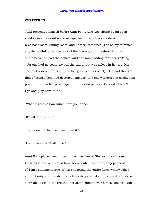#### **CHAPTER III**

TOM presented himself before Aunt Polly, who was sitting by an open window in a pleasant rearward apartment, which was bedroom, breakfast-room, dining-room, and library, combined. The balmy summer air, the restful quiet, the odor of the flowers, and the drowsing murmur of the bees had had their effect, and she was nodding over her knitting --for she had no company but the cat, and it was asleep in her lap. Her spectacles were propped up on her gray head for safety. She had thought that of course Tom had deserted long ago, and she wondered at seeing him place himself in her power again in this intrepid way. He said: "Mayn't I go and play now, aunt?"

"What, a'ready? How much have you done?"

"It's all done, aunt."

"Tom, don't lie to me--I can't bear it."

"I ain't, aunt; it IS all done."

Aunt Polly placed small trust in such evidence. She went out to see for herself; and she would have been content to find twenty per cent. of Tom's statement true. When she found the entire fence whitewashed, and not only whitewashed but elaborately coated and recoated, and even a streak added to the ground, her astonishment was almost unspeakable.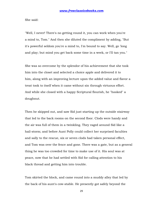She said:

"Well, I never! There's no getting round it, you can work when you're a mind to, Tom." And then she diluted the compliment by adding, "But it's powerful seldom you're a mind to, I'm bound to say. Well, go 'long and play; but mind you get back some time in a week, or I'll tan you."

She was so overcome by the splendor of his achievement that she took him into the closet and selected a choice apple and delivered it to him, along with an improving lecture upon the added value and flavor a treat took to itself when it came without sin through virtuous effort. And while she closed with a happy Scriptural flourish, he "hooked" a doughnut.

Then he skipped out, and saw Sid just starting up the outside stairway that led to the back rooms on the second floor. Clods were handy and the air was full of them in a twinkling. They raged around Sid like a hail-storm; and before Aunt Polly could collect her surprised faculties and sally to the rescue, six or seven clods had taken personal effect, and Tom was over the fence and gone. There was a gate, but as a general thing he was too crowded for time to make use of it. His soul was at peace, now that he had settled with Sid for calling attention to his black thread and getting him into trouble.

Tom skirted the block, and came round into a muddy alley that led by the back of his aunt's cow-stable. He presently got safely beyond the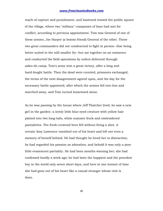reach of capture and punishment, and hastened toward the public square of the village, where two "military" companies of boys had met for conflict, according to previous appointment. Tom was General of one of these armies, Joe Harper (a bosom friend) General of the other. These two great commanders did not condescend to fight in person--that being better suited to the still smaller fry--but sat together on an eminence and conducted the field operations by orders delivered through aides-de-camp. Tom's army won a great victory, after a long and hard-fought battle. Then the dead were counted, prisoners exchanged, the terms of the next disagreement agreed upon, and the day for the necessary battle appointed; after which the armies fell into line and marched away, and Tom turned homeward alone.

As he was passing by the house where Jeff Thatcher lived, he saw a new girl in the garden--a lovely little blue-eyed creature with yellow hair plaited into two long-tails, white summer frock and embroidered pantalettes. The fresh-crowned hero fell without firing a shot. A certain Amy Lawrence vanished out of his heart and left not even a memory of herself behind. He had thought he loved her to distraction; he had regarded his passion as adoration; and behold it was only a poor little evanescent partiality. He had been months winning her; she had confessed hardly a week ago; he had been the happiest and the proudest boy in the world only seven short days, and here in one instant of time she had gone out of his heart like a casual stranger whose visit is done.

30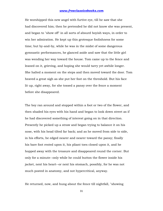He worshipped this new angel with furtive eye, till he saw that she had discovered him; then he pretended he did not know she was present, and began to "show off" in all sorts of absurd boyish ways, in order to win her admiration. He kept up this grotesque foolishness for some time; but by-and-by, while he was in the midst of some dangerous gymnastic performances, he glanced aside and saw that the little girl was wending her way toward the house. Tom came up to the fence and leaned on it, grieving, and hoping she would tarry yet awhile longer. She halted a moment on the steps and then moved toward the door. Tom heaved a great sigh as she put her foot on the threshold. But his face lit up, right away, for she tossed a pansy over the fence a moment before she disappeared.

The boy ran around and stopped within a foot or two of the flower, and then shaded his eyes with his hand and began to look down street as if he had discovered something of interest going on in that direction. Presently he picked up a straw and began trying to balance it on his nose, with his head tilted far back; and as he moved from side to side, in his efforts, he edged nearer and nearer toward the pansy; finally his bare foot rested upon it, his pliant toes closed upon it, and he hopped away with the treasure and disappeared round the corner. But only for a minute--only while he could button the flower inside his jacket, next his heart--or next his stomach, possibly, for he was not much posted in anatomy, and not hypercritical, anyway.

He returned, now, and hung about the fence till nightfall, "showing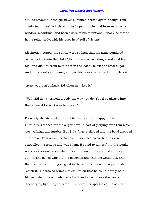off," as before; but the girl never exhibited herself again, though Tom comforted himself a little with the hope that she had been near some window, meantime, and been aware of his attentions. Finally he strode home reluctantly, with his poor head full of visions.

All through supper his spirits were so high that his aunt wondered "what had got into the child." He took a good scolding about clodding Sid, and did not seem to mind it in the least. He tried to steal sugar under his aunt's very nose, and got his knuckles rapped for it. He said:

"Aunt, you don't whack Sid when he takes it."

"Well, Sid don't torment a body the way you do. You'd be always into that sugar if I warn't watching you."

Presently she stepped into the kitchen, and Sid, happy in his immunity, reached for the sugar-bowl--a sort of glorying over Tom which was wellnigh unbearable. But Sid's fingers slipped and the bowl dropped and broke. Tom was in ecstasies. In such ecstasies that he even controlled his tongue and was silent. He said to himself that he would not speak a word, even when his aunt came in, but would sit perfectly still till she asked who did the mischief; and then he would tell, and there would be nothing so good in the world as to see that pet model "catch it." He was so brimful of exultation that he could hardly hold himself when the old lady came back and stood above the wreck discharging lightnings of wrath from over her spectacles. He said to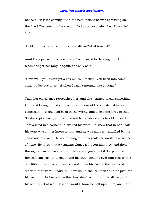himself, "Now it's coming!" And the next instant he was sprawling on the floor! The potent palm was uplifted to strike again when Tom cried out:

"Hold on, now, what 'er you belting ME for?--Sid broke it!"

Aunt Polly paused, perplexed, and Tom looked for healing pity. But when she got her tongue again, she only said:

"Umf! Well, you didn't get a lick amiss, I reckon. You been into some other audacious mischief when I wasn't around, like enough."

Then her conscience reproached her, and she yearned to say something kind and loving; but she judged that this would be construed into a confession that she had been in the wrong, and discipline forbade that. So she kept silence, and went about her affairs with a troubled heart. Tom sulked in a corner and exalted his woes. He knew that in her heart his aunt was on her knees to him, and he was morosely gratified by the consciousness of it. He would hang out no signals, he would take notice of none. He knew that a yearning glance fell upon him, now and then, through a film of tears, but he refused recognition of it. He pictured himself lying sick unto death and his aunt bending over him beseeching one little forgiving word, but he would turn his face to the wall, and die with that word unsaid. Ah, how would she feel then? And he pictured himself brought home from the river, dead, with his curls all wet, and his sore heart at rest. How she would throw herself upon him, and how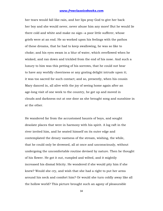her tears would fall like rain, and her lips pray God to give her back her boy and she would never, never abuse him any more! But he would lie there cold and white and make no sign--a poor little sufferer, whose griefs were at an end. He so worked upon his feelings with the pathos of these dreams, that he had to keep swallowing, he was so like to choke; and his eyes swam in a blur of water, which overflowed when he winked, and ran down and trickled from the end of his nose. And such a luxury to him was this petting of his sorrows, that he could not bear to have any worldly cheeriness or any grating delight intrude upon it; it was too sacred for such contact; and so, presently, when his cousin Mary danced in, all alive with the joy of seeing home again after an age-long visit of one week to the country, he got up and moved in clouds and darkness out at one door as she brought song and sunshine in at the other.

He wandered far from the accustomed haunts of boys, and sought desolate places that were in harmony with his spirit. A log raft in the river invited him, and he seated himself on its outer edge and contemplated the dreary vastness of the stream, wishing, the while, that he could only be drowned, all at once and unconsciously, without undergoing the uncomfortable routine devised by nature. Then he thought of his flower. He got it out, rumpled and wilted, and it mightily increased his dismal felicity. He wondered if she would pity him if she knew? Would she cry, and wish that she had a right to put her arms around his neck and comfort him? Or would she turn coldly away like all the hollow world? This picture brought such an agony of pleasurable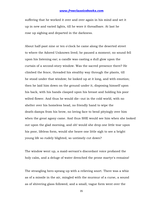suffering that he worked it over and over again in his mind and set it up in new and varied lights, till he wore it threadbare. At last he rose up sighing and departed in the darkness.

About half-past nine or ten o'clock he came along the deserted street to where the Adored Unknown lived; he paused a moment; no sound fell upon his listening ear; a candle was casting a dull glow upon the curtain of a second-story window. Was the sacred presence there? He climbed the fence, threaded his stealthy way through the plants, till he stood under that window; he looked up at it long, and with emotion; then he laid him down on the ground under it, disposing himself upon his back, with his hands clasped upon his breast and holding his poor wilted flower. And thus he would die--out in the cold world, with no shelter over his homeless head, no friendly hand to wipe the death-damps from his brow, no loving face to bend pityingly over him when the great agony came. And thus SHE would see him when she looked out upon the glad morning, and oh! would she drop one little tear upon his poor, lifeless form, would she heave one little sigh to see a bright young life so rudely blighted, so untimely cut down?

The window went up, a maid-servant's discordant voice profaned the holy calm, and a deluge of water drenched the prone martyr's remains!

The strangling hero sprang up with a relieving snort. There was a whiz as of a missile in the air, mingled with the murmur of a curse, a sound as of shivering glass followed, and a small, vague form went over the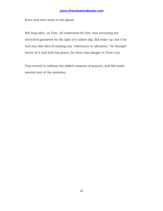fence and shot away in the gloom.

Not long after, as Tom, all undressed for bed, was surveying his drenched garments by the light of a tallow dip, Sid woke up; but if he had any dim idea of making any "references to allusions," he thought better of it and held his peace, for there was danger in Tom's eye.

Tom turned in without the added vexation of prayers, and Sid made mental note of the omission.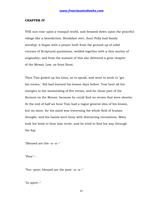#### **CHAPTER IV**

THE sun rose upon a tranquil world, and beamed down upon the peaceful village like a benediction. Breakfast over, Aunt Polly had family worship: it began with a prayer built from the ground up of solid courses of Scriptural quotations, welded together with a thin mortar of originality; and from the summit of this she delivered a grim chapter of the Mosaic Law, as from Sinai.

Then Tom girded up his loins, so to speak, and went to work to "get his verses." Sid had learned his lesson days before. Tom bent all his energies to the memorizing of five verses, and he chose part of the Sermon on the Mount, because he could find no verses that were shorter. At the end of half an hour Tom had a vague general idea of his lesson, but no more, for his mind was traversing the whole field of human thought, and his hands were busy with distracting recreations. Mary took his book to hear him recite, and he tried to find his way through the fog:

"Blessed are the--a--a--"

"Poor"--

"Yes--poor; blessed are the poor--a--a--"

"In spirit--"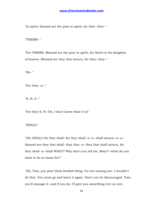"In spirit; blessed are the poor in spirit, for they--they--"

"THEIRS--"

"For THEIRS. Blessed are the poor in spirit, for theirs is the kingdom of heaven. Blessed are they that mourn, for they--they--"

"Sh--"

"For they--a--"

"S, H, A--"

"For they S, H--Oh, I don't know what it is!"

"SHALL!"

"Oh, SHALL! for they shall--for they shall--a--a--shall mourn--a--a- blessed are they that shall--they that--a--they that shall mourn, for they shall--a--shall WHAT? Why don't you tell me, Mary?--what do you want to be so mean for?"

"Oh, Tom, you poor thick-headed thing, I'm not teasing you. I wouldn't do that. You must go and learn it again. Don't you be discouraged, Tom, you'll manage it--and if you do, I'll give you something ever so nice.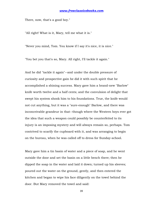There, now, that's a good boy."

"All right! What is it, Mary, tell me what it is."

"Never you mind, Tom. You know if I say it's nice, it is nice."

"You bet you that's so, Mary. All right, I'll tackle it again."

And he did "tackle it again"--and under the double pressure of curiosity and prospective gain he did it with such spirit that he accomplished a shining success. Mary gave him a brand-new "Barlow" knife worth twelve and a half cents; and the convulsion of delight that swept his system shook him to his foundations. True, the knife would not cut anything, but it was a "sure-enough" Barlow, and there was inconceivable grandeur in that--though where the Western boys ever got the idea that such a weapon could possibly be counterfeited to its injury is an imposing mystery and will always remain so, perhaps. Tom contrived to scarify the cupboard with it, and was arranging to begin on the bureau, when he was called off to dress for Sunday-school.

Mary gave him a tin basin of water and a piece of soap, and he went outside the door and set the basin on a little bench there; then he dipped the soap in the water and laid it down; turned up his sleeves; poured out the water on the ground, gently, and then entered the kitchen and began to wipe his face diligently on the towel behind the door. But Mary removed the towel and said: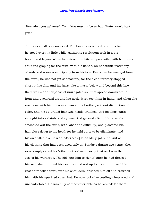"Now ain't you ashamed, Tom. You mustn't be so bad. Water won't hurt you."

Tom was a trifle disconcerted. The basin was refilled, and this time he stood over it a little while, gathering resolution; took in a big breath and began. When he entered the kitchen presently, with both eyes shut and groping for the towel with his hands, an honorable testimony of suds and water was dripping from his face. But when he emerged from the towel, he was not yet satisfactory, for the clean territory stopped short at his chin and his jaws, like a mask; below and beyond this line there was a dark expanse of unirrigated soil that spread downward in front and backward around his neck. Mary took him in hand, and when she was done with him he was a man and a brother, without distinction of color, and his saturated hair was neatly brushed, and its short curls wrought into a dainty and symmetrical general effect. [He privately smoothed out the curls, with labor and difficulty, and plastered his hair close down to his head; for he held curls to be effeminate, and his own filled his life with bitterness.] Then Mary got out a suit of his clothing that had been used only on Sundays during two years--they were simply called his "other clothes"--and so by that we know the size of his wardrobe. The girl "put him to rights" after he had dressed himself; she buttoned his neat roundabout up to his chin, turned his vast shirt collar down over his shoulders, brushed him off and crowned him with his speckled straw hat. He now looked exceedingly improved and uncomfortable. He was fully as uncomfortable as he looked; for there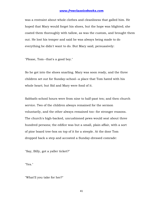was a restraint about whole clothes and cleanliness that galled him. He hoped that Mary would forget his shoes, but the hope was blighted; she coated them thoroughly with tallow, as was the custom, and brought them out. He lost his temper and said he was always being made to do everything he didn't want to do. But Mary said, persuasively:

"Please, Tom--that's a good boy."

So he got into the shoes snarling. Mary was soon ready, and the three children set out for Sunday-school--a place that Tom hated with his whole heart; but Sid and Mary were fond of it.

Sabbath-school hours were from nine to half-past ten; and then church service. Two of the children always remained for the sermon voluntarily, and the other always remained too--for stronger reasons. The church's high-backed, uncushioned pews would seat about three hundred persons; the edifice was but a small, plain affair, with a sort of pine board tree-box on top of it for a steeple. At the door Tom dropped back a step and accosted a Sunday-dressed comrade:

"Say, Billy, got a yaller ticket?"

"Yes."

"What'll you take for her?"

41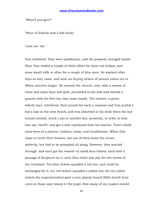"What'll you give?"

"Piece of lickrish and a fish-hook."

"Less see 'em."

Tom exhibited. They were satisfactory, and the property changed hands. Then Tom traded a couple of white alleys for three red tickets, and some small trifle or other for a couple of blue ones. He waylaid other boys as they came, and went on buying tickets of various colors ten or fifteen minutes longer. He entered the church, now, with a swarm of clean and noisy boys and girls, proceeded to his seat and started a quarrel with the first boy that came handy. The teacher, a grave, elderly man, interfered; then turned his back a moment and Tom pulled a boy's hair in the next bench, and was absorbed in his book when the boy turned around; stuck a pin in another boy, presently, in order to hear him say "Ouch!" and got a new reprimand from his teacher. Tom's whole class were of a pattern--restless, noisy, and troublesome. When they came to recite their lessons, not one of them knew his verses perfectly, but had to be prompted all along. However, they worried through, and each got his reward--in small blue tickets, each with a passage of Scripture on it; each blue ticket was pay for two verses of the recitation. Ten blue tickets equalled a red one, and could be exchanged for it; ten red tickets equalled a yellow one; for ten yellow tickets the superintendent gave a very plainly bound Bible (worth forty cents in those easy times) to the pupil. How many of my readers would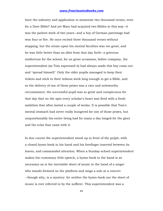have the industry and application to memorize two thousand verses, even for a Dore Bible? And yet Mary had acquired two Bibles in this way--it was the patient work of two years--and a boy of German parentage had won four or five. He once recited three thousand verses without stopping; but the strain upon his mental faculties was too great, and he was little better than an idiot from that day forth--a grievous misfortune for the school, for on great occasions, before company, the superintendent (as Tom expressed it) had always made this boy come out and "spread himself." Only the older pupils managed to keep their tickets and stick to their tedious work long enough to get a Bible, and so the delivery of one of these prizes was a rare and noteworthy circumstance; the successful pupil was so great and conspicuous for that day that on the spot every scholar's heart was fired with a fresh ambition that often lasted a couple of weeks. It is possible that Tom's mental stomach had never really hungered for one of those prizes, but unquestionably his entire being had for many a day longed for the glory and the eclat that came with it.

In due course the superintendent stood up in front of the pulpit, with a closed hymn-book in his hand and his forefinger inserted between its leaves, and commanded attention. When a Sunday-school superintendent makes his customary little speech, a hymn-book in the hand is as necessary as is the inevitable sheet of music in the hand of a singer who stands forward on the platform and sings a solo at a concert --though why, is a mystery: for neither the hymn-book nor the sheet of music is ever referred to by the sufferer. This superintendent was a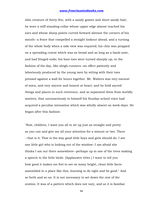slim creature of thirty-five, with a sandy goatee and short sandy hair; he wore a stiff standing-collar whose upper edge almost reached his ears and whose sharp points curved forward abreast the corners of his mouth--a fence that compelled a straight lookout ahead, and a turning of the whole body when a side view was required; his chin was propped on a spreading cravat which was as broad and as long as a bank-note, and had fringed ends; his boot toes were turned sharply up, in the fashion of the day, like sleigh-runners--an effect patiently and laboriously produced by the young men by sitting with their toes pressed against a wall for hours together. Mr. Walters was very earnest of mien, and very sincere and honest at heart; and he held sacred things and places in such reverence, and so separated them from worldly matters, that unconsciously to himself his Sunday-school voice had acquired a peculiar intonation which was wholly absent on week-days. He began after this fashion:

"Now, children, I want you all to sit up just as straight and pretty as you can and give me all your attention for a minute or two. There --that is it. That is the way good little boys and girls should do. I see one little girl who is looking out of the window--I am afraid she thinks I am out there somewhere--perhaps up in one of the trees making a speech to the little birds. [Applausive titter.] I want to tell you how good it makes me feel to see so many bright, clean little faces assembled in a place like this, learning to do right and be good." And so forth and so on. It is not necessary to set down the rest of the oration. It was of a pattern which does not vary, and so it is familiar

44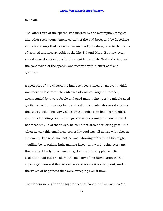to us all.

The latter third of the speech was marred by the resumption of fights and other recreations among certain of the bad boys, and by fidgetings and whisperings that extended far and wide, washing even to the bases of isolated and incorruptible rocks like Sid and Mary. But now every sound ceased suddenly, with the subsidence of Mr. Walters' voice, and the conclusion of the speech was received with a burst of silent gratitude.

A good part of the whispering had been occasioned by an event which was more or less rare--the entrance of visitors: lawyer Thatcher, accompanied by a very feeble and aged man; a fine, portly, middle-aged gentleman with iron-gray hair; and a dignified lady who was doubtless the latter's wife. The lady was leading a child. Tom had been restless and full of chafings and repinings; conscience-smitten, too--he could not meet Amy Lawrence's eye, he could not brook her loving gaze. But when he saw this small new-comer his soul was all ablaze with bliss in a moment. The next moment he was "showing off" with all his might --cuffing boys, pulling hair, making faces--in a word, using every art that seemed likely to fascinate a girl and win her applause. His exaltation had but one alloy--the memory of his humiliation in this angel's garden--and that record in sand was fast washing out, under the waves of happiness that were sweeping over it now.

The visitors were given the highest seat of honor, and as soon as Mr.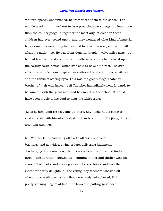Walters' speech was finished, he introduced them to the school. The middle-aged man turned out to be a prodigious personage--no less a one than the county judge--altogether the most august creation these children had ever looked upon--and they wondered what kind of material he was made of--and they half wanted to hear him roar, and were half afraid he might, too. He was from Constantinople, twelve miles away--so he had travelled, and seen the world--these very eyes had looked upon the county court-house--which was said to have a tin roof. The awe which these reflections inspired was attested by the impressive silence and the ranks of staring eyes. This was the great Judge Thatcher, brother of their own lawyer. Jeff Thatcher immediately went forward, to be familiar with the great man and be envied by the school. It would have been music to his soul to hear the whisperings:

"Look at him, Jim! He's a going up there. Say--look! he's a going to shake hands with him--he IS shaking hands with him! By jings, don't you wish you was Jeff?"

Mr. Walters fell to "showing off," with all sorts of official bustlings and activities, giving orders, delivering judgments, discharging directions here, there, everywhere that he could find a target. The librarian "showed off"--running hither and thither with his arms full of books and making a deal of the splutter and fuss that insect authority delights in. The young lady teachers "showed off" --bending sweetly over pupils that were lately being boxed, lifting pretty warning fingers at bad little boys and patting good ones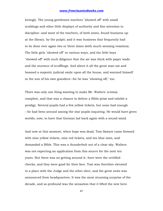lovingly. The young gentlemen teachers "showed off" with small scoldings and other little displays of authority and fine attention to discipline--and most of the teachers, of both sexes, found business up at the library, by the pulpit; and it was business that frequently had to be done over again two or three times (with much seeming vexation). The little girls "showed off" in various ways, and the little boys "showed off" with such diligence that the air was thick with paper wads and the murmur of scufflings. And above it all the great man sat and beamed a majestic judicial smile upon all the house, and warmed himself in the sun of his own grandeur--for he was "showing off," too.

There was only one thing wanting to make Mr. Walters' ecstasy complete, and that was a chance to deliver a Bible-prize and exhibit a prodigy. Several pupils had a few yellow tickets, but none had enough --he had been around among the star pupils inquiring. He would have given worlds, now, to have that German lad back again with a sound mind.

And now at this moment, when hope was dead, Tom Sawyer came forward with nine yellow tickets, nine red tickets, and ten blue ones, and demanded a Bible. This was a thunderbolt out of a clear sky. Walters was not expecting an application from this source for the next ten years. But there was no getting around it--here were the certified checks, and they were good for their face. Tom was therefore elevated to a place with the Judge and the other elect, and the great news was announced from headquarters. It was the most stunning surprise of the decade, and so profound was the sensation that it lifted the new hero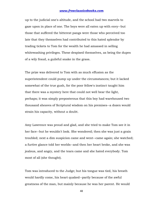up to the judicial one's altitude, and the school had two marvels to gaze upon in place of one. The boys were all eaten up with envy--but those that suffered the bitterest pangs were those who perceived too late that they themselves had contributed to this hated splendor by trading tickets to Tom for the wealth he had amassed in selling whitewashing privileges. These despised themselves, as being the dupes of a wily fraud, a guileful snake in the grass.

The prize was delivered to Tom with as much effusion as the superintendent could pump up under the circumstances; but it lacked somewhat of the true gush, for the poor fellow's instinct taught him that there was a mystery here that could not well bear the light, perhaps; it was simply preposterous that this boy had warehoused two thousand sheaves of Scriptural wisdom on his premises--a dozen would strain his capacity, without a doubt.

Amy Lawrence was proud and glad, and she tried to make Tom see it in her face--but he wouldn't look. She wondered; then she was just a grain troubled; next a dim suspicion came and went--came again; she watched; a furtive glance told her worlds--and then her heart broke, and she was jealous, and angry, and the tears came and she hated everybody. Tom most of all (she thought).

Tom was introduced to the Judge; but his tongue was tied, his breath would hardly come, his heart quaked--partly because of the awful greatness of the man, but mainly because he was her parent. He would

48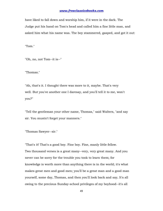have liked to fall down and worship him, if it were in the dark. The Judge put his hand on Tom's head and called him a fine little man, and asked him what his name was. The boy stammered, gasped, and got it out:

"Tom."

"Oh, no, not Tom--it is--"

"Thomas."

"Ah, that's it. I thought there was more to it, maybe. That's very well. But you've another one I daresay, and you'll tell it to me, won't you?"

"Tell the gentleman your other name, Thomas," said Walters, "and say sir. You mustn't forget your manners."

"Thomas Sawyer--sir."

"That's it! That's a good boy. Fine boy. Fine, manly little fellow. Two thousand verses is a great many--very, very great many. And you never can be sorry for the trouble you took to learn them; for knowledge is worth more than anything there is in the world; it's what makes great men and good men; you'll be a great man and a good man yourself, some day, Thomas, and then you'll look back and say, It's all owing to the precious Sunday-school privileges of my boyhood--it's all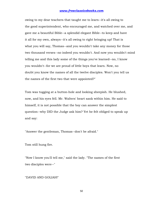owing to my dear teachers that taught me to learn--it's all owing to the good superintendent, who encouraged me, and watched over me, and gave me a beautiful Bible--a splendid elegant Bible--to keep and have it all for my own, always--it's all owing to right bringing up! That is what you will say, Thomas--and you wouldn't take any money for those two thousand verses--no indeed you wouldn't. And now you wouldn't mind telling me and this lady some of the things you've learned--no, I know you wouldn't--for we are proud of little boys that learn. Now, no doubt you know the names of all the twelve disciples. Won't you tell us the names of the first two that were appointed?"

Tom was tugging at a button-hole and looking sheepish. He blushed, now, and his eyes fell. Mr. Walters' heart sank within him. He said to himself, it is not possible that the boy can answer the simplest question--why DID the Judge ask him? Yet he felt obliged to speak up and say:

"Answer the gentleman, Thomas--don't be afraid."

Tom still hung fire.

"Now I know you'll tell me," said the lady. "The names of the first two disciples were--"

"DAVID AND GOLIAH!"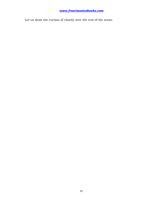Let us draw the curtain of charity over the rest of the scene.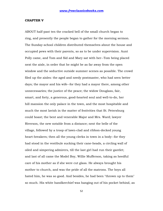#### **CHAPTER V**

ABOUT half-past ten the cracked bell of the small church began to ring, and presently the people began to gather for the morning sermon. The Sunday-school children distributed themselves about the house and occupied pews with their parents, so as to be under supervision. Aunt Polly came, and Tom and Sid and Mary sat with her--Tom being placed next the aisle, in order that he might be as far away from the open window and the seductive outside summer scenes as possible. The crowd filed up the aisles: the aged and needy postmaster, who had seen better days; the mayor and his wife--for they had a mayor there, among other unnecessaries; the justice of the peace; the widow Douglass, fair, smart, and forty, a generous, good-hearted soul and well-to-do, her hill mansion the only palace in the town, and the most hospitable and much the most lavish in the matter of festivities that St. Petersburg could boast; the bent and venerable Major and Mrs. Ward; lawyer Riverson, the new notable from a distance; next the belle of the village, followed by a troop of lawn-clad and ribbon-decked young heart-breakers; then all the young clerks in town in a body--for they had stood in the vestibule sucking their cane-heads, a circling wall of oiled and simpering admirers, till the last girl had run their gantlet; and last of all came the Model Boy, Willie Mufferson, taking as heedful care of his mother as if she were cut glass. He always brought his mother to church, and was the pride of all the matrons. The boys all hated him, he was so good. And besides, he had been "thrown up to them" so much. His white handkerchief was hanging out of his pocket behind, as

52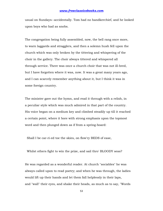usual on Sundays--accidentally. Tom had no handkerchief, and he looked upon boys who had as snobs.

The congregation being fully assembled, now, the bell rang once more, to warn laggards and stragglers, and then a solemn hush fell upon the church which was only broken by the tittering and whispering of the choir in the gallery. The choir always tittered and whispered all through service. There was once a church choir that was not ill-bred, but I have forgotten where it was, now. It was a great many years ago, and I can scarcely remember anything about it, but I think it was in some foreign country.

The minister gave out the hymn, and read it through with a relish, in a peculiar style which was much admired in that part of the country. His voice began on a medium key and climbed steadily up till it reached a certain point, where it bore with strong emphasis upon the topmost word and then plunged down as if from a spring-board:

Shall I be car-ri-ed toe the skies, on flow'ry BEDS of ease,

Whilst others fight to win the prize, and sail thro' BLOODY seas?

He was regarded as a wonderful reader. At church "sociables" he was always called upon to read poetry; and when he was through, the ladies would lift up their hands and let them fall helplessly in their laps, and "wall" their eyes, and shake their heads, as much as to say, "Words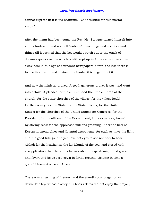cannot express it; it is too beautiful, TOO beautiful for this mortal earth."

After the hymn had been sung, the Rev. Mr. Sprague turned himself into a bulletin-board, and read off "notices" of meetings and societies and things till it seemed that the list would stretch out to the crack of doom--a queer custom which is still kept up in America, even in cities, away here in this age of abundant newspapers. Often, the less there is to justify a traditional custom, the harder it is to get rid of it.

And now the minister prayed. A good, generous prayer it was, and went into details: it pleaded for the church, and the little children of the church; for the other churches of the village; for the village itself; for the county; for the State; for the State officers; for the United States; for the churches of the United States; for Congress; for the President; for the officers of the Government; for poor sailors, tossed by stormy seas; for the oppressed millions groaning under the heel of European monarchies and Oriental despotisms; for such as have the light and the good tidings, and yet have not eyes to see nor ears to hear withal; for the heathen in the far islands of the sea; and closed with a supplication that the words he was about to speak might find grace and favor, and be as seed sown in fertile ground, yielding in time a grateful harvest of good. Amen.

There was a rustling of dresses, and the standing congregation sat down. The boy whose history this book relates did not enjoy the prayer,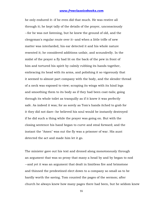he only endured it--if he even did that much. He was restive all through it; he kept tally of the details of the prayer, unconsciously --for he was not listening, but he knew the ground of old, and the clergyman's regular route over it--and when a little trifle of new matter was interlarded, his ear detected it and his whole nature resented it; he considered additions unfair, and scoundrelly. In the midst of the prayer a fly had lit on the back of the pew in front of him and tortured his spirit by calmly rubbing its hands together, embracing its head with its arms, and polishing it so vigorously that it seemed to almost part company with the body, and the slender thread of a neck was exposed to view; scraping its wings with its hind legs and smoothing them to its body as if they had been coat-tails; going through its whole toilet as tranquilly as if it knew it was perfectly safe. As indeed it was; for as sorely as Tom's hands itched to grab for it they did not dare--he believed his soul would be instantly destroyed if he did such a thing while the prayer was going on. But with the closing sentence his hand began to curve and steal forward; and the instant the "Amen" was out the fly was a prisoner of war. His aunt detected the act and made him let it go.

The minister gave out his text and droned along monotonously through an argument that was so prosy that many a head by and by began to nod --and yet it was an argument that dealt in limitless fire and brimstone and thinned the predestined elect down to a company so small as to be hardly worth the saving. Tom counted the pages of the sermon; after church he always knew how many pages there had been, but he seldom knew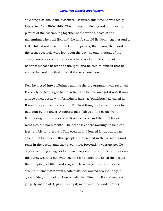anything else about the discourse. However, this time he was really interested for a little while. The minister made a grand and moving picture of the assembling together of the world's hosts at the millennium when the lion and the lamb should lie down together and a little child should lead them. But the pathos, the lesson, the moral of the great spectacle were lost upon the boy; he only thought of the conspicuousness of the principal character before the on-looking nations; his face lit with the thought, and he said to himself that he wished he could be that child, if it was a tame lion.

Now he lapsed into suffering again, as the dry argument was resumed. Presently he bethought him of a treasure he had and got it out. It was a large black beetle with formidable jaws--a "pinchbug," he called it. It was in a percussion-cap box. The first thing the beetle did was to take him by the finger. A natural fillip followed, the beetle went floundering into the aisle and lit on its back, and the hurt finger went into the boy's mouth. The beetle lay there working its helpless legs, unable to turn over. Tom eyed it, and longed for it; but it was safe out of his reach. Other people uninterested in the sermon found relief in the beetle, and they eyed it too. Presently a vagrant poodle dog came idling along, sad at heart, lazy with the summer softness and the quiet, weary of captivity, sighing for change. He spied the beetle; the drooping tail lifted and wagged. He surveyed the prize; walked around it; smelt at it from a safe distance; walked around it again; grew bolder, and took a closer smell; then lifted his lip and made a gingerly snatch at it, just missing it; made another, and another;

56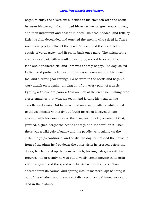began to enjoy the diversion; subsided to his stomach with the beetle between his paws, and continued his experiments; grew weary at last, and then indifferent and absent-minded. His head nodded, and little by little his chin descended and touched the enemy, who seized it. There was a sharp yelp, a flirt of the poodle's head, and the beetle fell a couple of yards away, and lit on its back once more. The neighboring spectators shook with a gentle inward joy, several faces went behind fans and handkerchiefs, and Tom was entirely happy. The dog looked foolish, and probably felt so; but there was resentment in his heart, too, and a craving for revenge. So he went to the beetle and began a wary attack on it again; jumping at it from every point of a circle, lighting with his fore-paws within an inch of the creature, making even closer snatches at it with his teeth, and jerking his head till his ears flapped again. But he grew tired once more, after a while; tried to amuse himself with a fly but found no relief; followed an ant around, with his nose close to the floor, and quickly wearied of that; yawned, sighed, forgot the beetle entirely, and sat down on it. Then there was a wild yelp of agony and the poodle went sailing up the aisle; the yelps continued, and so did the dog; he crossed the house in front of the altar; he flew down the other aisle; he crossed before the doors; he clamored up the home-stretch; his anguish grew with his progress, till presently he was but a woolly comet moving in its orbit with the gleam and the speed of light. At last the frantic sufferer sheered from its course, and sprang into its master's lap; he flung it out of the window, and the voice of distress quickly thinned away and died in the distance.

57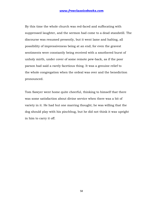By this time the whole church was red-faced and suffocating with suppressed laughter, and the sermon had come to a dead standstill. The discourse was resumed presently, but it went lame and halting, all possibility of impressiveness being at an end; for even the gravest sentiments were constantly being received with a smothered burst of unholy mirth, under cover of some remote pew-back, as if the poor parson had said a rarely facetious thing. It was a genuine relief to the whole congregation when the ordeal was over and the benediction pronounced.

Tom Sawyer went home quite cheerful, thinking to himself that there was some satisfaction about divine service when there was a bit of variety in it. He had but one marring thought; he was willing that the dog should play with his pinchbug, but he did not think it was upright in him to carry it off.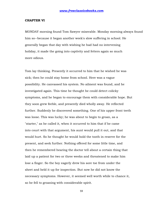#### **CHAPTER VI**

MONDAY morning found Tom Sawyer miserable. Monday morning always found him so--because it began another week's slow suffering in school. He generally began that day with wishing he had had no intervening holiday, it made the going into captivity and fetters again so much more odious.

Tom lay thinking. Presently it occurred to him that he wished he was sick; then he could stay home from school. Here was a vague possibility. He canvassed his system. No ailment was found, and he investigated again. This time he thought he could detect colicky symptoms, and he began to encourage them with considerable hope. But they soon grew feeble, and presently died wholly away. He reflected further. Suddenly he discovered something. One of his upper front teeth was loose. This was lucky; he was about to begin to groan, as a "starter," as he called it, when it occurred to him that if he came into court with that argument, his aunt would pull it out, and that would hurt. So he thought he would hold the tooth in reserve for the present, and seek further. Nothing offered for some little time, and then he remembered hearing the doctor tell about a certain thing that laid up a patient for two or three weeks and threatened to make him lose a finger. So the boy eagerly drew his sore toe from under the sheet and held it up for inspection. But now he did not know the necessary symptoms. However, it seemed well worth while to chance it, so he fell to groaning with considerable spirit.

59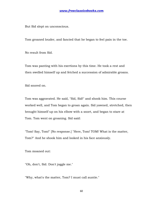But Sid slept on unconscious.

Tom groaned louder, and fancied that he began to feel pain in the toe.

No result from Sid.

Tom was panting with his exertions by this time. He took a rest and then swelled himself up and fetched a succession of admirable groans.

Sid snored on.

Tom was aggravated. He said, "Sid, Sid!" and shook him. This course worked well, and Tom began to groan again. Sid yawned, stretched, then brought himself up on his elbow with a snort, and began to stare at Tom. Tom went on groaning. Sid said:

"Tom! Say, Tom!" [No response.] "Here, Tom! TOM! What is the matter, Tom?" And he shook him and looked in his face anxiously.

Tom moaned out:

"Oh, don't, Sid. Don't joggle me."

"Why, what's the matter, Tom? I must call auntie."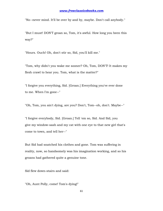"No--never mind. It'll be over by and by, maybe. Don't call anybody."

"But I must! DON'T groan so, Tom, it's awful. How long you been this way?"

"Hours. Ouch! Oh, don't stir so, Sid, you'll kill me."

"Tom, why didn't you wake me sooner? Oh, Tom, DON'T! It makes my flesh crawl to hear you. Tom, what is the matter?"

"I forgive you everything, Sid. [Groan.] Everything you've ever done to me. When I'm gone--"

"Oh, Tom, you ain't dying, are you? Don't, Tom--oh, don't. Maybe--"

"I forgive everybody, Sid. [Groan.] Tell 'em so, Sid. And Sid, you give my window-sash and my cat with one eye to that new girl that's come to town, and tell her--"

But Sid had snatched his clothes and gone. Tom was suffering in reality, now, so handsomely was his imagination working, and so his groans had gathered quite a genuine tone.

Sid flew down-stairs and said:

"Oh, Aunt Polly, come! Tom's dying!"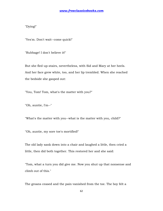"Dying!"

"Yes'm. Don't wait--come quick!"

"Rubbage! I don't believe it!"

But she fled up-stairs, nevertheless, with Sid and Mary at her heels. And her face grew white, too, and her lip trembled. When she reached the bedside she gasped out:

"You, Tom! Tom, what's the matter with you?"

"Oh, auntie, I'm--"

"What's the matter with you--what is the matter with you, child?"

"Oh, auntie, my sore toe's mortified!"

The old lady sank down into a chair and laughed a little, then cried a little, then did both together. This restored her and she said:

"Tom, what a turn you did give me. Now you shut up that nonsense and climb out of this."

The groans ceased and the pain vanished from the toe. The boy felt a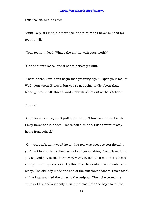little foolish, and he said:

"Aunt Polly, it SEEMED mortified, and it hurt so I never minded my tooth at all."

"Your tooth, indeed! What's the matter with your tooth?"

"One of them's loose, and it aches perfectly awful."

"There, there, now, don't begin that groaning again. Open your mouth. Well--your tooth IS loose, but you're not going to die about that. Mary, get me a silk thread, and a chunk of fire out of the kitchen."

Tom said:

"Oh, please, auntie, don't pull it out. It don't hurt any more. I wish I may never stir if it does. Please don't, auntie. I don't want to stay home from school."

"Oh, you don't, don't you? So all this row was because you thought you'd get to stay home from school and go a-fishing? Tom, Tom, I love you so, and you seem to try every way you can to break my old heart with your outrageousness." By this time the dental instruments were ready. The old lady made one end of the silk thread fast to Tom's tooth with a loop and tied the other to the bedpost. Then she seized the chunk of fire and suddenly thrust it almost into the boy's face. The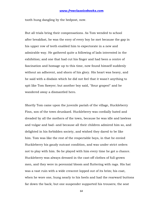tooth hung dangling by the bedpost, now.

But all trials bring their compensations. As Tom wended to school after breakfast, he was the envy of every boy he met because the gap in his upper row of teeth enabled him to expectorate in a new and admirable way. He gathered quite a following of lads interested in the exhibition; and one that had cut his finger and had been a centre of fascination and homage up to this time, now found himself suddenly without an adherent, and shorn of his glory. His heart was heavy, and he said with a disdain which he did not feel that it wasn't anything to spit like Tom Sawyer; but another boy said, "Sour grapes!" and he wandered away a dismantled hero.

Shortly Tom came upon the juvenile pariah of the village, Huckleberry Finn, son of the town drunkard. Huckleberry was cordially hated and dreaded by all the mothers of the town, because he was idle and lawless and vulgar and bad--and because all their children admired him so, and delighted in his forbidden society, and wished they dared to be like him. Tom was like the rest of the respectable boys, in that he envied Huckleberry his gaudy outcast condition, and was under strict orders not to play with him. So he played with him every time he got a chance. Huckleberry was always dressed in the cast-off clothes of full-grown men, and they were in perennial bloom and fluttering with rags. His hat was a vast ruin with a wide crescent lopped out of its brim; his coat, when he wore one, hung nearly to his heels and had the rearward buttons far down the back; but one suspender supported his trousers; the seat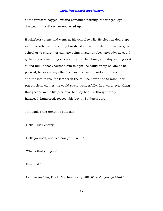of the trousers bagged low and contained nothing, the fringed legs dragged in the dirt when not rolled up.

Huckleberry came and went, at his own free will. He slept on doorsteps in fine weather and in empty hogsheads in wet; he did not have to go to school or to church, or call any being master or obey anybody; he could go fishing or swimming when and where he chose, and stay as long as it suited him; nobody forbade him to fight; he could sit up as late as he pleased; he was always the first boy that went barefoot in the spring and the last to resume leather in the fall; he never had to wash, nor put on clean clothes; he could swear wonderfully. In a word, everything that goes to make life precious that boy had. So thought every harassed, hampered, respectable boy in St. Petersburg.

Tom hailed the romantic outcast:

"Hello, Huckleberry!"

"Hello yourself, and see how you like it."

"What's that you got?"

"Dead cat."

"Lemme see him, Huck. My, he's pretty stiff. Where'd you get him?"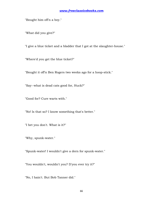"Bought him offn a boy."

"What did you give?"

"I give a blue ticket and a bladder that I got at the slaughter-house."

"Where'd you get the blue ticket?"

"Bought it off'n Ben Rogers two weeks ago for a hoop-stick."

"Say--what is dead cats good for, Huck?"

"Good for? Cure warts with."

"No! Is that so? I know something that's better."

"I bet you don't. What is it?"

"Why, spunk-water."

"Spunk-water! I wouldn't give a dern for spunk-water."

"You wouldn't, wouldn't you? D'you ever try it?"

"No, I hain't. But Bob Tanner did."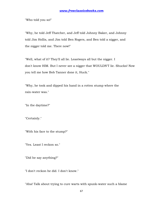"Who told you so!"

"Why, he told Jeff Thatcher, and Jeff told Johnny Baker, and Johnny told Jim Hollis, and Jim told Ben Rogers, and Ben told a nigger, and the nigger told me. There now!"

"Well, what of it? They'll all lie. Leastways all but the nigger. I don't know HIM. But I never see a nigger that WOULDN'T lie. Shucks! Now you tell me how Bob Tanner done it, Huck."

"Why, he took and dipped his hand in a rotten stump where the rain-water was."

"In the daytime?"

"Certainly."

"With his face to the stump?"

"Yes. Least I reckon so."

"Did he say anything?"

"I don't reckon he did. I don't know."

"Aha! Talk about trying to cure warts with spunk-water such a blame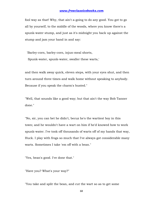fool way as that! Why, that ain't a-going to do any good. You got to go all by yourself, to the middle of the woods, where you know there's a spunk-water stump, and just as it's midnight you back up against the stump and jam your hand in and say:

 'Barley-corn, barley-corn, injun-meal shorts, Spunk-water, spunk-water, swaller these warts,'

and then walk away quick, eleven steps, with your eyes shut, and then turn around three times and walk home without speaking to anybody. Because if you speak the charm's busted."

"Well, that sounds like a good way; but that ain't the way Bob Tanner done."

"No, sir, you can bet he didn't, becuz he's the wartiest boy in this town; and he wouldn't have a wart on him if he'd knowed how to work spunk-water. I've took off thousands of warts off of my hands that way, Huck. I play with frogs so much that I've always got considerable many warts. Sometimes I take 'em off with a bean."

"Yes, bean's good. I've done that."

"Have you? What's your way?"

"You take and split the bean, and cut the wart so as to get some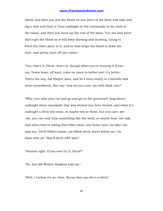blood, and then you put the blood on one piece of the bean and take and dig a hole and bury it 'bout midnight at the crossroads in the dark of the moon, and then you burn up the rest of the bean. You see that piece that's got the blood on it will keep drawing and drawing, trying to fetch the other piece to it, and so that helps the blood to draw the wart, and pretty soon off she comes."

"Yes, that's it, Huck--that's it; though when you're burying it if you say 'Down bean; off wart; come no more to bother me!' it's better. That's the way Joe Harper does, and he's been nearly to Coonville and most everywheres. But say--how do you cure 'em with dead cats?"

"Why, you take your cat and go and get in the graveyard 'long about midnight when somebody that was wicked has been buried; and when it's midnight a devil will come, or maybe two or three, but you can't see 'em, you can only hear something like the wind, or maybe hear 'em talk; and when they're taking that feller away, you heave your cat after 'em and say, 'Devil follow corpse, cat follow devil, warts follow cat, I'm done with ye!' That'll fetch ANY wart."

"Sounds right. D'you ever try it, Huck?"

"No, but old Mother Hopkins told me."

"Well, I reckon it's so, then. Becuz they say she's a witch."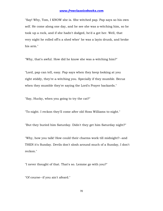"Say! Why, Tom, I KNOW she is. She witched pap. Pap says so his own self. He come along one day, and he see she was a-witching him, so he took up a rock, and if she hadn't dodged, he'd a got her. Well, that very night he rolled off'n a shed wher' he was a layin drunk, and broke his arm."

"Why, that's awful. How did he know she was a-witching him?"

"Lord, pap can tell, easy. Pap says when they keep looking at you right stiddy, they're a-witching you. Specially if they mumble. Becuz when they mumble they're saying the Lord's Prayer backards."

"Say, Hucky, when you going to try the cat?"

"To-night. I reckon they'll come after old Hoss Williams to-night."

"But they buried him Saturday. Didn't they get him Saturday night?"

"Why, how you talk! How could their charms work till midnight?--and THEN it's Sunday. Devils don't slosh around much of a Sunday, I don't reckon."

"I never thought of that. That's so. Lemme go with you?"

"Of course--if you ain't afeard."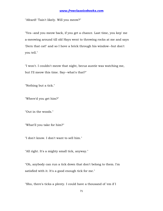"Afeard! 'Tain't likely. Will you meow?"

"Yes--and you meow back, if you get a chance. Last time, you kep' me a-meowing around till old Hays went to throwing rocks at me and says 'Dern that cat!' and so I hove a brick through his window--but don't you tell."

"I won't. I couldn't meow that night, becuz auntie was watching me, but I'll meow this time. Say--what's that?"

"Nothing but a tick."

"Where'd you get him?"

"Out in the woods."

"What'll you take for him?"

"I don't know. I don't want to sell him."

"All right. It's a mighty small tick, anyway."

"Oh, anybody can run a tick down that don't belong to them. I'm satisfied with it. It's a good enough tick for me."

"Sho, there's ticks a plenty. I could have a thousand of 'em if I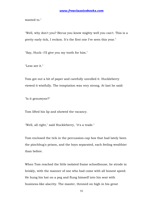wanted to."

"Well, why don't you? Becuz you know mighty well you can't. This is a pretty early tick, I reckon. It's the first one I've seen this year."

"Say, Huck--I'll give you my tooth for him."

"Less see it."

Tom got out a bit of paper and carefully unrolled it. Huckleberry viewed it wistfully. The temptation was very strong. At last he said:

"Is it genuwyne?"

Tom lifted his lip and showed the vacancy.

"Well, all right," said Huckleberry, "it's a trade."

Tom enclosed the tick in the percussion-cap box that had lately been the pinchbug's prison, and the boys separated, each feeling wealthier than before.

When Tom reached the little isolated frame schoolhouse, he strode in briskly, with the manner of one who had come with all honest speed. He hung his hat on a peg and flung himself into his seat with business-like alacrity. The master, throned on high in his great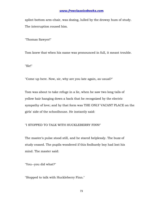splint-bottom arm-chair, was dozing, lulled by the drowsy hum of study. The interruption roused him.

"Thomas Sawyer!"

Tom knew that when his name was pronounced in full, it meant trouble.

"Sir!"

"Come up here. Now, sir, why are you late again, as usual?"

Tom was about to take refuge in a lie, when he saw two long tails of yellow hair hanging down a back that he recognized by the electric sympathy of love; and by that form was THE ONLY VACANT PLACE on the girls' side of the schoolhouse. He instantly said:

"I STOPPED TO TALK WITH HUCKLEBERRY FINN!"

The master's pulse stood still, and he stared helplessly. The buzz of study ceased. The pupils wondered if this foolhardy boy had lost his mind. The master said:

"You--you did what?"

"Stopped to talk with Huckleberry Finn."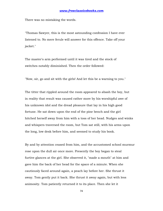There was no mistaking the words.

"Thomas Sawyer, this is the most astounding confession I have ever listened to. No mere ferule will answer for this offence. Take off your jacket."

The master's arm performed until it was tired and the stock of switches notably diminished. Then the order followed:

"Now, sir, go and sit with the girls! And let this be a warning to you."

The titter that rippled around the room appeared to abash the boy, but in reality that result was caused rather more by his worshipful awe of his unknown idol and the dread pleasure that lay in his high good fortune. He sat down upon the end of the pine bench and the girl hitched herself away from him with a toss of her head. Nudges and winks and whispers traversed the room, but Tom sat still, with his arms upon the long, low desk before him, and seemed to study his book.

By and by attention ceased from him, and the accustomed school murmur rose upon the dull air once more. Presently the boy began to steal furtive glances at the girl. She observed it, "made a mouth" at him and gave him the back of her head for the space of a minute. When she cautiously faced around again, a peach lay before her. She thrust it away. Tom gently put it back. She thrust it away again, but with less animosity. Tom patiently returned it to its place. Then she let it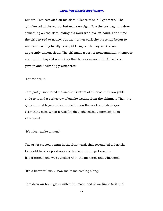remain. Tom scrawled on his slate, "Please take it--I got more." The girl glanced at the words, but made no sign. Now the boy began to draw something on the slate, hiding his work with his left hand. For a time the girl refused to notice; but her human curiosity presently began to manifest itself by hardly perceptible signs. The boy worked on, apparently unconscious. The girl made a sort of noncommittal attempt to see, but the boy did not betray that he was aware of it. At last she gave in and hesitatingly whispered:

"Let me see it."

Tom partly uncovered a dismal caricature of a house with two gable ends to it and a corkscrew of smoke issuing from the chimney. Then the girl's interest began to fasten itself upon the work and she forgot everything else. When it was finished, she gazed a moment, then whispered:

"It's nice--make a man."

The artist erected a man in the front yard, that resembled a derrick. He could have stepped over the house; but the girl was not hypercritical; she was satisfied with the monster, and whispered:

"It's a beautiful man--now make me coming along."

Tom drew an hour-glass with a full moon and straw limbs to it and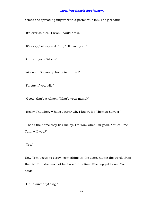armed the spreading fingers with a portentous fan. The girl said:

"It's ever so nice--I wish I could draw."

"It's easy," whispered Tom, "I'll learn you."

"Oh, will you? When?"

"At noon. Do you go home to dinner?"

"I'll stay if you will."

"Good--that's a whack. What's your name?"

"Becky Thatcher. What's yours? Oh, I know. It's Thomas Sawyer."

"That's the name they lick me by. I'm Tom when I'm good. You call me Tom, will you?"

"Yes."

Now Tom began to scrawl something on the slate, hiding the words from the girl. But she was not backward this time. She begged to see. Tom said:

"Oh, it ain't anything."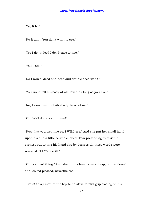"Yes it is."

"No it ain't. You don't want to see."

"Yes I do, indeed I do. Please let me."

"You'll tell."

"No I won't--deed and deed and double deed won't."

"You won't tell anybody at all? Ever, as long as you live?"

"No, I won't ever tell ANYbody. Now let me."

"Oh, YOU don't want to see!"

"Now that you treat me so, I WILL see." And she put her small hand upon his and a little scuffle ensued, Tom pretending to resist in earnest but letting his hand slip by degrees till these words were revealed: "I LOVE YOU."

"Oh, you bad thing!" And she hit his hand a smart rap, but reddened and looked pleased, nevertheless.

Just at this juncture the boy felt a slow, fateful grip closing on his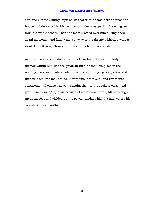ear, and a steady lifting impulse. In that wise he was borne across the house and deposited in his own seat, under a peppering fire of giggles from the whole school. Then the master stood over him during a few awful moments, and finally moved away to his throne without saying a word. But although Tom's ear tingled, his heart was jubilant.

As the school quieted down Tom made an honest effort to study, but the turmoil within him was too great. In turn he took his place in the reading class and made a botch of it; then in the geography class and turned lakes into mountains, mountains into rivers, and rivers into continents, till chaos was come again; then in the spelling class, and got "turned down," by a succession of mere baby words, till he brought up at the foot and yielded up the pewter medal which he had worn with ostentation for months.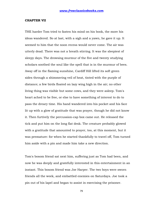#### **CHAPTER VII**

THE harder Tom tried to fasten his mind on his book, the more his ideas wandered. So at last, with a sigh and a yawn, he gave it up. It seemed to him that the noon recess would never come. The air was utterly dead. There was not a breath stirring. It was the sleepiest of sleepy days. The drowsing murmur of the five and twenty studying scholars soothed the soul like the spell that is in the murmur of bees. Away off in the flaming sunshine, Cardiff Hill lifted its soft green sides through a shimmering veil of heat, tinted with the purple of distance; a few birds floated on lazy wing high in the air; no other living thing was visible but some cows, and they were asleep. Tom's heart ached to be free, or else to have something of interest to do to pass the dreary time. His hand wandered into his pocket and his face lit up with a glow of gratitude that was prayer, though he did not know it. Then furtively the percussion-cap box came out. He released the tick and put him on the long flat desk. The creature probably glowed with a gratitude that amounted to prayer, too, at this moment, but it was premature: for when he started thankfully to travel off, Tom turned him aside with a pin and made him take a new direction.

Tom's bosom friend sat next him, suffering just as Tom had been, and now he was deeply and gratefully interested in this entertainment in an instant. This bosom friend was Joe Harper. The two boys were sworn friends all the week, and embattled enemies on Saturdays. Joe took a pin out of his lapel and began to assist in exercising the prisoner.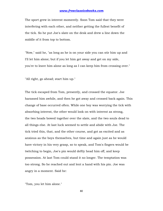The sport grew in interest momently. Soon Tom said that they were interfering with each other, and neither getting the fullest benefit of the tick. So he put Joe's slate on the desk and drew a line down the middle of it from top to bottom.

"Now," said he, "as long as he is on your side you can stir him up and I'll let him alone; but if you let him get away and get on my side, you're to leave him alone as long as I can keep him from crossing over."

"All right, go ahead; start him up."

The tick escaped from Tom, presently, and crossed the equator. Joe harassed him awhile, and then he got away and crossed back again. This change of base occurred often. While one boy was worrying the tick with absorbing interest, the other would look on with interest as strong, the two heads bowed together over the slate, and the two souls dead to all things else. At last luck seemed to settle and abide with Joe. The tick tried this, that, and the other course, and got as excited and as anxious as the boys themselves, but time and again just as he would have victory in his very grasp, so to speak, and Tom's fingers would be twitching to begin, Joe's pin would deftly head him off, and keep possession. At last Tom could stand it no longer. The temptation was too strong. So he reached out and lent a hand with his pin. Joe was angry in a moment. Said he:

"Tom, you let him alone."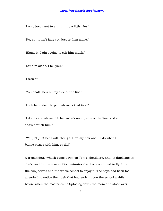"I only just want to stir him up a little, Joe."

"No, sir, it ain't fair; you just let him alone."

"Blame it, I ain't going to stir him much."

"Let him alone, I tell you."

"I won't!"

"You shall--he's on my side of the line."

"Look here, Joe Harper, whose is that tick?"

"I don't care whose tick he is--he's on my side of the line, and you sha'n't touch him."

"Well, I'll just bet I will, though. He's my tick and I'll do what I blame please with him, or die!"

A tremendous whack came down on Tom's shoulders, and its duplicate on Joe's; and for the space of two minutes the dust continued to fly from the two jackets and the whole school to enjoy it. The boys had been too absorbed to notice the hush that had stolen upon the school awhile before when the master came tiptoeing down the room and stood over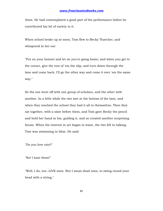them. He had contemplated a good part of the performance before he contributed his bit of variety to it.

When school broke up at noon, Tom flew to Becky Thatcher, and whispered in her ear:

"Put on your bonnet and let on you're going home; and when you get to the corner, give the rest of 'em the slip, and turn down through the lane and come back. I'll go the other way and come it over 'em the same way."

So the one went off with one group of scholars, and the other with another. In a little while the two met at the bottom of the lane, and when they reached the school they had it all to themselves. Then they sat together, with a slate before them, and Tom gave Becky the pencil and held her hand in his, guiding it, and so created another surprising house. When the interest in art began to wane, the two fell to talking. Tom was swimming in bliss. He said:

"Do you love rats?"

"No! I hate them!"

"Well, I do, too--LIVE ones. But I mean dead ones, to swing round your head with a string."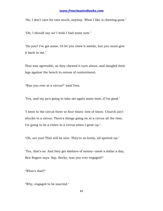"No, I don't care for rats much, anyway. What I like is chewing-gum."

"Oh, I should say so! I wish I had some now."

"Do you? I've got some. I'll let you chew it awhile, but you must give it back to me."

That was agreeable, so they chewed it turn about, and dangled their legs against the bench in excess of contentment.

"Was you ever at a circus?" said Tom.

"Yes, and my pa's going to take me again some time, if I'm good."

"I been to the circus three or four times--lots of times. Church ain't shucks to a circus. There's things going on at a circus all the time. I'm going to be a clown in a circus when I grow up."

"Oh, are you! That will be nice. They're so lovely, all spotted up."

"Yes, that's so. And they get slathers of money--most a dollar a day, Ben Rogers says. Say, Becky, was you ever engaged?"

"What's that?"

"Why, engaged to be married."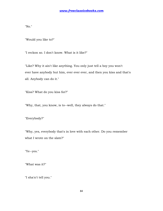"No."

"Would you like to?"

"I reckon so. I don't know. What is it like?"

"Like? Why it ain't like anything. You only just tell a boy you won't ever have anybody but him, ever ever ever, and then you kiss and that's all. Anybody can do it."

"Kiss? What do you kiss for?"

"Why, that, you know, is to--well, they always do that."

"Everybody?"

"Why, yes, everybody that's in love with each other. Do you remember what I wrote on the slate?"

"Ye--yes."

"What was it?"

"I sha'n't tell you."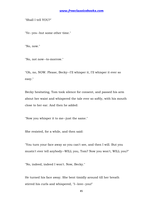"Shall I tell YOU?"

"Ye--yes--but some other time."

"No, now."

"No, not now--to-morrow."

"Oh, no, NOW. Please, Becky--I'll whisper it, I'll whisper it ever so easy."

Becky hesitating, Tom took silence for consent, and passed his arm about her waist and whispered the tale ever so softly, with his mouth close to her ear. And then he added:

"Now you whisper it to me--just the same."

She resisted, for a while, and then said:

"You turn your face away so you can't see, and then I will. But you mustn't ever tell anybody--WILL you, Tom? Now you won't, WILL you?"

"No, indeed, indeed I won't. Now, Becky."

He turned his face away. She bent timidly around till her breath stirred his curls and whispered, "I--love--you!"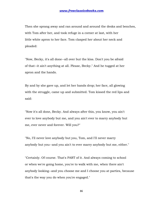Then she sprang away and ran around and around the desks and benches, with Tom after her, and took refuge in a corner at last, with her little white apron to her face. Tom clasped her about her neck and pleaded:

"Now, Becky, it's all done--all over but the kiss. Don't you be afraid of that--it ain't anything at all. Please, Becky." And he tugged at her apron and the hands.

By and by she gave up, and let her hands drop; her face, all glowing with the struggle, came up and submitted. Tom kissed the red lips and said:

"Now it's all done, Becky. And always after this, you know, you ain't ever to love anybody but me, and you ain't ever to marry anybody but me, ever never and forever. Will you?"

"No, I'll never love anybody but you, Tom, and I'll never marry anybody but you--and you ain't to ever marry anybody but me, either."

"Certainly. Of course. That's PART of it. And always coming to school or when we're going home, you're to walk with me, when there ain't anybody looking--and you choose me and I choose you at parties, because that's the way you do when you're engaged."

86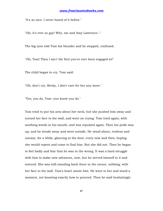"It's so nice. I never heard of it before."

"Oh, it's ever so gay! Why, me and Amy Lawrence--"

The big eyes told Tom his blunder and he stopped, confused.

"Oh, Tom! Then I ain't the first you've ever been engaged to!"

The child began to cry. Tom said:

"Oh, don't cry, Becky, I don't care for her any more."

"Yes, you do, Tom--you know you do."

Tom tried to put his arm about her neck, but she pushed him away and turned her face to the wall, and went on crying. Tom tried again, with soothing words in his mouth, and was repulsed again. Then his pride was up, and he strode away and went outside. He stood about, restless and uneasy, for a while, glancing at the door, every now and then, hoping she would repent and come to find him. But she did not. Then he began to feel badly and fear that he was in the wrong. It was a hard struggle with him to make new advances, now, but he nerved himself to it and entered. She was still standing back there in the corner, sobbing, with her face to the wall. Tom's heart smote him. He went to her and stood a moment, not knowing exactly how to proceed. Then he said hesitatingly: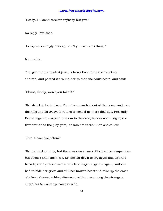"Becky, I--I don't care for anybody but you."

No reply--but sobs.

"Becky"--pleadingly. "Becky, won't you say something?"

More sobs.

Tom got out his chiefest jewel, a brass knob from the top of an andiron, and passed it around her so that she could see it, and said:

"Please, Becky, won't you take it?"

She struck it to the floor. Then Tom marched out of the house and over the hills and far away, to return to school no more that day. Presently Becky began to suspect. She ran to the door; he was not in sight; she flew around to the play-yard; he was not there. Then she called:

"Tom! Come back, Tom!"

She listened intently, but there was no answer. She had no companions but silence and loneliness. So she sat down to cry again and upbraid herself; and by this time the scholars began to gather again, and she had to hide her griefs and still her broken heart and take up the cross of a long, dreary, aching afternoon, with none among the strangers about her to exchange sorrows with.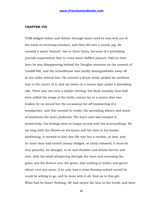### **CHAPTER VIII**

TOM dodged hither and thither through lanes until he was well out of the track of returning scholars, and then fell into a moody jog. He crossed a small "branch" two or three times, because of a prevailing juvenile superstition that to cross water baffled pursuit. Half an hour later he was disappearing behind the Douglas mansion on the summit of Cardiff Hill, and the schoolhouse was hardly distinguishable away off in the valley behind him. He entered a dense wood, picked his pathless way to the centre of it, and sat down on a mossy spot under a spreading oak. There was not even a zephyr stirring; the dead noonday heat had even stilled the songs of the birds; nature lay in a trance that was broken by no sound but the occasional far-off hammering of a woodpecker, and this seemed to render the pervading silence and sense of loneliness the more profound. The boy's soul was steeped in melancholy; his feelings were in happy accord with his surroundings. He sat long with his elbows on his knees and his chin in his hands, meditating. It seemed to him that life was but a trouble, at best, and he more than half envied Jimmy Hodges, so lately released; it must be very peaceful, he thought, to lie and slumber and dream forever and ever, with the wind whispering through the trees and caressing the grass and the flowers over the grave, and nothing to bother and grieve about, ever any more. If he only had a clean Sunday-school record he could be willing to go, and be done with it all. Now as to this girl. What had he done? Nothing. He had meant the best in the world, and been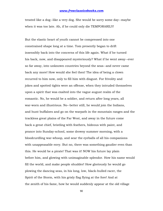treated like a dog--like a very dog. She would be sorry some day--maybe when it was too late. Ah, if he could only die TEMPORARILY!

But the elastic heart of youth cannot be compressed into one constrained shape long at a time. Tom presently began to drift insensibly back into the concerns of this life again. What if he turned his back, now, and disappeared mysteriously? What if he went away--ever so far away, into unknown countries beyond the seas--and never came back any more! How would she feel then! The idea of being a clown recurred to him now, only to fill him with disgust. For frivolity and jokes and spotted tights were an offense, when they intruded themselves upon a spirit that was exalted into the vague august realm of the romantic. No, he would be a soldier, and return after long years, all war-worn and illustrious. No--better still, he would join the Indians, and hunt buffaloes and go on the warpath in the mountain ranges and the trackless great plains of the Far West, and away in the future come back a great chief, bristling with feathers, hideous with paint, and prance into Sunday-school, some drowsy summer morning, with a bloodcurdling war-whoop, and sear the eyeballs of all his companions with unappeasable envy. But no, there was something gaudier even than this. He would be a pirate! That was it! NOW his future lay plain before him, and glowing with unimaginable splendor. How his name would fill the world, and make people shudder! How gloriously he would go plowing the dancing seas, in his long, low, black-hulled racer, the Spirit of the Storm, with his grisly flag flying at the fore! And at the zenith of his fame, how he would suddenly appear at the old village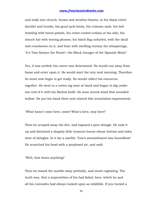and stalk into church, brown and weather-beaten, in his black velvet doublet and trunks, his great jack-boots, his crimson sash, his belt bristling with horse-pistols, his crime-rusted cutlass at his side, his slouch hat with waving plumes, his black flag unfurled, with the skull and crossbones on it, and hear with swelling ecstasy the whisperings, "It's Tom Sawyer the Pirate!--the Black Avenger of the Spanish Main!"

Yes, it was settled; his career was determined. He would run away from home and enter upon it. He would start the very next morning. Therefore he must now begin to get ready. He would collect his resources together. He went to a rotten log near at hand and began to dig under one end of it with his Barlow knife. He soon struck wood that sounded hollow. He put his hand there and uttered this incantation impressively:

"What hasn't come here, come! What's here, stay here!"

Then he scraped away the dirt, and exposed a pine shingle. He took it up and disclosed a shapely little treasure-house whose bottom and sides were of shingles. In it lay a marble. Tom's astonishment was boundless! He scratched his head with a perplexed air, and said:

"Well, that beats anything!"

Then he tossed the marble away pettishly, and stood cogitating. The truth was, that a superstition of his had failed, here, which he and all his comrades had always looked upon as infallible. If you buried a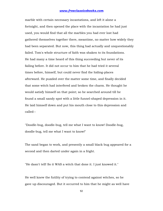marble with certain necessary incantations, and left it alone a fortnight, and then opened the place with the incantation he had just used, you would find that all the marbles you had ever lost had gathered themselves together there, meantime, no matter how widely they had been separated. But now, this thing had actually and unquestionably failed. Tom's whole structure of faith was shaken to its foundations. He had many a time heard of this thing succeeding but never of its failing before. It did not occur to him that he had tried it several times before, himself, but could never find the hiding-places afterward. He puzzled over the matter some time, and finally decided that some witch had interfered and broken the charm. He thought he would satisfy himself on that point; so he searched around till he found a small sandy spot with a little funnel-shaped depression in it. He laid himself down and put his mouth close to this depression and called--

"Doodle-bug, doodle-bug, tell me what I want to know! Doodle-bug, doodle-bug, tell me what I want to know!"

The sand began to work, and presently a small black bug appeared for a second and then darted under again in a fright.

"He dasn't tell! So it WAS a witch that done it. I just knowed it."

He well knew the futility of trying to contend against witches, so he gave up discouraged. But it occurred to him that he might as well have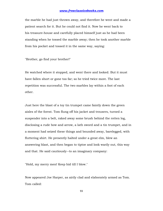the marble he had just thrown away, and therefore he went and made a patient search for it. But he could not find it. Now he went back to his treasure-house and carefully placed himself just as he had been standing when he tossed the marble away; then he took another marble from his pocket and tossed it in the same way, saying:

"Brother, go find your brother!"

He watched where it stopped, and went there and looked. But it must have fallen short or gone too far; so he tried twice more. The last repetition was successful. The two marbles lay within a foot of each other.

Just here the blast of a toy tin trumpet came faintly down the green aisles of the forest. Tom flung off his jacket and trousers, turned a suspender into a belt, raked away some brush behind the rotten log, disclosing a rude bow and arrow, a lath sword and a tin trumpet, and in a moment had seized these things and bounded away, barelegged, with fluttering shirt. He presently halted under a great elm, blew an answering blast, and then began to tiptoe and look warily out, this way and that. He said cautiously--to an imaginary company:

"Hold, my merry men! Keep hid till I blow."

Now appeared Joe Harper, as airily clad and elaborately armed as Tom. Tom called: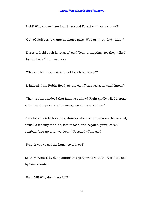"Hold! Who comes here into Sherwood Forest without my pass?"

"Guy of Guisborne wants no man's pass. Who art thou that--that--"

"Dares to hold such language," said Tom, prompting--for they talked "by the book," from memory.

"Who art thou that dares to hold such language?"

"I, indeed! I am Robin Hood, as thy caitiff carcase soon shall know."

"Then art thou indeed that famous outlaw? Right gladly will I dispute with thee the passes of the merry wood. Have at thee!"

They took their lath swords, dumped their other traps on the ground, struck a fencing attitude, foot to foot, and began a grave, careful combat, "two up and two down." Presently Tom said:

"Now, if you've got the hang, go it lively!"

So they "went it lively," panting and perspiring with the work. By and by Tom shouted:

"Fall! fall! Why don't you fall?"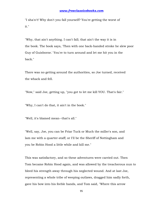"I sha'n't! Why don't you fall yourself? You're getting the worst of it."

"Why, that ain't anything. I can't fall; that ain't the way it is in the book. The book says, 'Then with one back-handed stroke he slew poor Guy of Guisborne.' You're to turn around and let me hit you in the back."

There was no getting around the authorities, so Joe turned, received the whack and fell.

"Now," said Joe, getting up, "you got to let me kill YOU. That's fair."

"Why, I can't do that, it ain't in the book."

"Well, it's blamed mean--that's all."

"Well, say, Joe, you can be Friar Tuck or Much the miller's son, and lam me with a quarter-staff; or I'll be the Sheriff of Nottingham and you be Robin Hood a little while and kill me."

This was satisfactory, and so these adventures were carried out. Then Tom became Robin Hood again, and was allowed by the treacherous nun to bleed his strength away through his neglected wound. And at last Joe, representing a whole tribe of weeping outlaws, dragged him sadly forth, gave his bow into his feeble hands, and Tom said, "Where this arrow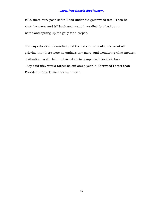falls, there bury poor Robin Hood under the greenwood tree." Then he shot the arrow and fell back and would have died, but he lit on a nettle and sprang up too gaily for a corpse.

The boys dressed themselves, hid their accoutrements, and went off grieving that there were no outlaws any more, and wondering what modern civilization could claim to have done to compensate for their loss. They said they would rather be outlaws a year in Sherwood Forest than President of the United States forever.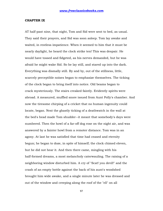#### **CHAPTER IX**

AT half-past nine, that night, Tom and Sid were sent to bed, as usual. They said their prayers, and Sid was soon asleep. Tom lay awake and waited, in restless impatience. When it seemed to him that it must be nearly daylight, he heard the clock strike ten! This was despair. He would have tossed and fidgeted, as his nerves demanded, but he was afraid he might wake Sid. So he lay still, and stared up into the dark. Everything was dismally still. By and by, out of the stillness, little, scarcely perceptible noises began to emphasize themselves. The ticking of the clock began to bring itself into notice. Old beams began to crack mysteriously. The stairs creaked faintly. Evidently spirits were abroad. A measured, muffled snore issued from Aunt Polly's chamber. And now the tiresome chirping of a cricket that no human ingenuity could locate, began. Next the ghastly ticking of a deathwatch in the wall at the bed's head made Tom shudder--it meant that somebody's days were numbered. Then the howl of a far-off dog rose on the night air, and was answered by a fainter howl from a remoter distance. Tom was in an agony. At last he was satisfied that time had ceased and eternity begun; he began to doze, in spite of himself; the clock chimed eleven, but he did not hear it. And then there came, mingling with his half-formed dreams, a most melancholy caterwauling. The raising of a neighboring window disturbed him. A cry of "Scat! you devil!" and the crash of an empty bottle against the back of his aunt's woodshed brought him wide awake, and a single minute later he was dressed and out of the window and creeping along the roof of the "ell" on all

97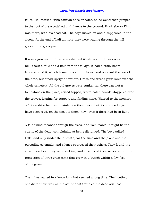fours. He "meow'd" with caution once or twice, as he went; then jumped to the roof of the woodshed and thence to the ground. Huckleberry Finn was there, with his dead cat. The boys moved off and disappeared in the gloom. At the end of half an hour they were wading through the tall grass of the graveyard.

It was a graveyard of the old-fashioned Western kind. It was on a hill, about a mile and a half from the village. It had a crazy board fence around it, which leaned inward in places, and outward the rest of the time, but stood upright nowhere. Grass and weeds grew rank over the whole cemetery. All the old graves were sunken in, there was not a tombstone on the place; round-topped, worm-eaten boards staggered over the graves, leaning for support and finding none. "Sacred to the memory of" So-and-So had been painted on them once, but it could no longer have been read, on the most of them, now, even if there had been light.

A faint wind moaned through the trees, and Tom feared it might be the spirits of the dead, complaining at being disturbed. The boys talked little, and only under their breath, for the time and the place and the pervading solemnity and silence oppressed their spirits. They found the sharp new heap they were seeking, and ensconced themselves within the protection of three great elms that grew in a bunch within a few feet of the grave.

Then they waited in silence for what seemed a long time. The hooting of a distant owl was all the sound that troubled the dead stillness.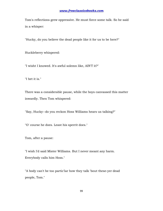Tom's reflections grew oppressive. He must force some talk. So he said in a whisper:

"Hucky, do you believe the dead people like it for us to be here?"

Huckleberry whispered:

"I wisht I knowed. It's awful solemn like, AIN'T it?"

"I bet it is."

There was a considerable pause, while the boys canvassed this matter inwardly. Then Tom whispered:

"Say, Hucky--do you reckon Hoss Williams hears us talking?"

"O' course he does. Least his sperrit does."

Tom, after a pause:

"I wish I'd said Mister Williams. But I never meant any harm. Everybody calls him Hoss."

"A body can't be too partic'lar how they talk 'bout these-yer dead people, Tom."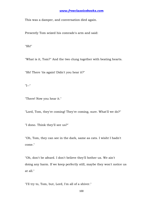This was a damper, and conversation died again.

Presently Tom seized his comrade's arm and said:

"Sh!"

"What is it, Tom?" And the two clung together with beating hearts.

"Sh! There 'tis again! Didn't you hear it?"

"I--"

"There! Now you hear it."

"Lord, Tom, they're coming! They're coming, sure. What'll we do?"

"I dono. Think they'll see us?"

"Oh, Tom, they can see in the dark, same as cats. I wisht I hadn't come."

"Oh, don't be afeard. I don't believe they'll bother us. We ain't doing any harm. If we keep perfectly still, maybe they won't notice us at all."

"I'll try to, Tom, but, Lord, I'm all of a shiver."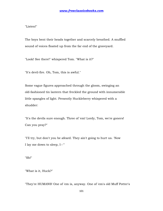"Listen!"

The boys bent their heads together and scarcely breathed. A muffled sound of voices floated up from the far end of the graveyard.

"Look! See there!" whispered Tom. "What is it?"

"It's devil-fire. Oh, Tom, this is awful."

Some vague figures approached through the gloom, swinging an old-fashioned tin lantern that freckled the ground with innumerable little spangles of light. Presently Huckleberry whispered with a shudder:

"It's the devils sure enough. Three of 'em! Lordy, Tom, we're goners! Can you pray?"

"I'll try, but don't you be afeard. They ain't going to hurt us. 'Now I lay me down to sleep, I--'"

"Sh!"

"What is it, Huck?"

"They're HUMANS! One of 'em is, anyway. One of 'em's old Muff Potter's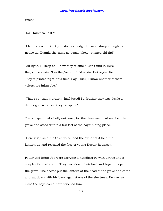voice."

"No--'tain't so, is it?"

"I bet I know it. Don't you stir nor budge. He ain't sharp enough to notice us. Drunk, the same as usual, likely--blamed old rip!"

"All right, I'll keep still. Now they're stuck. Can't find it. Here they come again. Now they're hot. Cold again. Hot again. Red hot! They're p'inted right, this time. Say, Huck, I know another o' them voices; it's Injun Joe."

"That's so--that murderin' half-breed! I'd druther they was devils a dern sight. What kin they be up to?"

The whisper died wholly out, now, for the three men had reached the grave and stood within a few feet of the boys' hiding-place.

"Here it is," said the third voice; and the owner of it held the lantern up and revealed the face of young Doctor Robinson.

Potter and Injun Joe were carrying a handbarrow with a rope and a couple of shovels on it. They cast down their load and began to open the grave. The doctor put the lantern at the head of the grave and came and sat down with his back against one of the elm trees. He was so close the boys could have touched him.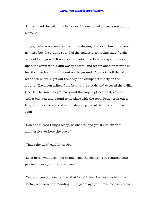"Hurry, men!" he said, in a low voice; "the moon might come out at any moment."

They growled a response and went on digging. For some time there was no noise but the grating sound of the spades discharging their freight of mould and gravel. It was very monotonous. Finally a spade struck upon the coffin with a dull woody accent, and within another minute or two the men had hoisted it out on the ground. They pried off the lid with their shovels, got out the body and dumped it rudely on the ground. The moon drifted from behind the clouds and exposed the pallid face. The barrow was got ready and the corpse placed on it, covered with a blanket, and bound to its place with the rope. Potter took out a large spring-knife and cut off the dangling end of the rope and then said:

"Now the cussed thing's ready, Sawbones, and you'll just out with another five, or here she stays."

"That's the talk!" said Injun Joe.

"Look here, what does this mean?" said the doctor. "You required your pay in advance, and I've paid you."

"Yes, and you done more than that," said Injun Joe, approaching the doctor, who was now standing. "Five years ago you drove me away from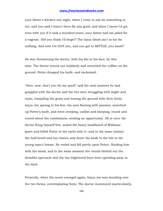your father's kitchen one night, when I come to ask for something to eat, and you said I warn't there for any good; and when I swore I'd get even with you if it took a hundred years, your father had me jailed for a vagrant. Did you think I'd forget? The Injun blood ain't in me for nothing. And now I've GOT you, and you got to SETTLE, you know!"

He was threatening the doctor, with his fist in his face, by this time. The doctor struck out suddenly and stretched the ruffian on the ground. Potter dropped his knife, and exclaimed:

"Here, now, don't you hit my pard!" and the next moment he had grappled with the doctor and the two were struggling with might and main, trampling the grass and tearing the ground with their heels. Injun Joe sprang to his feet, his eyes flaming with passion, snatched up Potter's knife, and went creeping, catlike and stooping, round and round about the combatants, seeking an opportunity. All at once the doctor flung himself free, seized the heavy headboard of Williams' grave and felled Potter to the earth with it--and in the same instant the half-breed saw his chance and drove the knife to the hilt in the young man's breast. He reeled and fell partly upon Potter, flooding him with his blood, and in the same moment the clouds blotted out the dreadful spectacle and the two frightened boys went speeding away in the dark.

Presently, when the moon emerged again, Injun Joe was standing over the two forms, contemplating them. The doctor murmured inarticulately,

104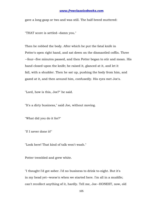gave a long gasp or two and was still. The half-breed muttered:

"THAT score is settled--damn you."

Then he robbed the body. After which he put the fatal knife in Potter's open right hand, and sat down on the dismantled coffin. Three --four--five minutes passed, and then Potter began to stir and moan. His hand closed upon the knife; he raised it, glanced at it, and let it fall, with a shudder. Then he sat up, pushing the body from him, and gazed at it, and then around him, confusedly. His eyes met Joe's.

"Lord, how is this, Joe?" he said.

"It's a dirty business," said Joe, without moving.

"What did you do it for?"

"I! I never done it!"

"Look here! That kind of talk won't wash."

Potter trembled and grew white.

"I thought I'd got sober. I'd no business to drink to-night. But it's in my head yet--worse'n when we started here. I'm all in a muddle; can't recollect anything of it, hardly. Tell me, Joe--HONEST, now, old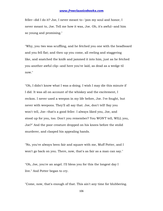feller--did I do it? Joe, I never meant to--'pon my soul and honor, I never meant to, Joe. Tell me how it was, Joe. Oh, it's awful--and him so young and promising."

"Why, you two was scuffling, and he fetched you one with the headboard and you fell flat; and then up you come, all reeling and staggering like, and snatched the knife and jammed it into him, just as he fetched you another awful clip--and here you've laid, as dead as a wedge til now."

"Oh, I didn't know what I was a-doing. I wish I may die this minute if I did. It was all on account of the whiskey and the excitement, I reckon. I never used a weepon in my life before, Joe. I've fought, but never with weepons. They'll all say that. Joe, don't tell! Say you won't tell, Joe--that's a good feller. I always liked you, Joe, and stood up for you, too. Don't you remember? You WON'T tell, WILL you, Joe?" And the poor creature dropped on his knees before the stolid murderer, and clasped his appealing hands.

"No, you've always been fair and square with me, Muff Potter, and I won't go back on you. There, now, that's as fair as a man can say."

"Oh, Joe, you're an angel. I'll bless you for this the longest day I live." And Potter began to cry.

"Come, now, that's enough of that. This ain't any time for blubbering.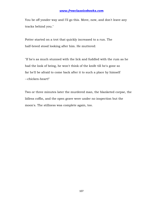You be off yonder way and I'll go this. Move, now, and don't leave any tracks behind you."

Potter started on a trot that quickly increased to a run. The half-breed stood looking after him. He muttered:

"If he's as much stunned with the lick and fuddled with the rum as he had the look of being, he won't think of the knife till he's gone so far he'll be afraid to come back after it to such a place by himself --chicken-heart!"

Two or three minutes later the murdered man, the blanketed corpse, the lidless coffin, and the open grave were under no inspection but the moon's. The stillness was complete again, too.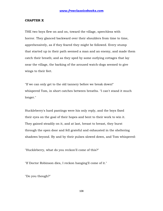#### **CHAPTER X**

THE two boys flew on and on, toward the village, speechless with horror. They glanced backward over their shoulders from time to time, apprehensively, as if they feared they might be followed. Every stump that started up in their path seemed a man and an enemy, and made them catch their breath; and as they sped by some outlying cottages that lay near the village, the barking of the aroused watch-dogs seemed to give wings to their feet.

"If we can only get to the old tannery before we break down!" whispered Tom, in short catches between breaths. "I can't stand it much longer."

Huckleberry's hard pantings were his only reply, and the boys fixed their eyes on the goal of their hopes and bent to their work to win it. They gained steadily on it, and at last, breast to breast, they burst through the open door and fell grateful and exhausted in the sheltering shadows beyond. By and by their pulses slowed down, and Tom whispered:

"Huckleberry, what do you reckon'll come of this?"

"If Doctor Robinson dies, I reckon hanging'll come of it."

"Do you though?"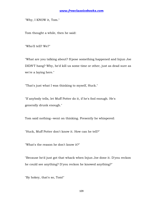"Why, I KNOW it, Tom."

Tom thought a while, then he said:

"Who'll tell? We?"

"What are you talking about? S'pose something happened and Injun Joe DIDN'T hang? Why, he'd kill us some time or other, just as dead sure as we're a laying here."

"That's just what I was thinking to myself, Huck."

"If anybody tells, let Muff Potter do it, if he's fool enough. He's generally drunk enough."

Tom said nothing--went on thinking. Presently he whispered:

"Huck, Muff Potter don't know it. How can he tell?"

"What's the reason he don't know it?"

"Because he'd just got that whack when Injun Joe done it. D'you reckon he could see anything? D'you reckon he knowed anything?"

"By hokey, that's so, Tom!"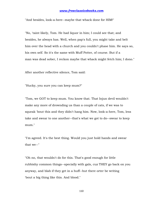"And besides, look-a-here--maybe that whack done for HIM!"

"No, 'taint likely, Tom. He had liquor in him; I could see that; and besides, he always has. Well, when pap's full, you might take and belt him over the head with a church and you couldn't phase him. He says so, his own self. So it's the same with Muff Potter, of course. But if a man was dead sober, I reckon maybe that whack might fetch him; I dono."

After another reflective silence, Tom said:

"Hucky, you sure you can keep mum?"

"Tom, we GOT to keep mum. You know that. That Injun devil wouldn't make any more of drownding us than a couple of cats, if we was to squeak 'bout this and they didn't hang him. Now, look-a-here, Tom, less take and swear to one another--that's what we got to do--swear to keep mum."

"I'm agreed. It's the best thing. Would you just hold hands and swear that we--"

"Oh no, that wouldn't do for this. That's good enough for little rubbishy common things--specially with gals, cuz THEY go back on you anyway, and blab if they get in a huff--but there orter be writing 'bout a big thing like this. And blood."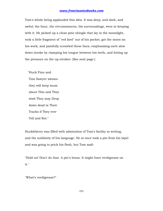Tom's whole being applauded this idea. It was deep, and dark, and awful; the hour, the circumstances, the surroundings, were in keeping with it. He picked up a clean pine shingle that lay in the moonlight, took a little fragment of "red keel" out of his pocket, got the moon on his work, and painfully scrawled these lines, emphasizing each slow down-stroke by clamping his tongue between his teeth, and letting up the pressure on the up-strokes. [See next page.]

 "Huck Finn and Tom Sawyer swears they will keep mum about This and They wish They may Drop down dead in Their Tracks if They ever Tell and Rot."

Huckleberry was filled with admiration of Tom's facility in writing, and the sublimity of his language. He at once took a pin from his lapel and was going to prick his flesh, but Tom said:

"Hold on! Don't do that. A pin's brass. It might have verdigrease on it."

"What's verdigrease?"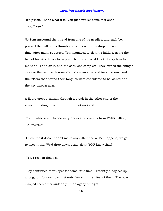"It's p'ison. That's what it is. You just swaller some of it once --you'll see."

So Tom unwound the thread from one of his needles, and each boy pricked the ball of his thumb and squeezed out a drop of blood. In time, after many squeezes, Tom managed to sign his initials, using the ball of his little finger for a pen. Then he showed Huckleberry how to make an H and an F, and the oath was complete. They buried the shingle close to the wall, with some dismal ceremonies and incantations, and the fetters that bound their tongues were considered to be locked and the key thrown away.

A figure crept stealthily through a break in the other end of the ruined building, now, but they did not notice it.

"Tom," whispered Huckleberry, "does this keep us from EVER telling --ALWAYS?"

"Of course it does. It don't make any difference WHAT happens, we got to keep mum. We'd drop down dead--don't YOU know that?"

"Yes, I reckon that's so."

They continued to whisper for some little time. Presently a dog set up a long, lugubrious howl just outside--within ten feet of them. The boys clasped each other suddenly, in an agony of fright.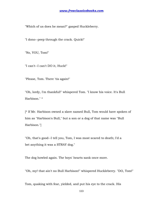"Which of us does he mean?" gasped Huckleberry.

"I dono--peep through the crack. Quick!"

"No, YOU, Tom!"

"I can't--I can't DO it, Huck!"

"Please, Tom. There 'tis again!"

"Oh, lordy, I'm thankful!" whispered Tom. "I know his voice. It's Bull Harbison." \*

[\* If Mr. Harbison owned a slave named Bull, Tom would have spoken of him as "Harbison's Bull," but a son or a dog of that name was "Bull Harbison."]

"Oh, that's good--I tell you, Tom, I was most scared to death; I'd a bet anything it was a STRAY dog."

The dog howled again. The boys' hearts sank once more.

"Oh, my! that ain't no Bull Harbison!" whispered Huckleberry. "DO, Tom!"

Tom, quaking with fear, yielded, and put his eye to the crack. His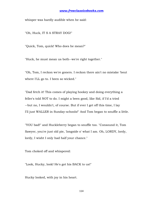whisper was hardly audible when he said:

"Oh, Huck, IT S A STRAY DOG!"

"Quick, Tom, quick! Who does he mean?"

"Huck, he must mean us both--we're right together."

"Oh, Tom, I reckon we're goners. I reckon there ain't no mistake 'bout where I'LL go to. I been so wicked."

"Dad fetch it! This comes of playing hookey and doing everything a feller's told NOT to do. I might a been good, like Sid, if I'd a tried --but no, I wouldn't, of course. But if ever I get off this time, I lay I'll just WALLER in Sunday-schools!" And Tom began to snuffle a little.

"YOU bad!" and Huckleberry began to snuffle too. "Consound it, Tom Sawyer, you're just old pie, 'longside o' what I am. Oh, LORDY, lordy, lordy, I wisht I only had half your chance."

Tom choked off and whispered:

"Look, Hucky, look! He's got his BACK to us!"

Hucky looked, with joy in his heart.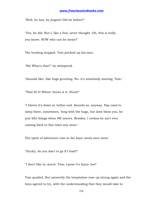"Well, he has, by jingoes! Did he before?"

"Yes, he did. But I, like a fool, never thought. Oh, this is bully, you know. NOW who can he mean?"

The howling stopped. Tom pricked up his ears.

"Sh! What's that?" he whispered.

"Sounds like--like hogs grunting. No--it's somebody snoring, Tom."

"That IS it! Where 'bouts is it, Huck?"

"I bleeve it's down at 'tother end. Sounds so, anyway. Pap used to sleep there, sometimes, 'long with the hogs, but laws bless you, he just lifts things when HE snores. Besides, I reckon he ain't ever coming back to this town any more."

The spirit of adventure rose in the boys' souls once more.

"Hucky, do you das't to go if I lead?"

"I don't like to, much. Tom, s'pose it's Injun Joe!"

Tom quailed. But presently the temptation rose up strong again and the boys agreed to try, with the understanding that they would take to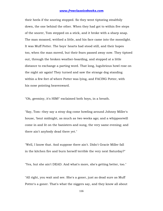their heels if the snoring stopped. So they went tiptoeing stealthily down, the one behind the other. When they had got to within five steps of the snorer, Tom stepped on a stick, and it broke with a sharp snap. The man moaned, writhed a little, and his face came into the moonlight. It was Muff Potter. The boys' hearts had stood still, and their hopes too, when the man moved, but their fears passed away now. They tiptoed out, through the broken weather-boarding, and stopped at a little distance to exchange a parting word. That long, lugubrious howl rose on the night air again! They turned and saw the strange dog standing within a few feet of where Potter was lying, and FACING Potter, with his nose pointing heavenward.

"Oh, geeminy, it's HIM!" exclaimed both boys, in a breath.

"Say, Tom--they say a stray dog come howling around Johnny Miller's house, 'bout midnight, as much as two weeks ago; and a whippoorwill come in and lit on the banisters and sung, the very same evening; and there ain't anybody dead there yet."

"Well, I know that. And suppose there ain't. Didn't Gracie Miller fall in the kitchen fire and burn herself terrible the very next Saturday?"

"Yes, but she ain't DEAD. And what's more, she's getting better, too."

"All right, you wait and see. She's a goner, just as dead sure as Muff Potter's a goner. That's what the niggers say, and they know all about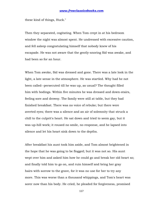these kind of things, Huck."

Then they separated, cogitating. When Tom crept in at his bedroom window the night was almost spent. He undressed with excessive caution, and fell asleep congratulating himself that nobody knew of his escapade. He was not aware that the gently-snoring Sid was awake, and had been so for an hour.

When Tom awoke, Sid was dressed and gone. There was a late look in the light, a late sense in the atmosphere. He was startled. Why had he not been called--persecuted till he was up, as usual? The thought filled him with bodings. Within five minutes he was dressed and down-stairs, feeling sore and drowsy. The family were still at table, but they had finished breakfast. There was no voice of rebuke; but there were averted eyes; there was a silence and an air of solemnity that struck a chill to the culprit's heart. He sat down and tried to seem gay, but it was up-hill work; it roused no smile, no response, and he lapsed into silence and let his heart sink down to the depths.

After breakfast his aunt took him aside, and Tom almost brightened in the hope that he was going to be flogged; but it was not so. His aunt wept over him and asked him how he could go and break her old heart so; and finally told him to go on, and ruin himself and bring her gray hairs with sorrow to the grave, for it was no use for her to try any more. This was worse than a thousand whippings, and Tom's heart was sorer now than his body. He cried, he pleaded for forgiveness, promised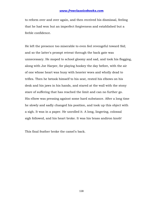to reform over and over again, and then received his dismissal, feeling that he had won but an imperfect forgiveness and established but a feeble confidence.

He left the presence too miserable to even feel revengeful toward Sid; and so the latter's prompt retreat through the back gate was unnecessary. He moped to school gloomy and sad, and took his flogging, along with Joe Harper, for playing hookey the day before, with the air of one whose heart was busy with heavier woes and wholly dead to trifles. Then he betook himself to his seat, rested his elbows on his desk and his jaws in his hands, and stared at the wall with the stony stare of suffering that has reached the limit and can no further go. His elbow was pressing against some hard substance. After a long time he slowly and sadly changed his position, and took up this object with a sigh. It was in a paper. He unrolled it. A long, lingering, colossal sigh followed, and his heart broke. It was his brass andiron knob!

This final feather broke the camel's back.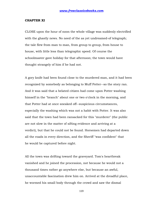#### **CHAPTER XI**

CLOSE upon the hour of noon the whole village was suddenly electrified with the ghastly news. No need of the as yet undreamed-of telegraph; the tale flew from man to man, from group to group, from house to house, with little less than telegraphic speed. Of course the schoolmaster gave holiday for that afternoon; the town would have thought strangely of him if he had not.

A gory knife had been found close to the murdered man, and it had been recognized by somebody as belonging to Muff Potter--so the story ran. And it was said that a belated citizen had come upon Potter washing himself in the "branch" about one or two o'clock in the morning, and that Potter had at once sneaked off--suspicious circumstances, especially the washing which was not a habit with Potter. It was also said that the town had been ransacked for this "murderer" (the public are not slow in the matter of sifting evidence and arriving at a verdict), but that he could not be found. Horsemen had departed down all the roads in every direction, and the Sheriff "was confident" that he would be captured before night.

All the town was drifting toward the graveyard. Tom's heartbreak vanished and he joined the procession, not because he would not a thousand times rather go anywhere else, but because an awful, unaccountable fascination drew him on. Arrived at the dreadful place, he wormed his small body through the crowd and saw the dismal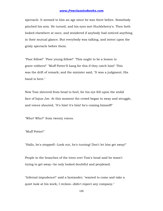spectacle. It seemed to him an age since he was there before. Somebody pinched his arm. He turned, and his eyes met Huckleberry's. Then both looked elsewhere at once, and wondered if anybody had noticed anything in their mutual glance. But everybody was talking, and intent upon the grisly spectacle before them.

"Poor fellow!" "Poor young fellow!" "This ought to be a lesson to grave robbers!" "Muff Potter'll hang for this if they catch him!" This was the drift of remark; and the minister said, "It was a judgment; His hand is here."

Now Tom shivered from head to heel; for his eye fell upon the stolid face of Injun Joe. At this moment the crowd began to sway and struggle, and voices shouted, "It's him! it's him! he's coming himself!"

"Who? Who?" from twenty voices.

"Muff Potter!"

"Hallo, he's stopped!--Look out, he's turning! Don't let him get away!"

People in the branches of the trees over Tom's head said he wasn't trying to get away--he only looked doubtful and perplexed.

"Infernal impudence!" said a bystander; "wanted to come and take a quiet look at his work, I reckon--didn't expect any company."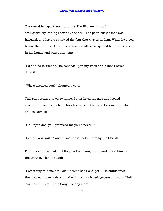The crowd fell apart, now, and the Sheriff came through, ostentatiously leading Potter by the arm. The poor fellow's face was haggard, and his eyes showed the fear that was upon him. When he stood before the murdered man, he shook as with a palsy, and he put his face in his hands and burst into tears.

"I didn't do it, friends," he sobbed; "'pon my word and honor I never done it."

"Who's accused you?" shouted a voice.

This shot seemed to carry home. Potter lifted his face and looked around him with a pathetic hopelessness in his eyes. He saw Injun Joe, and exclaimed:

"Oh, Injun Joe, you promised me you'd never--"

"Is that your knife?" and it was thrust before him by the Sheriff.

Potter would have fallen if they had not caught him and eased him to the ground. Then he said:

"Something told me 't if I didn't come back and get--" He shuddered; then waved his nerveless hand with a vanquished gesture and said, "Tell 'em, Joe, tell 'em--it ain't any use any more."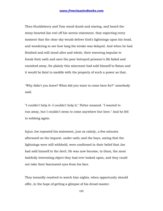Then Huckleberry and Tom stood dumb and staring, and heard the stony-hearted liar reel off his serene statement, they expecting every moment that the clear sky would deliver God's lightnings upon his head, and wondering to see how long the stroke was delayed. And when he had finished and still stood alive and whole, their wavering impulse to break their oath and save the poor betrayed prisoner's life faded and vanished away, for plainly this miscreant had sold himself to Satan and it would be fatal to meddle with the property of such a power as that.

"Why didn't you leave? What did you want to come here for?" somebody said.

"I couldn't help it--I couldn't help it," Potter moaned. "I wanted to run away, but I couldn't seem to come anywhere but here." And he fell to sobbing again.

Injun Joe repeated his statement, just as calmly, a few minutes afterward on the inquest, under oath; and the boys, seeing that the lightnings were still withheld, were confirmed in their belief that Joe had sold himself to the devil. He was now become, to them, the most balefully interesting object they had ever looked upon, and they could not take their fascinated eyes from his face.

They inwardly resolved to watch him nights, when opportunity should offer, in the hope of getting a glimpse of his dread master.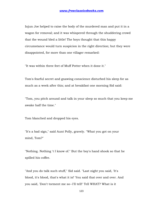Injun Joe helped to raise the body of the murdered man and put it in a wagon for removal; and it was whispered through the shuddering crowd that the wound bled a little! The boys thought that this happy circumstance would turn suspicion in the right direction; but they were disappointed, for more than one villager remarked:

"It was within three feet of Muff Potter when it done it."

Tom's fearful secret and gnawing conscience disturbed his sleep for as much as a week after this; and at breakfast one morning Sid said:

"Tom, you pitch around and talk in your sleep so much that you keep me awake half the time."

Tom blanched and dropped his eyes.

"It's a bad sign," said Aunt Polly, gravely. "What you got on your mind, Tom?"

"Nothing. Nothing 't I know of." But the boy's hand shook so that he spilled his coffee.

"And you do talk such stuff," Sid said. "Last night you said, 'It's blood, it's blood, that's what it is!' You said that over and over. And you said, 'Don't torment me so--I'll tell!' Tell WHAT? What is it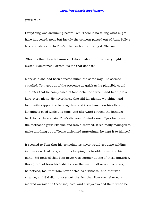you'll tell?"

Everything was swimming before Tom. There is no telling what might have happened, now, but luckily the concern passed out of Aunt Polly's face and she came to Tom's relief without knowing it. She said:

"Sho! It's that dreadful murder. I dream about it most every night myself. Sometimes I dream it's me that done it."

Mary said she had been affected much the same way. Sid seemed satisfied. Tom got out of the presence as quick as he plausibly could, and after that he complained of toothache for a week, and tied up his jaws every night. He never knew that Sid lay nightly watching, and frequently slipped the bandage free and then leaned on his elbow listening a good while at a time, and afterward slipped the bandage back to its place again. Tom's distress of mind wore off gradually and the toothache grew irksome and was discarded. If Sid really managed to make anything out of Tom's disjointed mutterings, he kept it to himself.

It seemed to Tom that his schoolmates never would get done holding inquests on dead cats, and thus keeping his trouble present to his mind. Sid noticed that Tom never was coroner at one of these inquiries, though it had been his habit to take the lead in all new enterprises; he noticed, too, that Tom never acted as a witness--and that was strange; and Sid did not overlook the fact that Tom even showed a marked aversion to these inquests, and always avoided them when he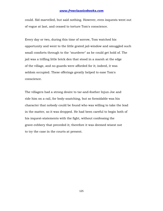could. Sid marvelled, but said nothing. However, even inquests went out of vogue at last, and ceased to torture Tom's conscience.

Every day or two, during this time of sorrow, Tom watched his opportunity and went to the little grated jail-window and smuggled such small comforts through to the "murderer" as he could get hold of. The jail was a trifling little brick den that stood in a marsh at the edge of the village, and no guards were afforded for it; indeed, it was seldom occupied. These offerings greatly helped to ease Tom's conscience.

The villagers had a strong desire to tar-and-feather Injun Joe and ride him on a rail, for body-snatching, but so formidable was his character that nobody could be found who was willing to take the lead in the matter, so it was dropped. He had been careful to begin both of his inquest-statements with the fight, without confessing the grave-robbery that preceded it; therefore it was deemed wisest not to try the case in the courts at present.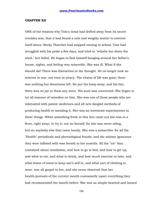#### **CHAPTER XII**

ONE of the reasons why Tom's mind had drifted away from its secret troubles was, that it had found a new and weighty matter to interest itself about. Becky Thatcher had stopped coming to school. Tom had struggled with his pride a few days, and tried to "whistle her down the wind," but failed. He began to find himself hanging around her father's house, nights, and feeling very miserable. She was ill. What if she should die! There was distraction in the thought. He no longer took an interest in war, nor even in piracy. The charm of life was gone; there was nothing but dreariness left. He put his hoop away, and his bat; there was no joy in them any more. His aunt was concerned. She began to try all manner of remedies on him. She was one of those people who are infatuated with patent medicines and all new-fangled methods of producing health or mending it. She was an inveterate experimenter in these things. When something fresh in this line came out she was in a fever, right away, to try it; not on herself, for she was never ailing, but on anybody else that came handy. She was a subscriber for all the "Health" periodicals and phrenological frauds; and the solemn ignorance they were inflated with was breath to her nostrils. All the "rot" they contained about ventilation, and how to go to bed, and how to get up, and what to eat, and what to drink, and how much exercise to take, and what frame of mind to keep one's self in, and what sort of clothing to wear, was all gospel to her, and she never observed that her health-journals of the current month customarily upset everything they had recommended the month before. She was as simple-hearted and honest

126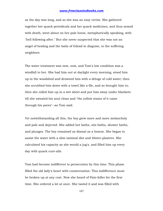as the day was long, and so she was an easy victim. She gathered together her quack periodicals and her quack medicines, and thus armed with death, went about on her pale horse, metaphorically speaking, with "hell following after." But she never suspected that she was not an angel of healing and the balm of Gilead in disguise, to the suffering neighbors.

The water treatment was new, now, and Tom's low condition was a windfall to her. She had him out at daylight every morning, stood him up in the woodshed and drowned him with a deluge of cold water; then she scrubbed him down with a towel like a file, and so brought him to; then she rolled him up in a wet sheet and put him away under blankets till she sweated his soul clean and "the yellow stains of it came through his pores"--as Tom said.

Yet notwithstanding all this, the boy grew more and more melancholy and pale and dejected. She added hot baths, sitz baths, shower baths, and plunges. The boy remained as dismal as a hearse. She began to assist the water with a slim oatmeal diet and blister-plasters. She calculated his capacity as she would a jug's, and filled him up every day with quack cure-alls.

Tom had become indifferent to persecution by this time. This phase filled the old lady's heart with consternation. This indifference must be broken up at any cost. Now she heard of Pain-killer for the first time. She ordered a lot at once. She tasted it and was filled with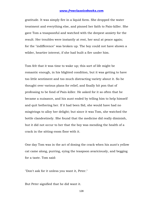gratitude. It was simply fire in a liquid form. She dropped the water treatment and everything else, and pinned her faith to Pain-killer. She gave Tom a teaspoonful and watched with the deepest anxiety for the result. Her troubles were instantly at rest, her soul at peace again; for the "indifference" was broken up. The boy could not have shown a wilder, heartier interest, if she had built a fire under him.

Tom felt that it was time to wake up; this sort of life might be romantic enough, in his blighted condition, but it was getting to have too little sentiment and too much distracting variety about it. So he thought over various plans for relief, and finally hit pon that of professing to be fond of Pain-killer. He asked for it so often that he became a nuisance, and his aunt ended by telling him to help himself and quit bothering her. If it had been Sid, she would have had no misgivings to alloy her delight; but since it was Tom, she watched the bottle clandestinely. She found that the medicine did really diminish, but it did not occur to her that the boy was mending the health of a crack in the sitting-room floor with it.

One day Tom was in the act of dosing the crack when his aunt's yellow cat came along, purring, eying the teaspoon avariciously, and begging for a taste. Tom said:

"Don't ask for it unless you want it, Peter."

But Peter signified that he did want it.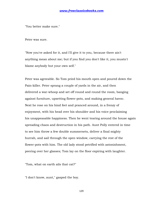"You better make sure."

Peter was sure.

"Now you've asked for it, and I'll give it to you, because there ain't anything mean about me; but if you find you don't like it, you mustn't blame anybody but your own self."

Peter was agreeable. So Tom pried his mouth open and poured down the Pain-killer. Peter sprang a couple of yards in the air, and then delivered a war-whoop and set off round and round the room, banging against furniture, upsetting flower-pots, and making general havoc. Next he rose on his hind feet and pranced around, in a frenzy of enjoyment, with his head over his shoulder and his voice proclaiming his unappeasable happiness. Then he went tearing around the house again spreading chaos and destruction in his path. Aunt Polly entered in time to see him throw a few double summersets, deliver a final mighty hurrah, and sail through the open window, carrying the rest of the flower-pots with him. The old lady stood petrified with astonishment, peering over her glasses; Tom lay on the floor expiring with laughter.

"Tom, what on earth ails that cat?"

"I don't know, aunt," gasped the boy.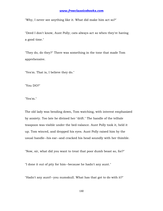"Why, I never see anything like it. What did make him act so?"

"Deed I don't know, Aunt Polly; cats always act so when they're having a good time."

"They do, do they?" There was something in the tone that made Tom apprehensive.

"Yes'm. That is, I believe they do."

"You DO?"

"Yes'm."

The old lady was bending down, Tom watching, with interest emphasized by anxiety. Too late he divined her "drift." The handle of the telltale teaspoon was visible under the bed-valance. Aunt Polly took it, held it up. Tom winced, and dropped his eyes. Aunt Polly raised him by the usual handle--his ear--and cracked his head soundly with her thimble.

"Now, sir, what did you want to treat that poor dumb beast so, for?"

"I done it out of pity for him--because he hadn't any aunt."

"Hadn't any aunt!--you numskull. What has that got to do with it?"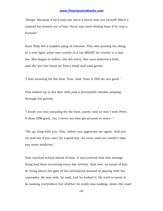"Heaps. Because if he'd had one she'd a burnt him out herself! She'd a roasted his bowels out of him 'thout any more feeling than if he was a human!"

Aunt Polly felt a sudden pang of remorse. This was putting the thing in a new light; what was cruelty to a cat MIGHT be cruelty to a boy, too. She began to soften; she felt sorry. Her eyes watered a little, and she put her hand on Tom's head and said gently:

"I was meaning for the best, Tom. And, Tom, it DID do you good."

Tom looked up in her face with just a perceptible twinkle peeping through his gravity.

"I know you was meaning for the best, aunty, and so was I with Peter. It done HIM good, too. I never see him get around so since--"

"Oh, go 'long with you, Tom, before you aggravate me again. And you try and see if you can't be a good boy, for once, and you needn't take any more medicine."

Tom reached school ahead of time. It was noticed that this strange thing had been occurring every day latterly. And now, as usual of late, he hung about the gate of the schoolyard instead of playing with his comrades. He was sick, he said, and he looked it. He tried to seem to be looking everywhere but whither he really was looking--down the road.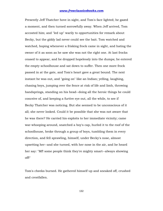Presently Jeff Thatcher hove in sight, and Tom's face lighted; he gazed a moment, and then turned sorrowfully away. When Jeff arrived, Tom accosted him; and "led up" warily to opportunities for remark about Becky, but the giddy lad never could see the bait. Tom watched and watched, hoping whenever a frisking frock came in sight, and hating the owner of it as soon as he saw she was not the right one. At last frocks ceased to appear, and he dropped hopelessly into the dumps; he entered the empty schoolhouse and sat down to suffer. Then one more frock passed in at the gate, and Tom's heart gave a great bound. The next instant he was out, and "going on" like an Indian; yelling, laughing, chasing boys, jumping over the fence at risk of life and limb, throwing handsprings, standing on his head--doing all the heroic things he could conceive of, and keeping a furtive eye out, all the while, to see if Becky Thatcher was noticing. But she seemed to be unconscious of it all; she never looked. Could it be possible that she was not aware that he was there? He carried his exploits to her immediate vicinity; came war-whooping around, snatched a boy's cap, hurled it to the roof of the schoolhouse, broke through a group of boys, tumbling them in every direction, and fell sprawling, himself, under Becky's nose, almost upsetting her--and she turned, with her nose in the air, and he heard her say: "Mf! some people think they're mighty smart--always showing off!"

Tom's cheeks burned. He gathered himself up and sneaked off, crushed and crestfallen.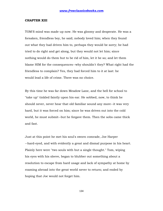#### **CHAPTER XIII**

TOM'S mind was made up now. He was gloomy and desperate. He was a forsaken, friendless boy, he said; nobody loved him; when they found out what they had driven him to, perhaps they would be sorry; he had tried to do right and get along, but they would not let him; since nothing would do them but to be rid of him, let it be so; and let them blame HIM for the consequences--why shouldn't they? What right had the friendless to complain? Yes, they had forced him to it at last: he would lead a life of crime. There was no choice.

By this time he was far down Meadow Lane, and the bell for school to "take up" tinkled faintly upon his ear. He sobbed, now, to think he should never, never hear that old familiar sound any more--it was very hard, but it was forced on him; since he was driven out into the cold world, he must submit--but he forgave them. Then the sobs came thick and fast.

Just at this point he met his soul's sworn comrade, Joe Harper --hard-eyed, and with evidently a great and dismal purpose in his heart. Plainly here were "two souls with but a single thought." Tom, wiping his eyes with his sleeve, began to blubber out something about a resolution to escape from hard usage and lack of sympathy at home by roaming abroad into the great world never to return; and ended by hoping that Joe would not forget him.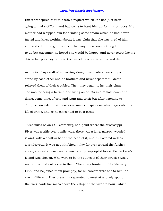But it transpired that this was a request which Joe had just been going to make of Tom, and had come to hunt him up for that purpose. His mother had whipped him for drinking some cream which he had never tasted and knew nothing about; it was plain that she was tired of him and wished him to go; if she felt that way, there was nothing for him to do but succumb; he hoped she would be happy, and never regret having driven her poor boy out into the unfeeling world to suffer and die.

As the two boys walked sorrowing along, they made a new compact to stand by each other and be brothers and never separate till death relieved them of their troubles. Then they began to lay their plans. Joe was for being a hermit, and living on crusts in a remote cave, and dying, some time, of cold and want and grief; but after listening to Tom, he conceded that there were some conspicuous advantages about a life of crime, and so he consented to be a pirate.

Three miles below St. Petersburg, at a point where the Mississippi River was a trifle over a mile wide, there was a long, narrow, wooded island, with a shallow bar at the head of it, and this offered well as a rendezvous. It was not inhabited; it lay far over toward the further shore, abreast a dense and almost wholly unpeopled forest. So Jackson's Island was chosen. Who were to be the subjects of their piracies was a matter that did not occur to them. Then they hunted up Huckleberry Finn, and he joined them promptly, for all careers were one to him; he was indifferent. They presently separated to meet at a lonely spot on the river-bank two miles above the village at the favorite hour--which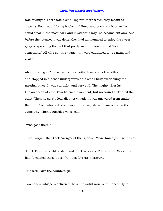was midnight. There was a small log raft there which they meant to capture. Each would bring hooks and lines, and such provision as he could steal in the most dark and mysterious way--as became outlaws. And before the afternoon was done, they had all managed to enjoy the sweet glory of spreading the fact that pretty soon the town would "hear something." All who got this vague hint were cautioned to "be mum and wait."

About midnight Tom arrived with a boiled ham and a few trifles, and stopped in a dense undergrowth on a small bluff overlooking the meeting-place. It was starlight, and very still. The mighty river lay like an ocean at rest. Tom listened a moment, but no sound disturbed the quiet. Then he gave a low, distinct whistle. It was answered from under the bluff. Tom whistled twice more; these signals were answered in the same way. Then a guarded voice said:

"Who goes there?"

"Tom Sawyer, the Black Avenger of the Spanish Main. Name your names."

"Huck Finn the Red-Handed, and Joe Harper the Terror of the Seas." Tom had furnished these titles, from his favorite literature.

"'Tis well. Give the countersign."

Two hoarse whispers delivered the same awful word simultaneously to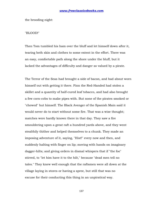the brooding night:

#### "BLOOD!"

Then Tom tumbled his ham over the bluff and let himself down after it, tearing both skin and clothes to some extent in the effort. There was an easy, comfortable path along the shore under the bluff, but it lacked the advantages of difficulty and danger so valued by a pirate.

The Terror of the Seas had brought a side of bacon, and had about worn himself out with getting it there. Finn the Red-Handed had stolen a skillet and a quantity of half-cured leaf tobacco, and had also brought a few corn-cobs to make pipes with. But none of the pirates smoked or "chewed" but himself. The Black Avenger of the Spanish Main said it would never do to start without some fire. That was a wise thought; matches were hardly known there in that day. They saw a fire smouldering upon a great raft a hundred yards above, and they went stealthily thither and helped themselves to a chunk. They made an imposing adventure of it, saying, "Hist!" every now and then, and suddenly halting with finger on lip; moving with hands on imaginary dagger-hilts; and giving orders in dismal whispers that if "the foe" stirred, to "let him have it to the hilt," because "dead men tell no tales." They knew well enough that the raftsmen were all down at the village laying in stores or having a spree, but still that was no excuse for their conducting this thing in an unpiratical way.

137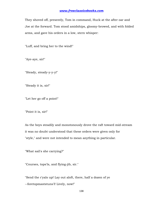They shoved off, presently, Tom in command, Huck at the after oar and Joe at the forward. Tom stood amidships, gloomy-browed, and with folded arms, and gave his orders in a low, stern whisper:

"Luff, and bring her to the wind!"

"Aye-aye, sir!"

"Steady, steady-y-y-y!"

"Steady it is, sir!"

"Let her go off a point!"

"Point it is, sir!"

As the boys steadily and monotonously drove the raft toward mid-stream it was no doubt understood that these orders were given only for "style," and were not intended to mean anything in particular.

"What sail's she carrying?"

"Courses, tops'ls, and flying-jib, sir."

"Send the r'yals up! Lay out aloft, there, half a dozen of ye --foretopmaststuns'l! Lively, now!"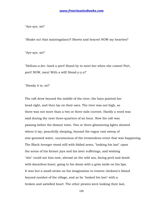"Aye-aye, sir!"

"Shake out that maintogalans'l! Sheets and braces! NOW my hearties!"

"Aye-aye, sir!"

"Hellum-a-lee--hard a port! Stand by to meet her when she comes! Port, port! NOW, men! With a will! Stead-y-y-y!"

"Steady it is, sir!"

The raft drew beyond the middle of the river; the boys pointed her head right, and then lay on their oars. The river was not high, so there was not more than a two or three mile current. Hardly a word was said during the next three-quarters of an hour. Now the raft was passing before the distant town. Two or three glimmering lights showed where it lay, peacefully sleeping, beyond the vague vast sweep of star-gemmed water, unconscious of the tremendous event that was happening. The Black Avenger stood still with folded arms, "looking his last" upon the scene of his former joys and his later sufferings, and wishing "she" could see him now, abroad on the wild sea, facing peril and death with dauntless heart, going to his doom with a grim smile on his lips. It was but a small strain on his imagination to remove Jackson's Island beyond eyeshot of the village, and so he "looked his last" with a broken and satisfied heart. The other pirates were looking their last,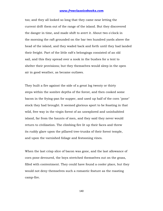too; and they all looked so long that they came near letting the current drift them out of the range of the island. But they discovered the danger in time, and made shift to avert it. About two o'clock in the morning the raft grounded on the bar two hundred yards above the head of the island, and they waded back and forth until they had landed their freight. Part of the little raft's belongings consisted of an old sail, and this they spread over a nook in the bushes for a tent to shelter their provisions; but they themselves would sleep in the open air in good weather, as became outlaws.

They built a fire against the side of a great log twenty or thirty steps within the sombre depths of the forest, and then cooked some bacon in the frying-pan for supper, and used up half of the corn "pone" stock they had brought. It seemed glorious sport to be feasting in that wild, free way in the virgin forest of an unexplored and uninhabited island, far from the haunts of men, and they said they never would return to civilization. The climbing fire lit up their faces and threw its ruddy glare upon the pillared tree-trunks of their forest temple, and upon the varnished foliage and festooning vines.

When the last crisp slice of bacon was gone, and the last allowance of corn pone devoured, the boys stretched themselves out on the grass, filled with contentment. They could have found a cooler place, but they would not deny themselves such a romantic feature as the roasting camp-fire.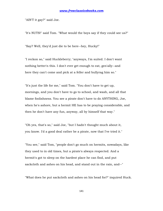"AIN'T it gay?" said Joe.

"It's NUTS!" said Tom. "What would the boys say if they could see us?"

"Say? Well, they'd just die to be here--hey, Hucky!"

"I reckon so," said Huckleberry; "anyways, I'm suited. I don't want nothing better'n this. I don't ever get enough to eat, gen'ally--and here they can't come and pick at a feller and bullyrag him so."

"It's just the life for me," said Tom. "You don't have to get up, mornings, and you don't have to go to school, and wash, and all that blame foolishness. You see a pirate don't have to do ANYTHING, Joe, when he's ashore, but a hermit HE has to be praying considerable, and then he don't have any fun, anyway, all by himself that way."

"Oh yes, that's so," said Joe, "but I hadn't thought much about it, you know. I'd a good deal rather be a pirate, now that I've tried it."

"You see," said Tom, "people don't go much on hermits, nowadays, like they used to in old times, but a pirate's always respected. And a hermit's got to sleep on the hardest place he can find, and put sackcloth and ashes on his head, and stand out in the rain, and--"

"What does he put sackcloth and ashes on his head for?" inquired Huck.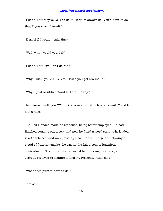"I dono. But they've GOT to do it. Hermits always do. You'd have to do that if you was a hermit."

"Dern'd if I would," said Huck.

"Well, what would you do?"

"I dono. But I wouldn't do that."

"Why, Huck, you'd HAVE to. How'd you get around it?"

"Why, I just wouldn't stand it. I'd run away."

"Run away! Well, you WOULD be a nice old slouch of a hermit. You'd be a disgrace."

The Red-Handed made no response, being better employed. He had finished gouging out a cob, and now he fitted a weed stem to it, loaded it with tobacco, and was pressing a coal to the charge and blowing a cloud of fragrant smoke--he was in the full bloom of luxurious contentment. The other pirates envied him this majestic vice, and secretly resolved to acquire it shortly. Presently Huck said:

"What does pirates have to do?"

Tom said: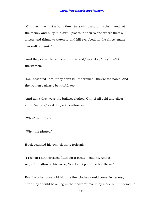"Oh, they have just a bully time--take ships and burn them, and get the money and bury it in awful places in their island where there's ghosts and things to watch it, and kill everybody in the ships--make 'em walk a plank."

"And they carry the women to the island," said Joe; "they don't kill the women."

"No," assented Tom, "they don't kill the women--they're too noble. And the women's always beautiful, too.

"And don't they wear the bulliest clothes! Oh no! All gold and silver and di'monds," said Joe, with enthusiasm.

"Who?" said Huck.

"Why, the pirates."

Huck scanned his own clothing forlornly.

"I reckon I ain't dressed fitten for a pirate," said he, with a regretful pathos in his voice; "but I ain't got none but these."

But the other boys told him the fine clothes would come fast enough, after they should have begun their adventures. They made him understand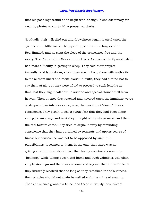that his poor rags would do to begin with, though it was customary for wealthy pirates to start with a proper wardrobe.

Gradually their talk died out and drowsiness began to steal upon the eyelids of the little waifs. The pipe dropped from the fingers of the Red-Handed, and he slept the sleep of the conscience-free and the weary. The Terror of the Seas and the Black Avenger of the Spanish Main had more difficulty in getting to sleep. They said their prayers inwardly, and lying down, since there was nobody there with authority to make them kneel and recite aloud; in truth, they had a mind not to say them at all, but they were afraid to proceed to such lengths as that, lest they might call down a sudden and special thunderbolt from heaven. Then at once they reached and hovered upon the imminent verge of sleep--but an intruder came, now, that would not "down." It was conscience. They began to feel a vague fear that they had been doing wrong to run away; and next they thought of the stolen meat, and then the real torture came. They tried to argue it away by reminding conscience that they had purloined sweetmeats and apples scores of times; but conscience was not to be appeased by such thin plausibilities; it seemed to them, in the end, that there was no getting around the stubborn fact that taking sweetmeats was only "hooking," while taking bacon and hams and such valuables was plain simple stealing--and there was a command against that in the Bible. So they inwardly resolved that so long as they remained in the business, their piracies should not again be sullied with the crime of stealing. Then conscience granted a truce, and these curiously inconsistent

144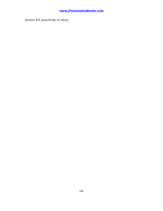pirates fell peacefully to sleep.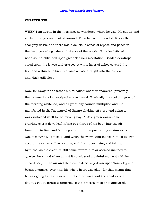#### **CHAPTER XIV**

WHEN Tom awoke in the morning, he wondered where he was. He sat up and rubbed his eyes and looked around. Then he comprehended. It was the cool gray dawn, and there was a delicious sense of repose and peace in the deep pervading calm and silence of the woods. Not a leaf stirred; not a sound obtruded upon great Nature's meditation. Beaded dewdrops stood upon the leaves and grasses. A white layer of ashes covered the fire, and a thin blue breath of smoke rose straight into the air. Joe and Huck still slept.

Now, far away in the woods a bird called; another answered; presently the hammering of a woodpecker was heard. Gradually the cool dim gray of the morning whitened, and as gradually sounds multiplied and life manifested itself. The marvel of Nature shaking off sleep and going to work unfolded itself to the musing boy. A little green worm came crawling over a dewy leaf, lifting two-thirds of his body into the air from time to time and "sniffing around," then proceeding again--for he was measuring, Tom said; and when the worm approached him, of its own accord, he sat as still as a stone, with his hopes rising and falling, by turns, as the creature still came toward him or seemed inclined to go elsewhere; and when at last it considered a painful moment with its curved body in the air and then came decisively down upon Tom's leg and began a journey over him, his whole heart was glad--for that meant that he was going to have a new suit of clothes--without the shadow of a doubt a gaudy piratical uniform. Now a procession of ants appeared,

146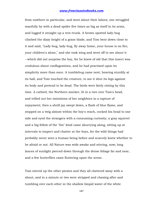from nowhere in particular, and went about their labors; one struggled manfully by with a dead spider five times as big as itself in its arms, and lugged it straight up a tree-trunk. A brown spotted lady-bug climbed the dizzy height of a grass blade, and Tom bent down close to it and said, "Lady-bug, lady-bug, fly away home, your house is on fire, your children's alone," and she took wing and went off to see about it --which did not surprise the boy, for he knew of old that this insect was credulous about conflagrations, and he had practised upon its simplicity more than once. A tumblebug came next, heaving sturdily at its ball, and Tom touched the creature, to see it shut its legs against its body and pretend to be dead. The birds were fairly rioting by this time. A catbird, the Northern mocker, lit in a tree over Tom's head, and trilled out her imitations of her neighbors in a rapture of enjoyment; then a shrill jay swept down, a flash of blue flame, and stopped on a twig almost within the boy's reach, cocked his head to one side and eyed the strangers with a consuming curiosity; a gray squirrel and a big fellow of the "fox" kind came skurrying along, sitting up at intervals to inspect and chatter at the boys, for the wild things had probably never seen a human being before and scarcely knew whether to be afraid or not. All Nature was wide awake and stirring, now; long lances of sunlight pierced down through the dense foliage far and near, and a few butterflies came fluttering upon the scene.

Tom stirred up the other pirates and they all clattered away with a shout, and in a minute or two were stripped and chasing after and tumbling over each other in the shallow limpid water of the white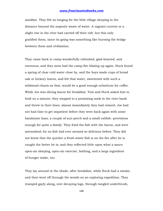sandbar. They felt no longing for the little village sleeping in the distance beyond the majestic waste of water. A vagrant current or a slight rise in the river had carried off their raft, but this only gratified them, since its going was something like burning the bridge between them and civilization.

They came back to camp wonderfully refreshed, glad-hearted, and ravenous; and they soon had the camp-fire blazing up again. Huck found a spring of clear cold water close by, and the boys made cups of broad oak or hickory leaves, and felt that water, sweetened with such a wildwood charm as that, would be a good enough substitute for coffee. While Joe was slicing bacon for breakfast, Tom and Huck asked him to hold on a minute; they stepped to a promising nook in the river-bank and threw in their lines; almost immediately they had reward. Joe had not had time to get impatient before they were back again with some handsome bass, a couple of sun-perch and a small catfish--provisions enough for quite a family. They fried the fish with the bacon, and were astonished; for no fish had ever seemed so delicious before. They did not know that the quicker a fresh-water fish is on the fire after he is caught the better he is; and they reflected little upon what a sauce open-air sleeping, open-air exercise, bathing, and a large ingredient of hunger make, too.

They lay around in the shade, after breakfast, while Huck had a smoke, and then went off through the woods on an exploring expedition. They tramped gayly along, over decaying logs, through tangled underbrush,

148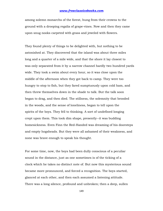among solemn monarchs of the forest, hung from their crowns to the ground with a drooping regalia of grape-vines. Now and then they came upon snug nooks carpeted with grass and jeweled with flowers.

They found plenty of things to be delighted with, but nothing to be astonished at. They discovered that the island was about three miles long and a quarter of a mile wide, and that the shore it lay closest to was only separated from it by a narrow channel hardly two hundred yards wide. They took a swim about every hour, so it was close upon the middle of the afternoon when they got back to camp. They were too hungry to stop to fish, but they fared sumptuously upon cold ham, and then threw themselves down in the shade to talk. But the talk soon began to drag, and then died. The stillness, the solemnity that brooded in the woods, and the sense of loneliness, began to tell upon the spirits of the boys. They fell to thinking. A sort of undefined longing crept upon them. This took dim shape, presently--it was budding homesickness. Even Finn the Red-Handed was dreaming of his doorsteps and empty hogsheads. But they were all ashamed of their weakness, and none was brave enough to speak his thought.

For some time, now, the boys had been dully conscious of a peculiar sound in the distance, just as one sometimes is of the ticking of a clock which he takes no distinct note of. But now this mysterious sound became more pronounced, and forced a recognition. The boys started, glanced at each other, and then each assumed a listening attitude. There was a long silence, profound and unbroken; then a deep, sullen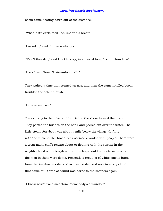boom came floating down out of the distance.

"What is it!" exclaimed Joe, under his breath.

"I wonder," said Tom in a whisper.

"'Tain't thunder," said Huckleberry, in an awed tone, "becuz thunder--"

"Hark!" said Tom. "Listen--don't talk."

They waited a time that seemed an age, and then the same muffled boom troubled the solemn hush.

"Let's go and see."

They sprang to their feet and hurried to the shore toward the town. They parted the bushes on the bank and peered out over the water. The little steam ferryboat was about a mile below the village, drifting with the current. Her broad deck seemed crowded with people. There were a great many skiffs rowing about or floating with the stream in the neighborhood of the ferryboat, but the boys could not determine what the men in them were doing. Presently a great jet of white smoke burst from the ferryboat's side, and as it expanded and rose in a lazy cloud, that same dull throb of sound was borne to the listeners again.

"I know now!" exclaimed Tom; "somebody's drownded!"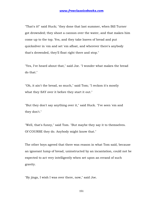"That's it!" said Huck; "they done that last summer, when Bill Turner got drownded; they shoot a cannon over the water, and that makes him come up to the top. Yes, and they take loaves of bread and put quicksilver in 'em and set 'em afloat, and wherever there's anybody that's drownded, they'll float right there and stop."

"Yes, I've heard about that," said Joe. "I wonder what makes the bread do that."

"Oh, it ain't the bread, so much," said Tom; "I reckon it's mostly what they SAY over it before they start it out."

"But they don't say anything over it," said Huck. "I've seen 'em and they don't."

"Well, that's funny," said Tom. "But maybe they say it to themselves. Of COURSE they do. Anybody might know that."

The other boys agreed that there was reason in what Tom said, because an ignorant lump of bread, uninstructed by an incantation, could not be expected to act very intelligently when set upon an errand of such gravity.

"By jings, I wish I was over there, now," said Joe.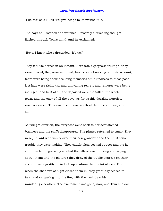"I do too" said Huck "I'd give heaps to know who it is."

The boys still listened and watched. Presently a revealing thought flashed through Tom's mind, and he exclaimed:

"Boys, I know who's drownded--it's us!"

They felt like heroes in an instant. Here was a gorgeous triumph; they were missed; they were mourned; hearts were breaking on their account; tears were being shed; accusing memories of unkindness to these poor lost lads were rising up, and unavailing regrets and remorse were being indulged; and best of all, the departed were the talk of the whole town, and the envy of all the boys, as far as this dazzling notoriety was concerned. This was fine. It was worth while to be a pirate, after all.

As twilight drew on, the ferryboat went back to her accustomed business and the skiffs disappeared. The pirates returned to camp. They were jubilant with vanity over their new grandeur and the illustrious trouble they were making. They caught fish, cooked supper and ate it, and then fell to guessing at what the village was thinking and saying about them; and the pictures they drew of the public distress on their account were gratifying to look upon--from their point of view. But when the shadows of night closed them in, they gradually ceased to talk, and sat gazing into the fire, with their minds evidently wandering elsewhere. The excitement was gone, now, and Tom and Joe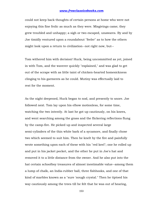could not keep back thoughts of certain persons at home who were not enjoying this fine frolic as much as they were. Misgivings came; they grew troubled and unhappy; a sigh or two escaped, unawares. By and by Joe timidly ventured upon a roundabout "feeler" as to how the others might look upon a return to civilization--not right now, but--

Tom withered him with derision! Huck, being uncommitted as yet, joined in with Tom, and the waverer quickly "explained," and was glad to get out of the scrape with as little taint of chicken-hearted homesickness clinging to his garments as he could. Mutiny was effectually laid to rest for the moment.

As the night deepened, Huck began to nod, and presently to snore. Joe followed next. Tom lay upon his elbow motionless, for some time, watching the two intently. At last he got up cautiously, on his knees, and went searching among the grass and the flickering reflections flung by the camp-fire. He picked up and inspected several large semi-cylinders of the thin white bark of a sycamore, and finally chose two which seemed to suit him. Then he knelt by the fire and painfully wrote something upon each of these with his "red keel"; one he rolled up and put in his jacket pocket, and the other he put in Joe's hat and removed it to a little distance from the owner. And he also put into the hat certain schoolboy treasures of almost inestimable value--among them a lump of chalk, an India-rubber ball, three fishhooks, and one of that kind of marbles known as a "sure 'nough crystal." Then he tiptoed his way cautiously among the trees till he felt that he was out of hearing,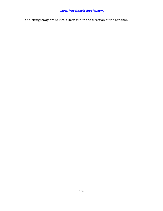and straightway broke into a keen run in the direction of the sandbar.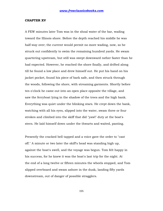#### **CHAPTER XV**

A FEW minutes later Tom was in the shoal water of the bar, wading toward the Illinois shore. Before the depth reached his middle he was half-way over; the current would permit no more wading, now, so he struck out confidently to swim the remaining hundred yards. He swam quartering upstream, but still was swept downward rather faster than he had expected. However, he reached the shore finally, and drifted along till he found a low place and drew himself out. He put his hand on his jacket pocket, found his piece of bark safe, and then struck through the woods, following the shore, with streaming garments. Shortly before ten o'clock he came out into an open place opposite the village, and saw the ferryboat lying in the shadow of the trees and the high bank. Everything was quiet under the blinking stars. He crept down the bank, watching with all his eyes, slipped into the water, swam three or four strokes and climbed into the skiff that did "yawl" duty at the boat's stern. He laid himself down under the thwarts and waited, panting.

Presently the cracked bell tapped and a voice gave the order to "cast off." A minute or two later the skiff's head was standing high up, against the boat's swell, and the voyage was begun. Tom felt happy in his success, for he knew it was the boat's last trip for the night. At the end of a long twelve or fifteen minutes the wheels stopped, and Tom slipped overboard and swam ashore in the dusk, landing fifty yards downstream, out of danger of possible stragglers.

155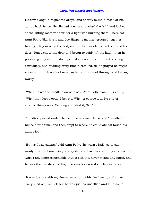He flew along unfrequented alleys, and shortly found himself at his aunt's back fence. He climbed over, approached the "ell," and looked in at the sitting-room window, for a light was burning there. There sat Aunt Polly, Sid, Mary, and Joe Harper's mother, grouped together, talking. They were by the bed, and the bed was between them and the door. Tom went to the door and began to softly lift the latch; then he pressed gently and the door yielded a crack; he continued pushing cautiously, and quaking every time it creaked, till he judged he might squeeze through on his knees; so he put his head through and began, warily.

"What makes the candle blow so?" said Aunt Polly. Tom hurried up. "Why, that door's open, I believe. Why, of course it is. No end of strange things now. Go 'long and shut it, Sid."

Tom disappeared under the bed just in time. He lay and "breathed" himself for a time, and then crept to where he could almost touch his aunt's foot.

"But as I was saying," said Aunt Polly, "he warn't BAD, so to say --only mischEEvous. Only just giddy, and harum-scarum, you know. He warn't any more responsible than a colt. HE never meant any harm, and he was the best-hearted boy that ever was"--and she began to cry.

"It was just so with my Joe--always full of his devilment, and up to every kind of mischief, but he was just as unselfish and kind as he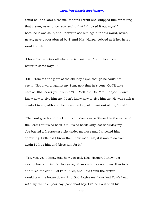could be--and laws bless me, to think I went and whipped him for taking that cream, never once recollecting that I throwed it out myself because it was sour, and I never to see him again in this world, never, never, never, poor abused boy!" And Mrs. Harper sobbed as if her heart would break.

"I hope Tom's better off where he is," said Sid, "but if he'd been better in some ways--"

"SID!" Tom felt the glare of the old lady's eye, though he could not see it. "Not a word against my Tom, now that he's gone! God'll take care of HIM--never you trouble YOURself, sir! Oh, Mrs. Harper, I don't know how to give him up! I don't know how to give him up! He was such a comfort to me, although he tormented my old heart out of me, 'most."

"The Lord giveth and the Lord hath taken away--Blessed be the name of the Lord! But it's so hard--Oh, it's so hard! Only last Saturday my Joe busted a firecracker right under my nose and I knocked him sprawling. Little did I know then, how soon--Oh, if it was to do over again I'd hug him and bless him for it."

"Yes, yes, yes, I know just how you feel, Mrs. Harper, I know just exactly how you feel. No longer ago than yesterday noon, my Tom took and filled the cat full of Pain-killer, and I did think the cretur would tear the house down. And God forgive me, I cracked Tom's head with my thimble, poor boy, poor dead boy. But he's out of all his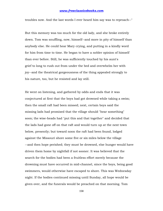troubles now. And the last words I ever heard him say was to reproach--"

But this memory was too much for the old lady, and she broke entirely down. Tom was snuffling, now, himself--and more in pity of himself than anybody else. He could hear Mary crying, and putting in a kindly word for him from time to time. He began to have a nobler opinion of himself than ever before. Still, he was sufficiently touched by his aunt's grief to long to rush out from under the bed and overwhelm her with joy--and the theatrical gorgeousness of the thing appealed strongly to his nature, too, but he resisted and lay still.

He went on listening, and gathered by odds and ends that it was conjectured at first that the boys had got drowned while taking a swim; then the small raft had been missed; next, certain boys said the missing lads had promised that the village should "hear something" soon; the wise-heads had "put this and that together" and decided that the lads had gone off on that raft and would turn up at the next town below, presently; but toward noon the raft had been found, lodged against the Missouri shore some five or six miles below the village --and then hope perished; they must be drowned, else hunger would have driven them home by nightfall if not sooner. It was believed that the search for the bodies had been a fruitless effort merely because the drowning must have occurred in mid-channel, since the boys, being good swimmers, would otherwise have escaped to shore. This was Wednesday night. If the bodies continued missing until Sunday, all hope would be given over, and the funerals would be preached on that morning. Tom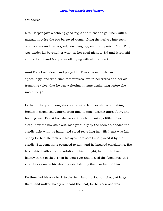shuddered.

Mrs. Harper gave a sobbing good-night and turned to go. Then with a mutual impulse the two bereaved women flung themselves into each other's arms and had a good, consoling cry, and then parted. Aunt Polly was tender far beyond her wont, in her good-night to Sid and Mary. Sid snuffled a bit and Mary went off crying with all her heart.

Aunt Polly knelt down and prayed for Tom so touchingly, so appealingly, and with such measureless love in her words and her old trembling voice, that he was weltering in tears again, long before she was through.

He had to keep still long after she went to bed, for she kept making broken-hearted ejaculations from time to time, tossing unrestfully, and turning over. But at last she was still, only moaning a little in her sleep. Now the boy stole out, rose gradually by the bedside, shaded the candle-light with his hand, and stood regarding her. His heart was full of pity for her. He took out his sycamore scroll and placed it by the candle. But something occurred to him, and he lingered considering. His face lighted with a happy solution of his thought; he put the bark hastily in his pocket. Then he bent over and kissed the faded lips, and straightway made his stealthy exit, latching the door behind him.

He threaded his way back to the ferry landing, found nobody at large there, and walked boldly on board the boat, for he knew she was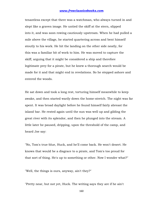tenantless except that there was a watchman, who always turned in and slept like a graven image. He untied the skiff at the stern, slipped into it, and was soon rowing cautiously upstream. When he had pulled a mile above the village, he started quartering across and bent himself stoutly to his work. He hit the landing on the other side neatly, for this was a familiar bit of work to him. He was moved to capture the skiff, arguing that it might be considered a ship and therefore legitimate prey for a pirate, but he knew a thorough search would be made for it and that might end in revelations. So he stepped ashore and entered the woods.

He sat down and took a long rest, torturing himself meanwhile to keep awake, and then started warily down the home-stretch. The night was far spent. It was broad daylight before he found himself fairly abreast the island bar. He rested again until the sun was well up and gilding the great river with its splendor, and then he plunged into the stream. A little later he paused, dripping, upon the threshold of the camp, and heard Joe say:

"No, Tom's true-blue, Huck, and he'll come back. He won't desert. He knows that would be a disgrace to a pirate, and Tom's too proud for that sort of thing. He's up to something or other. Now I wonder what?"

"Well, the things is ours, anyway, ain't they?"

"Pretty near, but not yet, Huck. The writing says they are if he ain't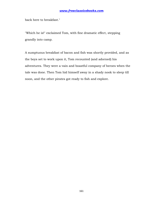back here to breakfast."

"Which he is!" exclaimed Tom, with fine dramatic effect, stepping grandly into camp.

A sumptuous breakfast of bacon and fish was shortly provided, and as the boys set to work upon it, Tom recounted (and adorned) his adventures. They were a vain and boastful company of heroes when the tale was done. Then Tom hid himself away in a shady nook to sleep till noon, and the other pirates got ready to fish and explore.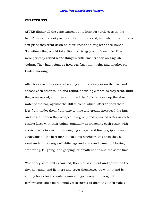#### **CHAPTER XVI**

AFTER dinner all the gang turned out to hunt for turtle eggs on the bar. They went about poking sticks into the sand, and when they found a soft place they went down on their knees and dug with their hands. Sometimes they would take fifty or sixty eggs out of one hole. They were perfectly round white things a trifle smaller than an English walnut. They had a famous fried-egg feast that night, and another on Friday morning.

After breakfast they went whooping and prancing out on the bar, and chased each other round and round, shedding clothes as they went, until they were naked, and then continued the frolic far away up the shoal water of the bar, against the stiff current, which latter tripped their legs from under them from time to time and greatly increased the fun. And now and then they stooped in a group and splashed water in each other's faces with their palms, gradually approaching each other, with averted faces to avoid the strangling sprays, and finally gripping and struggling till the best man ducked his neighbor, and then they all went under in a tangle of white legs and arms and came up blowing, sputtering, laughing, and gasping for breath at one and the same time.

When they were well exhausted, they would run out and sprawl on the dry, hot sand, and lie there and cover themselves up with it, and by and by break for the water again and go through the original performance once more. Finally it occurred to them that their naked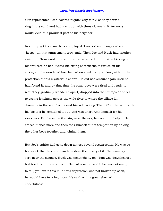skin represented flesh-colored "tights" very fairly; so they drew a ring in the sand and had a circus--with three clowns in it, for none would yield this proudest post to his neighbor.

Next they got their marbles and played "knucks" and "ring-taw" and "keeps" till that amusement grew stale. Then Joe and Huck had another swim, but Tom would not venture, because he found that in kicking off his trousers he had kicked his string of rattlesnake rattles off his ankle, and he wondered how he had escaped cramp so long without the protection of this mysterious charm. He did not venture again until he had found it, and by that time the other boys were tired and ready to rest. They gradually wandered apart, dropped into the "dumps," and fell to gazing longingly across the wide river to where the village lay drowsing in the sun. Tom found himself writing "BECKY" in the sand with his big toe; he scratched it out, and was angry with himself for his weakness. But he wrote it again, nevertheless; he could not help it. He erased it once more and then took himself out of temptation by driving the other boys together and joining them.

But Joe's spirits had gone down almost beyond resurrection. He was so homesick that he could hardly endure the misery of it. The tears lay very near the surface. Huck was melancholy, too. Tom was downhearted, but tried hard not to show it. He had a secret which he was not ready to tell, yet, but if this mutinous depression was not broken up soon, he would have to bring it out. He said, with a great show of cheerfulness:

163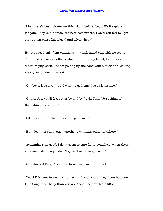"I bet there's been pirates on this island before, boys. We'll explore it again. They've hid treasures here somewhere. How'd you feel to light on a rotten chest full of gold and silver--hey?"

But it roused only faint enthusiasm, which faded out, with no reply. Tom tried one or two other seductions; but they failed, too. It was discouraging work. Joe sat poking up the sand with a stick and looking very gloomy. Finally he said:

"Oh, boys, let's give it up. I want to go home. It's so lonesome."

"Oh no, Joe, you'll feel better by and by," said Tom. "Just think of the fishing that's here."

"I don't care for fishing. I want to go home."

"But, Joe, there ain't such another swimming-place anywhere."

"Swimming's no good. I don't seem to care for it, somehow, when there ain't anybody to say I sha'n't go in. I mean to go home."

"Oh, shucks! Baby! You want to see your mother, I reckon."

"Yes, I DO want to see my mother--and you would, too, if you had one. I ain't any more baby than you are." And Joe snuffled a little.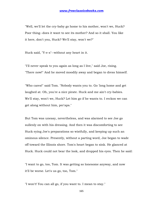"Well, we'll let the cry-baby go home to his mother, won't we, Huck? Poor thing--does it want to see its mother? And so it shall. You like it here, don't you, Huck? We'll stay, won't we?"

Huck said, "Y-e-s"--without any heart in it.

"I'll never speak to you again as long as I live," said Joe, rising. "There now!" And he moved moodily away and began to dress himself.

"Who cares!" said Tom. "Nobody wants you to. Go 'long home and get laughed at. Oh, you're a nice pirate. Huck and me ain't cry-babies. We'll stay, won't we, Huck? Let him go if he wants to. I reckon we can get along without him, per'aps."

But Tom was uneasy, nevertheless, and was alarmed to see Joe go sullenly on with his dressing. And then it was discomforting to see Huck eying Joe's preparations so wistfully, and keeping up such an ominous silence. Presently, without a parting word, Joe began to wade off toward the Illinois shore. Tom's heart began to sink. He glanced at Huck. Huck could not bear the look, and dropped his eyes. Then he said:

"I want to go, too, Tom. It was getting so lonesome anyway, and now it'll be worse. Let's us go, too, Tom."

"I won't! You can all go, if you want to. I mean to stay."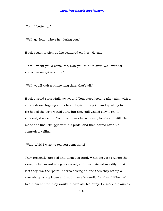"Tom, I better go."

"Well, go 'long--who's hendering you."

Huck began to pick up his scattered clothes. He said:

"Tom, I wisht you'd come, too. Now you think it over. We'll wait for you when we get to shore."

"Well, you'll wait a blame long time, that's all."

Huck started sorrowfully away, and Tom stood looking after him, with a strong desire tugging at his heart to yield his pride and go along too. He hoped the boys would stop, but they still waded slowly on. It suddenly dawned on Tom that it was become very lonely and still. He made one final struggle with his pride, and then darted after his comrades, yelling:

"Wait! Wait! I want to tell you something!"

They presently stopped and turned around. When he got to where they were, he began unfolding his secret, and they listened moodily till at last they saw the "point" he was driving at, and then they set up a war-whoop of applause and said it was "splendid!" and said if he had told them at first, they wouldn't have started away. He made a plausible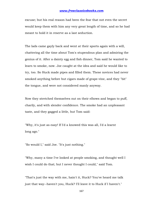excuse; but his real reason had been the fear that not even the secret would keep them with him any very great length of time, and so he had meant to hold it in reserve as a last seduction.

The lads came gayly back and went at their sports again with a will, chattering all the time about Tom's stupendous plan and admiring the genius of it. After a dainty egg and fish dinner, Tom said he wanted to learn to smoke, now. Joe caught at the idea and said he would like to try, too. So Huck made pipes and filled them. These novices had never smoked anything before but cigars made of grape-vine, and they "bit" the tongue, and were not considered manly anyway.

Now they stretched themselves out on their elbows and began to puff, charily, and with slender confidence. The smoke had an unpleasant taste, and they gagged a little, but Tom said:

"Why, it's just as easy! If I'd a knowed this was all, I'd a learnt long ago."

"So would I," said Joe. "It's just nothing."

"Why, many a time I've looked at people smoking, and thought well I wish I could do that; but I never thought I could," said Tom.

"That's just the way with me, hain't it, Huck? You've heard me talk just that way--haven't you, Huck? I'll leave it to Huck if I haven't."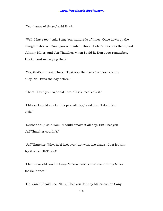"Yes--heaps of times," said Huck.

"Well, I have too," said Tom; "oh, hundreds of times. Once down by the slaughter-house. Don't you remember, Huck? Bob Tanner was there, and Johnny Miller, and Jeff Thatcher, when I said it. Don't you remember, Huck, 'bout me saying that?"

"Yes, that's so," said Huck. "That was the day after I lost a white alley. No, 'twas the day before."

"There--I told you so," said Tom. "Huck recollects it."

"I bleeve I could smoke this pipe all day," said Joe. "I don't feel sick."

"Neither do I," said Tom. "I could smoke it all day. But I bet you Jeff Thatcher couldn't."

"Jeff Thatcher! Why, he'd keel over just with two draws. Just let him try it once. HE'D see!"

"I bet he would. And Johnny Miller--I wish could see Johnny Miller tackle it once."

"Oh, don't I!" said Joe. "Why, I bet you Johnny Miller couldn't any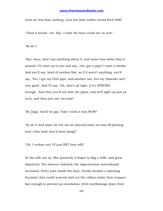more do this than nothing. Just one little snifter would fetch HIM."

"'Deed it would, Joe. Say--I wish the boys could see us now."

"So do I."

"Say--boys, don't say anything about it, and some time when they're around, I'll come up to you and say, 'Joe, got a pipe? I want a smoke.' And you'll say, kind of careless like, as if it warn't anything, you'll say, 'Yes, I got my OLD pipe, and another one, but my tobacker ain't very good.' And I'll say, 'Oh, that's all right, if it's STRONG enough.' And then you'll out with the pipes, and we'll light up just as ca'm, and then just see 'em look!"

"By jings, that'll be gay, Tom! I wish it was NOW!"

"So do I! And when we tell 'em we learned when we was off pirating, won't they wish they'd been along?"

"Oh, I reckon not! I'll just BET they will!"

So the talk ran on. But presently it began to flag a trifle, and grow disjointed. The silences widened; the expectoration marvellously increased. Every pore inside the boys' cheeks became a spouting fountain; they could scarcely bail out the cellars under their tongues fast enough to prevent an inundation; little overflowings down their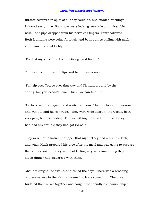throats occurred in spite of all they could do, and sudden retchings followed every time. Both boys were looking very pale and miserable, now. Joe's pipe dropped from his nerveless fingers. Tom's followed. Both fountains were going furiously and both pumps bailing with might and main. Joe said feebly:

"I've lost my knife. I reckon I better go and find it."

Tom said, with quivering lips and halting utterance:

"I'll help you. You go over that way and I'll hunt around by the spring. No, you needn't come, Huck--we can find it."

So Huck sat down again, and waited an hour. Then he found it lonesome, and went to find his comrades. They were wide apart in the woods, both very pale, both fast asleep. But something informed him that if they had had any trouble they had got rid of it.

They were not talkative at supper that night. They had a humble look, and when Huck prepared his pipe after the meal and was going to prepare theirs, they said no, they were not feeling very well--something they ate at dinner had disagreed with them.

About midnight Joe awoke, and called the boys. There was a brooding oppressiveness in the air that seemed to bode something. The boys huddled themselves together and sought the friendly companionship of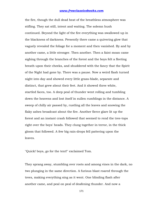the fire, though the dull dead heat of the breathless atmosphere was stifling. They sat still, intent and waiting. The solemn hush continued. Beyond the light of the fire everything was swallowed up in the blackness of darkness. Presently there came a quivering glow that vaguely revealed the foliage for a moment and then vanished. By and by another came, a little stronger. Then another. Then a faint moan came sighing through the branches of the forest and the boys felt a fleeting breath upon their cheeks, and shuddered with the fancy that the Spirit of the Night had gone by. There was a pause. Now a weird flash turned night into day and showed every little grass-blade, separate and distinct, that grew about their feet. And it showed three white, startled faces, too. A deep peal of thunder went rolling and tumbling down the heavens and lost itself in sullen rumblings in the distance. A sweep of chilly air passed by, rustling all the leaves and snowing the flaky ashes broadcast about the fire. Another fierce glare lit up the forest and an instant crash followed that seemed to rend the tree-tops right over the boys' heads. They clung together in terror, in the thick gloom that followed. A few big rain-drops fell pattering upon the leaves.

"Quick! boys, go for the tent!" exclaimed Tom.

They sprang away, stumbling over roots and among vines in the dark, no two plunging in the same direction. A furious blast roared through the trees, making everything sing as it went. One blinding flash after another came, and peal on peal of deafening thunder. And now a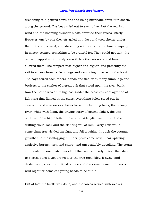drenching rain poured down and the rising hurricane drove it in sheets along the ground. The boys cried out to each other, but the roaring wind and the booming thunder-blasts drowned their voices utterly. However, one by one they straggled in at last and took shelter under the tent, cold, scared, and streaming with water; but to have company in misery seemed something to be grateful for. They could not talk, the old sail flapped so furiously, even if the other noises would have allowed them. The tempest rose higher and higher, and presently the sail tore loose from its fastenings and went winging away on the blast. The boys seized each others' hands and fled, with many tumblings and bruises, to the shelter of a great oak that stood upon the river-bank. Now the battle was at its highest. Under the ceaseless conflagration of lightning that flamed in the skies, everything below stood out in clean-cut and shadowless distinctness: the bending trees, the billowy river, white with foam, the driving spray of spume-flakes, the dim outlines of the high bluffs on the other side, glimpsed through the drifting cloud-rack and the slanting veil of rain. Every little while some giant tree yielded the fight and fell crashing through the younger growth; and the unflagging thunder-peals came now in ear-splitting explosive bursts, keen and sharp, and unspeakably appalling. The storm culminated in one matchless effort that seemed likely to tear the island to pieces, burn it up, drown it to the tree-tops, blow it away, and deafen every creature in it, all at one and the same moment. It was a wild night for homeless young heads to be out in.

But at last the battle was done, and the forces retired with weaker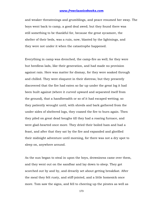and weaker threatenings and grumblings, and peace resumed her sway. The boys went back to camp, a good deal awed; but they found there was still something to be thankful for, because the great sycamore, the shelter of their beds, was a ruin, now, blasted by the lightnings, and they were not under it when the catastrophe happened.

Everything in camp was drenched, the camp-fire as well; for they were but heedless lads, like their generation, and had made no provision against rain. Here was matter for dismay, for they were soaked through and chilled. They were eloquent in their distress; but they presently discovered that the fire had eaten so far up under the great log it had been built against (where it curved upward and separated itself from the ground), that a handbreadth or so of it had escaped wetting; so they patiently wrought until, with shreds and bark gathered from the under sides of sheltered logs, they coaxed the fire to burn again. Then they piled on great dead boughs till they had a roaring furnace, and were glad-hearted once more. They dried their boiled ham and had a feast, and after that they sat by the fire and expanded and glorified their midnight adventure until morning, for there was not a dry spot to sleep on, anywhere around.

As the sun began to steal in upon the boys, drowsiness came over them, and they went out on the sandbar and lay down to sleep. They got scorched out by and by, and drearily set about getting breakfast. After the meal they felt rusty, and stiff-jointed, and a little homesick once more. Tom saw the signs, and fell to cheering up the pirates as well as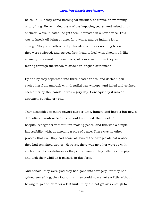he could. But they cared nothing for marbles, or circus, or swimming, or anything. He reminded them of the imposing secret, and raised a ray of cheer. While it lasted, he got them interested in a new device. This was to knock off being pirates, for a while, and be Indians for a change. They were attracted by this idea; so it was not long before they were stripped, and striped from head to heel with black mud, like so many zebras--all of them chiefs, of course--and then they went tearing through the woods to attack an English settlement.

By and by they separated into three hostile tribes, and darted upon each other from ambush with dreadful war-whoops, and killed and scalped each other by thousands. It was a gory day. Consequently it was an extremely satisfactory one.

They assembled in camp toward supper-time, hungry and happy; but now a difficulty arose--hostile Indians could not break the bread of hospitality together without first making peace, and this was a simple impossibility without smoking a pipe of peace. There was no other process that ever they had heard of. Two of the savages almost wished they had remained pirates. However, there was no other way; so with such show of cheerfulness as they could muster they called for the pipe and took their whiff as it passed, in due form.

And behold, they were glad they had gone into savagery, for they had gained something; they found that they could now smoke a little without having to go and hunt for a lost knife; they did not get sick enough to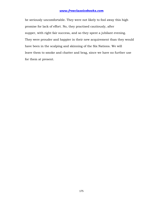be seriously uncomfortable. They were not likely to fool away this high promise for lack of effort. No, they practised cautiously, after supper, with right fair success, and so they spent a jubilant evening. They were prouder and happier in their new acquirement than they would have been in the scalping and skinning of the Six Nations. We will leave them to smoke and chatter and brag, since we have no further use for them at present.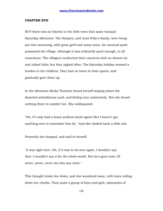### **CHAPTER XVII**

BUT there was no hilarity in the little town that same tranquil Saturday afternoon. The Harpers, and Aunt Polly's family, were being put into mourning, with great grief and many tears. An unusual quiet possessed the village, although it was ordinarily quiet enough, in all conscience. The villagers conducted their concerns with an absent air, and talked little; but they sighed often. The Saturday holiday seemed a burden to the children. They had no heart in their sports, and gradually gave them up.

In the afternoon Becky Thatcher found herself moping about the deserted schoolhouse yard, and feeling very melancholy. But she found nothing there to comfort her. She soliloquized:

"Oh, if I only had a brass andiron-knob again! But I haven't got anything now to remember him by." And she choked back a little sob.

Presently she stopped, and said to herself:

"It was right here. Oh, if it was to do over again, I wouldn't say that--I wouldn't say it for the whole world. But he's gone now; I'll never, never, never see him any more."

This thought broke her down, and she wandered away, with tears rolling down her cheeks. Then quite a group of boys and girls--playmates of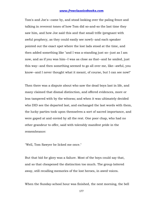Tom's and Joe's--came by, and stood looking over the paling fence and talking in reverent tones of how Tom did so-and-so the last time they saw him, and how Joe said this and that small trifle (pregnant with awful prophecy, as they could easily see now!)--and each speaker pointed out the exact spot where the lost lads stood at the time, and then added something like "and I was a-standing just so--just as I am now, and as if you was him--I was as close as that--and he smiled, just this way--and then something seemed to go all over me, like--awful, you know--and I never thought what it meant, of course, but I can see now!"

Then there was a dispute about who saw the dead boys last in life, and many claimed that dismal distinction, and offered evidences, more or less tampered with by the witness; and when it was ultimately decided who DID see the departed last, and exchanged the last words with them, the lucky parties took upon themselves a sort of sacred importance, and were gaped at and envied by all the rest. One poor chap, who had no other grandeur to offer, said with tolerably manifest pride in the remembrance:

"Well, Tom Sawyer he licked me once."

But that bid for glory was a failure. Most of the boys could say that, and so that cheapened the distinction too much. The group loitered away, still recalling memories of the lost heroes, in awed voices.

When the Sunday-school hour was finished, the next morning, the bell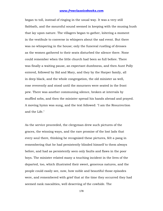began to toll, instead of ringing in the usual way. It was a very still Sabbath, and the mournful sound seemed in keeping with the musing hush that lay upon nature. The villagers began to gather, loitering a moment in the vestibule to converse in whispers about the sad event. But there was no whispering in the house; only the funereal rustling of dresses as the women gathered to their seats disturbed the silence there. None could remember when the little church had been so full before. There was finally a waiting pause, an expectant dumbness, and then Aunt Polly entered, followed by Sid and Mary, and they by the Harper family, all in deep black, and the whole congregation, the old minister as well, rose reverently and stood until the mourners were seated in the front pew. There was another communing silence, broken at intervals by muffled sobs, and then the minister spread his hands abroad and prayed. A moving hymn was sung, and the text followed: "I am the Resurrection and the Life."

As the service proceeded, the clergyman drew such pictures of the graces, the winning ways, and the rare promise of the lost lads that every soul there, thinking he recognized these pictures, felt a pang in remembering that he had persistently blinded himself to them always before, and had as persistently seen only faults and flaws in the poor boys. The minister related many a touching incident in the lives of the departed, too, which illustrated their sweet, generous natures, and the people could easily see, now, how noble and beautiful those episodes were, and remembered with grief that at the time they occurred they had seemed rank rascalities, well deserving of the cowhide. The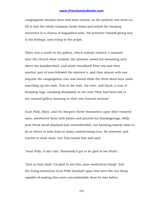congregation became more and more moved, as the pathetic tale went on, till at last the whole company broke down and joined the weeping mourners in a chorus of anguished sobs, the preacher himself giving way to his feelings, and crying in the pulpit.

There was a rustle in the gallery, which nobody noticed; a moment later the church door creaked; the minister raised his streaming eyes above his handkerchief, and stood transfixed! First one and then another pair of eyes followed the minister's, and then almost with one impulse the congregation rose and stared while the three dead boys came marching up the aisle, Tom in the lead, Joe next, and Huck, a ruin of drooping rags, sneaking sheepishly in the rear! They had been hid in the unused gallery listening to their own funeral sermon!

Aunt Polly, Mary, and the Harpers threw themselves upon their restored ones, smothered them with kisses and poured out thanksgivings, while poor Huck stood abashed and uncomfortable, not knowing exactly what to do or where to hide from so many unwelcoming eyes. He wavered, and started to slink away, but Tom seized him and said:

"Aunt Polly, it ain't fair. Somebody's got to be glad to see Huck."

"And so they shall. I'm glad to see him, poor motherless thing!" And the loving attentions Aunt Polly lavished upon him were the one thing capable of making him more uncomfortable than he was before.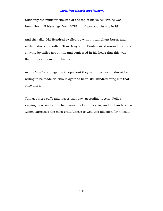Suddenly the minister shouted at the top of his voice: "Praise God from whom all blessings flow--SING!--and put your hearts in it!"

And they did. Old Hundred swelled up with a triumphant burst, and while it shook the rafters Tom Sawyer the Pirate looked around upon the envying juveniles about him and confessed in his heart that this was the proudest moment of his life.

As the "sold" congregation trooped out they said they would almost be willing to be made ridiculous again to hear Old Hundred sung like that once more.

Tom got more cuffs and kisses that day--according to Aunt Polly's varying moods--than he had earned before in a year; and he hardly knew which expressed the most gratefulness to God and affection for himself.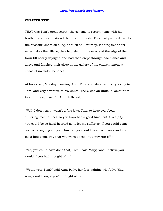#### **CHAPTER XVIII**

THAT was Tom's great secret--the scheme to return home with his brother pirates and attend their own funerals. They had paddled over to the Missouri shore on a log, at dusk on Saturday, landing five or six miles below the village; they had slept in the woods at the edge of the town till nearly daylight, and had then crept through back lanes and alleys and finished their sleep in the gallery of the church among a chaos of invalided benches.

At breakfast, Monday morning, Aunt Polly and Mary were very loving to Tom, and very attentive to his wants. There was an unusual amount of talk. In the course of it Aunt Polly said:

"Well, I don't say it wasn't a fine joke, Tom, to keep everybody suffering 'most a week so you boys had a good time, but it is a pity you could be so hard-hearted as to let me suffer so. If you could come over on a log to go to your funeral, you could have come over and give me a hint some way that you warn't dead, but only run off."

"Yes, you could have done that, Tom," said Mary; "and I believe you would if you had thought of it."

"Would you, Tom?" said Aunt Polly, her face lighting wistfully. "Say, now, would you, if you'd thought of it?"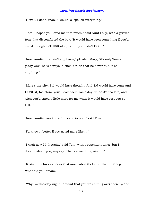"I--well, I don't know. 'Twould 'a' spoiled everything."

"Tom, I hoped you loved me that much," said Aunt Polly, with a grieved tone that discomforted the boy. "It would have been something if you'd cared enough to THINK of it, even if you didn't DO it."

"Now, auntie, that ain't any harm," pleaded Mary; "it's only Tom's giddy way--he is always in such a rush that he never thinks of anything."

"More's the pity. Sid would have thought. And Sid would have come and DONE it, too. Tom, you'll look back, some day, when it's too late, and wish you'd cared a little more for me when it would have cost you so little."

"Now, auntie, you know I do care for you," said Tom.

"I'd know it better if you acted more like it."

"I wish now I'd thought," said Tom, with a repentant tone; "but I dreamt about you, anyway. That's something, ain't it?"

"It ain't much--a cat does that much--but it's better than nothing. What did you dream?"

"Why, Wednesday night I dreamt that you was sitting over there by the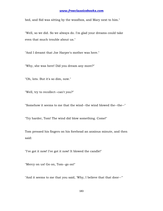bed, and Sid was sitting by the woodbox, and Mary next to him."

"Well, so we did. So we always do. I'm glad your dreams could take even that much trouble about us."

"And I dreamt that Joe Harper's mother was here."

"Why, she was here! Did you dream any more?"

"Oh, lots. But it's so dim, now."

"Well, try to recollect--can't you?"

"Somehow it seems to me that the wind--the wind blowed the--the--"

"Try harder, Tom! The wind did blow something. Come!"

Tom pressed his fingers on his forehead an anxious minute, and then said:

"I've got it now! I've got it now! It blowed the candle!"

"Mercy on us! Go on, Tom--go on!"

"And it seems to me that you said, 'Why, I believe that that door--"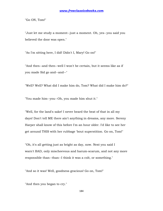"Go ON, Tom!"

"Just let me study a moment--just a moment. Oh, yes--you said you believed the door was open."

"As I'm sitting here, I did! Didn't I, Mary! Go on!"

"And then--and then--well I won't be certain, but it seems like as if you made Sid go and--and--"

"Well? Well? What did I make him do, Tom? What did I make him do?"

"You made him--you--Oh, you made him shut it."

"Well, for the land's sake! I never heard the beat of that in all my days! Don't tell ME there ain't anything in dreams, any more. Sereny Harper shall know of this before I'm an hour older. I'd like to see her get around THIS with her rubbage 'bout superstition. Go on, Tom!"

"Oh, it's all getting just as bright as day, now. Next you said I warn't BAD, only mischeevous and harum-scarum, and not any more responsible than--than--I think it was a colt, or something."

"And so it was! Well, goodness gracious! Go on, Tom!"

"And then you began to cry."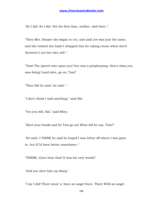"So I did. So I did. Not the first time, neither. And then--"

"Then Mrs. Harper she began to cry, and said Joe was just the same, and she wished she hadn't whipped him for taking cream when she'd throwed it out her own self--"

"Tom! The sperrit was upon you! You was a prophesying--that's what you was doing! Land alive, go on, Tom!"

"Then Sid he said--he said--"

"I don't think I said anything," said Sid.

"Yes you did, Sid," said Mary.

"Shut your heads and let Tom go on! What did he say, Tom?"

"He said--I THINK he said he hoped I was better off where I was gone to, but if I'd been better sometimes--"

"THERE, d'you hear that! It was his very words!"

"And you shut him up sharp."

"I lay I did! There must 'a' been an angel there. There WAS an angel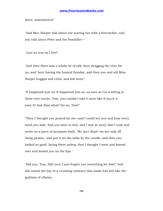there, somewheres!"

"And Mrs. Harper told about Joe scaring her with a firecracker, and you told about Peter and the Painkiller--"

"Just as true as I live!"

"And then there was a whole lot of talk 'bout dragging the river for us, and 'bout having the funeral Sunday, and then you and old Miss Harper hugged and cried, and she went."

"It happened just so! It happened just so, as sure as I'm a-sitting in these very tracks. Tom, you couldn't told it more like if you'd 'a' seen it! And then what? Go on, Tom!"

"Then I thought you prayed for me--and I could see you and hear every word you said. And you went to bed, and I was so sorry that I took and wrote on a piece of sycamore bark, 'We ain't dead--we are only off being pirates,' and put it on the table by the candle; and then you looked so good, laying there asleep, that I thought I went and leaned over and kissed you on the lips."

"Did you, Tom, DID you! I just forgive you everything for that!" And she seized the boy in a crushing embrace that made him feel like the guiltiest of villains.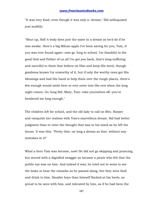"It was very kind, even though it was only a--dream," Sid soliloquized just audibly.

"Shut up, Sid! A body does just the same in a dream as he'd do if he was awake. Here's a big Milum apple I've been saving for you, Tom, if you was ever found again--now go 'long to school. I'm thankful to the good God and Father of us all I've got you back, that's long-suffering and merciful to them that believe on Him and keep His word, though goodness knows I'm unworthy of it, but if only the worthy ones got His blessings and had His hand to help them over the rough places, there's few enough would smile here or ever enter into His rest when the long night comes. Go 'long Sid, Mary, Tom--take yourselves off--you've hendered me long enough."

The children left for school, and the old lady to call on Mrs. Harper and vanquish her realism with Tom's marvellous dream. Sid had better judgment than to utter the thought that was in his mind as he left the house. It was this: "Pretty thin--as long a dream as that, without any mistakes in it!"

What a hero Tom was become, now! He did not go skipping and prancing, but moved with a dignified swagger as became a pirate who felt that the public eye was on him. And indeed it was; he tried not to seem to see the looks or hear the remarks as he passed along, but they were food and drink to him. Smaller boys than himself flocked at his heels, as proud to be seen with him, and tolerated by him, as if he had been the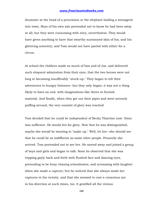drummer at the head of a procession or the elephant leading a menagerie into town. Boys of his own size pretended not to know he had been away at all; but they were consuming with envy, nevertheless. They would have given anything to have that swarthy suntanned skin of his, and his glittering notoriety; and Tom would not have parted with either for a circus.

At school the children made so much of him and of Joe, and delivered such eloquent admiration from their eyes, that the two heroes were not long in becoming insufferably "stuck-up." They began to tell their adventures to hungry listeners--but they only began; it was not a thing likely to have an end, with imaginations like theirs to furnish material. And finally, when they got out their pipes and went serenely puffing around, the very summit of glory was reached.

Tom decided that he could be independent of Becky Thatcher now. Glory was sufficient. He would live for glory. Now that he was distinguished, maybe she would be wanting to "make up." Well, let her--she should see that he could be as indifferent as some other people. Presently she arrived. Tom pretended not to see her. He moved away and joined a group of boys and girls and began to talk. Soon he observed that she was tripping gayly back and forth with flushed face and dancing eyes, pretending to be busy chasing schoolmates, and screaming with laughter when she made a capture; but he noticed that she always made her captures in his vicinity, and that she seemed to cast a conscious eye in his direction at such times, too. It gratified all the vicious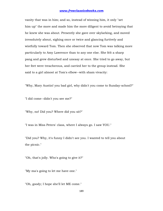vanity that was in him; and so, instead of winning him, it only "set him up" the more and made him the more diligent to avoid betraying that he knew she was about. Presently she gave over skylarking, and moved irresolutely about, sighing once or twice and glancing furtively and wistfully toward Tom. Then she observed that now Tom was talking more particularly to Amy Lawrence than to any one else. She felt a sharp pang and grew disturbed and uneasy at once. She tried to go away, but her feet were treacherous, and carried her to the group instead. She said to a girl almost at Tom's elbow--with sham vivacity:

"Why, Mary Austin! you bad girl, why didn't you come to Sunday-school?"

"I did come--didn't you see me?"

"Why, no! Did you? Where did you sit?"

"I was in Miss Peters' class, where I always go. I saw YOU."

"Did you? Why, it's funny I didn't see you. I wanted to tell you about the picnic."

"Oh, that's jolly. Who's going to give it?"

"My ma's going to let me have one."

"Oh, goody; I hope she'll let ME come."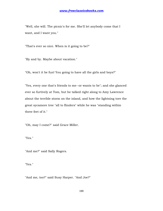"Well, she will. The picnic's for me. She'll let anybody come that I want, and I want you."

"That's ever so nice. When is it going to be?"

"By and by. Maybe about vacation."

"Oh, won't it be fun! You going to have all the girls and boys?"

"Yes, every one that's friends to me--or wants to be"; and she glanced ever so furtively at Tom, but he talked right along to Amy Lawrence about the terrible storm on the island, and how the lightning tore the great sycamore tree "all to flinders" while he was "standing within three feet of it."

"Oh, may I come?" said Grace Miller.

"Yes."

"And me?" said Sally Rogers.

"Yes."

"And me, too?" said Susy Harper. "And Joe?"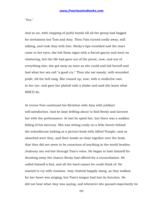"Yes."

And so on, with clapping of joyful hands till all the group had begged for invitations but Tom and Amy. Then Tom turned coolly away, still talking, and took Amy with him. Becky's lips trembled and the tears came to her eyes; she hid these signs with a forced gayety and went on chattering, but the life had gone out of the picnic, now, and out of everything else; she got away as soon as she could and hid herself and had what her sex call "a good cry." Then she sat moody, with wounded pride, till the bell rang. She roused up, now, with a vindictive cast in her eye, and gave her plaited tails a shake and said she knew what SHE'D do.

At recess Tom continued his flirtation with Amy with jubilant self-satisfaction. And he kept drifting about to find Becky and lacerate her with the performance. At last he spied her, but there was a sudden falling of his mercury. She was sitting cosily on a little bench behind the schoolhouse looking at a picture-book with Alfred Temple--and so absorbed were they, and their heads so close together over the book, that they did not seem to be conscious of anything in the world besides. Jealousy ran red-hot through Tom's veins. He began to hate himself for throwing away the chance Becky had offered for a reconciliation. He called himself a fool, and all the hard names he could think of. He wanted to cry with vexation. Amy chatted happily along, as they walked, for her heart was singing, but Tom's tongue had lost its function. He did not hear what Amy was saying, and whenever she paused expectantly he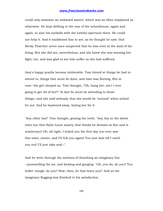could only stammer an awkward assent, which was as often misplaced as otherwise. He kept drifting to the rear of the schoolhouse, again and again, to sear his eyeballs with the hateful spectacle there. He could not help it. And it maddened him to see, as he thought he saw, that Becky Thatcher never once suspected that he was even in the land of the living. But she did see, nevertheless; and she knew she was winning her fight, too, and was glad to see him suffer as she had suffered.

Amy's happy prattle became intolerable. Tom hinted at things he had to attend to; things that must be done; and time was fleeting. But in vain--the girl chirped on. Tom thought, "Oh, hang her, ain't I ever going to get rid of her?" At last he must be attending to those things--and she said artlessly that she would be "around" when school let out. And he hastened away, hating her for it.

"Any other boy!" Tom thought, grating his teeth. "Any boy in the whole town but that Saint Louis smarty that thinks he dresses so fine and is aristocracy! Oh, all right, I licked you the first day you ever saw this town, mister, and I'll lick you again! You just wait till I catch you out! I'll just take and--"

And he went through the motions of thrashing an imaginary boy --pummelling the air, and kicking and gouging. "Oh, you do, do you? You holler 'nough, do you? Now, then, let that learn you!" And so the imaginary flogging was finished to his satisfaction.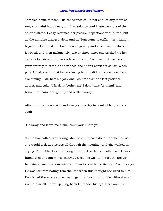Tom fled home at noon. His conscience could not endure any more of Amy's grateful happiness, and his jealousy could bear no more of the other distress. Becky resumed her picture inspections with Alfred, but as the minutes dragged along and no Tom came to suffer, her triumph began to cloud and she lost interest; gravity and absent-mindedness followed, and then melancholy; two or three times she pricked up her ear at a footstep, but it was a false hope; no Tom came. At last she grew entirely miserable and wished she hadn't carried it so far. When poor Alfred, seeing that he was losing her, he did not know how, kept exclaiming: "Oh, here's a jolly one! look at this!" she lost patience at last, and said, "Oh, don't bother me! I don't care for them!" and burst into tears, and got up and walked away.

Alfred dropped alongside and was going to try to comfort her, but she said:

"Go away and leave me alone, can't you! I hate you!"

So the boy halted, wondering what he could have done--for she had said she would look at pictures all through the nooning--and she walked on, crying. Then Alfred went musing into the deserted schoolhouse. He was humiliated and angry. He easily guessed his way to the truth--the girl had simply made a convenience of him to vent her spite upon Tom Sawyer. He was far from hating Tom the less when this thought occurred to him. He wished there was some way to get that boy into trouble without much risk to himself. Tom's spelling-book fell under his eye. Here was his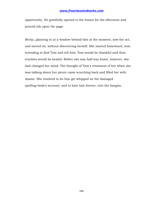opportunity. He gratefully opened to the lesson for the afternoon and poured ink upon the page.

Becky, glancing in at a window behind him at the moment, saw the act, and moved on, without discovering herself. She started homeward, now, intending to find Tom and tell him; Tom would be thankful and their troubles would be healed. Before she was half way home, however, she had changed her mind. The thought of Tom's treatment of her when she was talking about her picnic came scorching back and filled her with shame. She resolved to let him get whipped on the damaged spelling-book's account, and to hate him forever, into the bargain.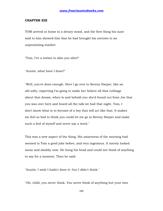#### **CHAPTER XIX**

TOM arrived at home in a dreary mood, and the first thing his aunt said to him showed him that he had brought his sorrows to an unpromising market:

"Tom, I've a notion to skin you alive!"

"Auntie, what have I done?"

"Well, you've done enough. Here I go over to Sereny Harper, like an old softy, expecting I'm going to make her believe all that rubbage about that dream, when lo and behold you she'd found out from Joe that you was over here and heard all the talk we had that night. Tom, I don't know what is to become of a boy that will act like that. It makes me feel so bad to think you could let me go to Sereny Harper and make such a fool of myself and never say a word."

This was a new aspect of the thing. His smartness of the morning had seemed to Tom a good joke before, and very ingenious. It merely looked mean and shabby now. He hung his head and could not think of anything to say for a moment. Then he said:

"Auntie, I wish I hadn't done it--but I didn't think."

"Oh, child, you never think. You never think of anything but your own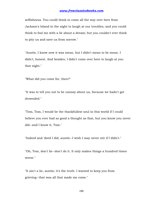selfishness. You could think to come all the way over here from Jackson's Island in the night to laugh at our troubles, and you could think to fool me with a lie about a dream; but you couldn't ever think to pity us and save us from sorrow."

"Auntie, I know now it was mean, but I didn't mean to be mean. I didn't, honest. And besides, I didn't come over here to laugh at you that night."

"What did you come for, then?"

"It was to tell you not to be uneasy about us, because we hadn't got drownded."

"Tom, Tom, I would be the thankfullest soul in this world if I could believe you ever had as good a thought as that, but you know you never did--and I know it, Tom."

"Indeed and 'deed I did, auntie--I wish I may never stir if I didn't."

"Oh, Tom, don't lie--don't do it. It only makes things a hundred times worse."

"It ain't a lie, auntie; it's the truth. I wanted to keep you from grieving--that was all that made me come."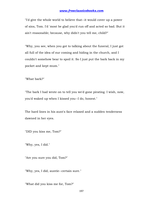"I'd give the whole world to believe that--it would cover up a power of sins, Tom. I'd 'most be glad you'd run off and acted so bad. But it ain't reasonable; because, why didn't you tell me, child?"

"Why, you see, when you got to talking about the funeral, I just got all full of the idea of our coming and hiding in the church, and I couldn't somehow bear to spoil it. So I just put the bark back in my pocket and kept mum."

"What bark?"

"The bark I had wrote on to tell you we'd gone pirating. I wish, now, you'd waked up when I kissed you--I do, honest."

The hard lines in his aunt's face relaxed and a sudden tenderness dawned in her eyes.

"DID you kiss me, Tom?"

"Why, yes, I did."

"Are you sure you did, Tom?"

"Why, yes, I did, auntie--certain sure."

"What did you kiss me for, Tom?"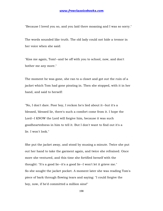"Because I loved you so, and you laid there moaning and I was so sorry."

The words sounded like truth. The old lady could not hide a tremor in her voice when she said:

"Kiss me again, Tom!--and be off with you to school, now, and don't bother me any more."

The moment he was gone, she ran to a closet and got out the ruin of a jacket which Tom had gone pirating in. Then she stopped, with it in her hand, and said to herself:

"No, I don't dare. Poor boy, I reckon he's lied about it--but it's a blessed, blessed lie, there's such a comfort come from it. I hope the Lord--I KNOW the Lord will forgive him, because it was such goodheartedness in him to tell it. But I don't want to find out it's a lie. I won't look."

She put the jacket away, and stood by musing a minute. Twice she put out her hand to take the garment again, and twice she refrained. Once more she ventured, and this time she fortified herself with the thought: "It's a good lie--it's a good lie--I won't let it grieve me." So she sought the jacket pocket. A moment later she was reading Tom's piece of bark through flowing tears and saying: "I could forgive the boy, now, if he'd committed a million sins!"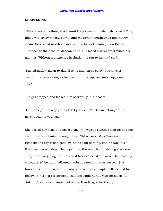#### **CHAPTER XX**

THERE was something about Aunt Polly's manner, when she kissed Tom, that swept away his low spirits and made him lighthearted and happy again. He started to school and had the luck of coming upon Becky Thatcher at the head of Meadow Lane. His mood always determined his manner. Without a moment's hesitation he ran to her and said:

"I acted mighty mean to-day, Becky, and I'm so sorry. I won't ever, ever do that way again, as long as ever I live--please make up, won't you?"

The girl stopped and looked him scornfully in the face:

"I'll thank you to keep yourself TO yourself, Mr. Thomas Sawyer. I'll never speak to you again."

She tossed her head and passed on. Tom was so stunned that he had not even presence of mind enough to say "Who cares, Miss Smarty?" until the right time to say it had gone by. So he said nothing. But he was in a fine rage, nevertheless. He moped into the schoolyard wishing she were a boy, and imagining how he would trounce her if she were. He presently encountered her and delivered a stinging remark as he passed. She hurled one in return, and the angry breach was complete. It seemed to Becky, in her hot resentment, that she could hardly wait for school to "take in," she was so impatient to see Tom flogged for the injured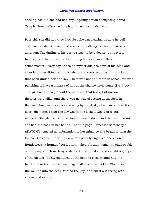spelling-book. If she had had any lingering notion of exposing Alfred Temple, Tom's offensive fling had driven it entirely away.

Poor girl, she did not know how fast she was nearing trouble herself. The master, Mr. Dobbins, had reached middle age with an unsatisfied ambition. The darling of his desires was, to be a doctor, but poverty had decreed that he should be nothing higher than a village schoolmaster. Every day he took a mysterious book out of his desk and absorbed himself in it at times when no classes were reciting. He kept that book under lock and key. There was not an urchin in school but was perishing to have a glimpse of it, but the chance never came. Every boy and girl had a theory about the nature of that book; but no two theories were alike, and there was no way of getting at the facts in the case. Now, as Becky was passing by the desk, which stood near the door, she noticed that the key was in the lock! It was a precious moment. She glanced around; found herself alone, and the next instant she had the book in her hands. The title-page--Professor Somebody's ANATOMY--carried no information to her mind; so she began to turn the leaves. She came at once upon a handsomely engraved and colored frontispiece--a human figure, stark naked. At that moment a shadow fell on the page and Tom Sawyer stepped in at the door and caught a glimpse of the picture. Becky snatched at the book to close it, and had the hard luck to tear the pictured page half down the middle. She thrust the volume into the desk, turned the key, and burst out crying with shame and vexation.

200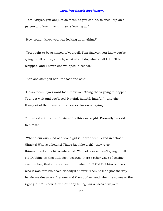"Tom Sawyer, you are just as mean as you can be, to sneak up on a person and look at what they're looking at."

"How could I know you was looking at anything?"

"You ought to be ashamed of yourself, Tom Sawyer; you know you're going to tell on me, and oh, what shall I do, what shall I do! I'll be whipped, and I never was whipped in school."

Then she stamped her little foot and said:

"BE so mean if you want to! I know something that's going to happen. You just wait and you'll see! Hateful, hateful, hateful!"--and she flung out of the house with a new explosion of crying.

Tom stood still, rather flustered by this onslaught. Presently he said to himself:

"What a curious kind of a fool a girl is! Never been licked in school! Shucks! What's a licking! That's just like a girl--they're so thin-skinned and chicken-hearted. Well, of course I ain't going to tell old Dobbins on this little fool, because there's other ways of getting even on her, that ain't so mean; but what of it? Old Dobbins will ask who it was tore his book. Nobody'll answer. Then he'll do just the way he always does--ask first one and then t'other, and when he comes to the right girl he'll know it, without any telling. Girls' faces always tell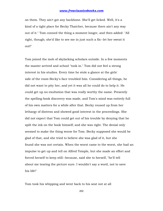on them. They ain't got any backbone. She'll get licked. Well, it's a kind of a tight place for Becky Thatcher, because there ain't any way out of it." Tom conned the thing a moment longer, and then added: "All right, though; she'd like to see me in just such a fix--let her sweat it out!"

Tom joined the mob of skylarking scholars outside. In a few moments the master arrived and school "took in." Tom did not feel a strong interest in his studies. Every time he stole a glance at the girls' side of the room Becky's face troubled him. Considering all things, he did not want to pity her, and yet it was all he could do to help it. He could get up no exultation that was really worthy the name. Presently the spelling-book discovery was made, and Tom's mind was entirely full of his own matters for a while after that. Becky roused up from her lethargy of distress and showed good interest in the proceedings. She did not expect that Tom could get out of his trouble by denying that he spilt the ink on the book himself; and she was right. The denial only seemed to make the thing worse for Tom. Becky supposed she would be glad of that, and she tried to believe she was glad of it, but she found she was not certain. When the worst came to the worst, she had an impulse to get up and tell on Alfred Temple, but she made an effort and forced herself to keep still--because, said she to herself, "he'll tell about me tearing the picture sure. I wouldn't say a word, not to save his life!"

Tom took his whipping and went back to his seat not at all

202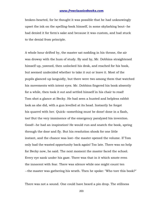broken-hearted, for he thought it was possible that he had unknowingly upset the ink on the spelling-book himself, in some skylarking bout--he had denied it for form's sake and because it was custom, and had stuck to the denial from principle.

A whole hour drifted by, the master sat nodding in his throne, the air was drowsy with the hum of study. By and by, Mr. Dobbins straightened himself up, yawned, then unlocked his desk, and reached for his book, but seemed undecided whether to take it out or leave it. Most of the pupils glanced up languidly, but there were two among them that watched his movements with intent eyes. Mr. Dobbins fingered his book absently for a while, then took it out and settled himself in his chair to read! Tom shot a glance at Becky. He had seen a hunted and helpless rabbit look as she did, with a gun levelled at its head. Instantly he forgot his quarrel with her. Quick--something must be done! done in a flash, too! But the very imminence of the emergency paralyzed his invention. Good!--he had an inspiration! He would run and snatch the book, spring through the door and fly. But his resolution shook for one little instant, and the chance was lost--the master opened the volume. If Tom only had the wasted opportunity back again! Too late. There was no help for Becky now, he said. The next moment the master faced the school. Every eye sank under his gaze. There was that in it which smote even the innocent with fear. There was silence while one might count ten --the master was gathering his wrath. Then he spoke: "Who tore this book?"

There was not a sound. One could have heard a pin drop. The stillness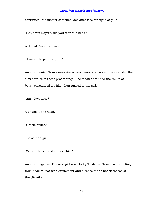continued; the master searched face after face for signs of guilt.

"Benjamin Rogers, did you tear this book?"

A denial. Another pause.

"Joseph Harper, did you?"

Another denial. Tom's uneasiness grew more and more intense under the slow torture of these proceedings. The master scanned the ranks of boys--considered a while, then turned to the girls:

"Amy Lawrence?"

A shake of the head.

"Gracie Miller?"

The same sign.

"Susan Harper, did you do this?"

Another negative. The next girl was Becky Thatcher. Tom was trembling from head to foot with excitement and a sense of the hopelessness of the situation.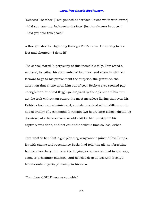"Rebecca Thatcher" [Tom glanced at her face--it was white with terror] --"did you tear--no, look me in the face" [her hands rose in appeal] --"did you tear this book?"

A thought shot like lightning through Tom's brain. He sprang to his feet and shouted--"I done it!"

The school stared in perplexity at this incredible folly. Tom stood a moment, to gather his dismembered faculties; and when he stepped forward to go to his punishment the surprise, the gratitude, the adoration that shone upon him out of poor Becky's eyes seemed pay enough for a hundred floggings. Inspired by the splendor of his own act, he took without an outcry the most merciless flaying that even Mr. Dobbins had ever administered; and also received with indifference the added cruelty of a command to remain two hours after school should be dismissed--for he knew who would wait for him outside till his captivity was done, and not count the tedious time as loss, either.

Tom went to bed that night planning vengeance against Alfred Temple; for with shame and repentance Becky had told him all, not forgetting her own treachery; but even the longing for vengeance had to give way, soon, to pleasanter musings, and he fell asleep at last with Becky's latest words lingering dreamily in his ear--

"Tom, how COULD you be so noble!"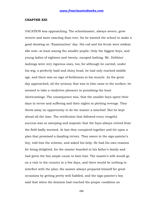#### **CHAPTER XXI**

VACATION was approaching. The schoolmaster, always severe, grew severer and more exacting than ever, for he wanted the school to make a good showing on "Examination" day. His rod and his ferule were seldom idle now--at least among the smaller pupils. Only the biggest boys, and young ladies of eighteen and twenty, escaped lashing. Mr. Dobbins' lashings were very vigorous ones, too; for although he carried, under his wig, a perfectly bald and shiny head, he had only reached middle age, and there was no sign of feebleness in his muscle. As the great day approached, all the tyranny that was in him came to the surface; he seemed to take a vindictive pleasure in punishing the least shortcomings. The consequence was, that the smaller boys spent their days in terror and suffering and their nights in plotting revenge. They threw away no opportunity to do the master a mischief. But he kept ahead all the time. The retribution that followed every vengeful success was so sweeping and majestic that the boys always retired from the field badly worsted. At last they conspired together and hit upon a plan that promised a dazzling victory. They swore in the sign-painter's boy, told him the scheme, and asked his help. He had his own reasons for being delighted, for the master boarded in his father's family and had given the boy ample cause to hate him. The master's wife would go on a visit to the country in a few days, and there would be nothing to interfere with the plan; the master always prepared himself for great occasions by getting pretty well fuddled, and the sign-painter's boy said that when the dominie had reached the proper condition on

206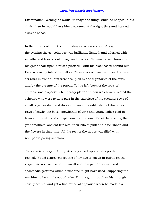Examination Evening he would "manage the thing" while he napped in his chair; then he would have him awakened at the right time and hurried away to school.

In the fulness of time the interesting occasion arrived. At eight in the evening the schoolhouse was brilliantly lighted, and adorned with wreaths and festoons of foliage and flowers. The master sat throned in his great chair upon a raised platform, with his blackboard behind him. He was looking tolerably mellow. Three rows of benches on each side and six rows in front of him were occupied by the dignitaries of the town and by the parents of the pupils. To his left, back of the rows of citizens, was a spacious temporary platform upon which were seated the scholars who were to take part in the exercises of the evening; rows of small boys, washed and dressed to an intolerable state of discomfort; rows of gawky big boys; snowbanks of girls and young ladies clad in lawn and muslin and conspicuously conscious of their bare arms, their grandmothers' ancient trinkets, their bits of pink and blue ribbon and the flowers in their hair. All the rest of the house was filled with non-participating scholars.

The exercises began. A very little boy stood up and sheepishly recited, "You'd scarce expect one of my age to speak in public on the stage," etc.--accompanying himself with the painfully exact and spasmodic gestures which a machine might have used--supposing the machine to be a trifle out of order. But he got through safely, though cruelly scared, and got a fine round of applause when he made his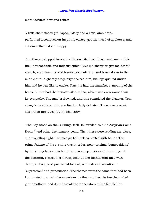manufactured bow and retired.

A little shamefaced girl lisped, "Mary had a little lamb," etc., performed a compassion-inspiring curtsy, got her meed of applause, and sat down flushed and happy.

Tom Sawyer stepped forward with conceited confidence and soared into the unquenchable and indestructible "Give me liberty or give me death" speech, with fine fury and frantic gesticulation, and broke down in the middle of it. A ghastly stage-fright seized him, his legs quaked under him and he was like to choke. True, he had the manifest sympathy of the house but he had the house's silence, too, which was even worse than its sympathy. The master frowned, and this completed the disaster. Tom struggled awhile and then retired, utterly defeated. There was a weak attempt at applause, but it died early.

"The Boy Stood on the Burning Deck" followed; also "The Assyrian Came Down," and other declamatory gems. Then there were reading exercises, and a spelling fight. The meagre Latin class recited with honor. The prime feature of the evening was in order, now--original "compositions" by the young ladies. Each in her turn stepped forward to the edge of the platform, cleared her throat, held up her manuscript (tied with dainty ribbon), and proceeded to read, with labored attention to "expression" and punctuation. The themes were the same that had been illuminated upon similar occasions by their mothers before them, their grandmothers, and doubtless all their ancestors in the female line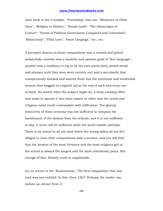clear back to the Crusades. "Friendship" was one; "Memories of Other Days"; "Religion in History"; "Dream Land"; "The Advantages of Culture"; "Forms of Political Government Compared and Contrasted"; "Melancholy"; "Filial Love"; "Heart Longings," etc., etc.

A prevalent feature in these compositions was a nursed and petted melancholy; another was a wasteful and opulent gush of "fine language"; another was a tendency to lug in by the ears particularly prized words and phrases until they were worn entirely out; and a peculiarity that conspicuously marked and marred them was the inveterate and intolerable sermon that wagged its crippled tail at the end of each and every one of them. No matter what the subject might be, a brain-racking effort was made to squirm it into some aspect or other that the moral and religious mind could contemplate with edification. The glaring insincerity of these sermons was not sufficient to compass the banishment of the fashion from the schools, and it is not sufficient to-day; it never will be sufficient while the world stands, perhaps. There is no school in all our land where the young ladies do not feel obliged to close their compositions with a sermon; and you will find that the sermon of the most frivolous and the least religious girl in the school is always the longest and the most relentlessly pious. But enough of this. Homely truth is unpalatable.

Let us return to the "Examination." The first composition that was read was one entitled "Is this, then, Life?" Perhaps the reader can endure an extract from it: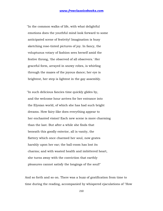"In the common walks of life, with what delightful emotions does the youthful mind look forward to some anticipated scene of festivity! Imagination is busy sketching rose-tinted pictures of joy. In fancy, the voluptuous votary of fashion sees herself amid the festive throng, 'the observed of all observers.' Her graceful form, arrayed in snowy robes, is whirling through the mazes of the joyous dance; her eye is brightest, her step is lightest in the gay assembly.

 "In such delicious fancies time quickly glides by, and the welcome hour arrives for her entrance into the Elysian world, of which she has had such bright dreams. How fairy-like does everything appear to her enchanted vision! Each new scene is more charming than the last. But after a while she finds that beneath this goodly exterior, all is vanity, the flattery which once charmed her soul, now grates harshly upon her ear; the ball-room has lost its charms; and with wasted health and imbittered heart, she turns away with the conviction that earthly pleasures cannot satisfy the longings of the soul!"

And so forth and so on. There was a buzz of gratification from time to time during the reading, accompanied by whispered ejaculations of "How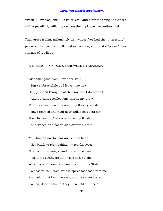sweet!" "How eloquent!" "So true!" etc., and after the thing had closed with a peculiarly afflicting sermon the applause was enthusiastic.

Then arose a slim, melancholy girl, whose face had the "interesting" paleness that comes of pills and indigestion, and read a "poem." Two stanzas of it will do:

# "A MISSOURI MAIDEN'S FAREWELL TO ALABAMA

 "Alabama, good-bye! I love thee well! But yet for a while do I leave thee now! Sad, yes, sad thoughts of thee my heart doth swell, And burning recollections throng my brow! For I have wandered through thy flowery woods; Have roamed and read near Tallapoosa's stream; Have listened to Tallassee's warring floods, And wooed on Coosa's side Aurora's beam.

 "Yet shame I not to bear an o'er-full heart, Nor blush to turn behind my tearful eyes; 'Tis from no stranger land I now must part, 'Tis to no strangers left I yield these sighs. Welcome and home were mine within this State, Whose vales I leave--whose spires fade fast from me And cold must be mine eyes, and heart, and tete, When, dear Alabama! they turn cold on thee!"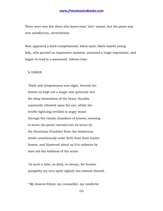There were very few there who knew what "tete" meant, but the poem was very satisfactory, nevertheless.

Next appeared a dark-complexioned, black-eyed, black-haired young lady, who paused an impressive moment, assumed a tragic expression, and began to read in a measured, solemn tone:

"A VISION

 "Dark and tempestuous was night. Around the throne on high not a single star quivered; but the deep intonations of the heavy thunder constantly vibrated upon the ear; whilst the terrific lightning revelled in angry mood through the cloudy chambers of heaven, seeming to scorn the power exerted over its terror by the illustrious Franklin! Even the boisterous winds unanimously came forth from their mystic homes, and blustered about as if to enhance by their aid the wildness of the scene.

 "At such a time, so dark, so dreary, for human sympathy my very spirit sighed; but instead thereof,

 <sup>&</sup>quot;'My dearest friend, my counsellor, my comforter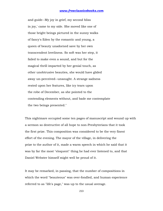and guide--My joy in grief, my second bliss in joy,' came to my side. She moved like one of those bright beings pictured in the sunny walks of fancy's Eden by the romantic and young, a queen of beauty unadorned save by her own transcendent loveliness. So soft was her step, it failed to make even a sound, and but for the magical thrill imparted by her genial touch, as other unobtrusive beauties, she would have glided away un-perceived--unsought. A strange sadness rested upon her features, like icy tears upon the robe of December, as she pointed to the contending elements without, and bade me contemplate the two beings presented."

This nightmare occupied some ten pages of manuscript and wound up with a sermon so destructive of all hope to non-Presbyterians that it took the first prize. This composition was considered to be the very finest effort of the evening. The mayor of the village, in delivering the prize to the author of it, made a warm speech in which he said that it was by far the most "eloquent" thing he had ever listened to, and that Daniel Webster himself might well be proud of it.

It may be remarked, in passing, that the number of compositions in which the word "beauteous" was over-fondled, and human experience referred to as "life's page," was up to the usual average.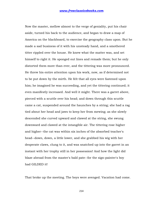Now the master, mellow almost to the verge of geniality, put his chair aside, turned his back to the audience, and began to draw a map of America on the blackboard, to exercise the geography class upon. But he made a sad business of it with his unsteady hand, and a smothered titter rippled over the house. He knew what the matter was, and set himself to right it. He sponged out lines and remade them; but he only distorted them more than ever, and the tittering was more pronounced. He threw his entire attention upon his work, now, as if determined not to be put down by the mirth. He felt that all eyes were fastened upon him; he imagined he was succeeding, and yet the tittering continued; it even manifestly increased. And well it might. There was a garret above, pierced with a scuttle over his head; and down through this scuttle came a cat, suspended around the haunches by a string; she had a rag tied about her head and jaws to keep her from mewing; as she slowly descended she curved upward and clawed at the string, she swung downward and clawed at the intangible air. The tittering rose higher and higher--the cat was within six inches of the absorbed teacher's head--down, down, a little lower, and she grabbed his wig with her desperate claws, clung to it, and was snatched up into the garret in an instant with her trophy still in her possession! And how the light did blaze abroad from the master's bald pate--for the sign-painter's boy had GILDED it!

That broke up the meeting. The boys were avenged. Vacation had come.

214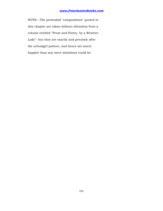NOTE:--The pretended "compositions" quoted in this chapter are taken without alteration from a volume entitled "Prose and Poetry, by a Western Lady"--but they are exactly and precisely after the schoolgirl pattern, and hence are much happier than any mere imitations could be.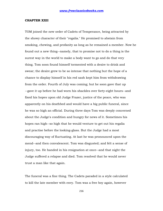#### **CHAPTER XXII**

TOM joined the new order of Cadets of Temperance, being attracted by the showy character of their "regalia." He promised to abstain from smoking, chewing, and profanity as long as he remained a member. Now he found out a new thing--namely, that to promise not to do a thing is the surest way in the world to make a body want to go and do that very thing. Tom soon found himself tormented with a desire to drink and swear; the desire grew to be so intense that nothing but the hope of a chance to display himself in his red sash kept him from withdrawing from the order. Fourth of July was coming; but he soon gave that up --gave it up before he had worn his shackles over forty-eight hours--and fixed his hopes upon old Judge Frazer, justice of the peace, who was apparently on his deathbed and would have a big public funeral, since he was so high an official. During three days Tom was deeply concerned about the Judge's condition and hungry for news of it. Sometimes his hopes ran high--so high that he would venture to get out his regalia and practise before the looking-glass. But the Judge had a most discouraging way of fluctuating. At last he was pronounced upon the mend--and then convalescent. Tom was disgusted; and felt a sense of injury, too. He handed in his resignation at once--and that night the Judge suffered a relapse and died. Tom resolved that he would never trust a man like that again.

The funeral was a fine thing. The Cadets paraded in a style calculated to kill the late member with envy. Tom was a free boy again, however

216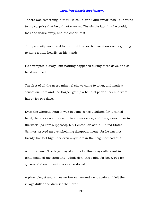--there was something in that. He could drink and swear, now--but found to his surprise that he did not want to. The simple fact that he could, took the desire away, and the charm of it.

Tom presently wondered to find that his coveted vacation was beginning to hang a little heavily on his hands.

He attempted a diary--but nothing happened during three days, and so he abandoned it.

The first of all the negro minstrel shows came to town, and made a sensation. Tom and Joe Harper got up a band of performers and were happy for two days.

Even the Glorious Fourth was in some sense a failure, for it rained hard, there was no procession in consequence, and the greatest man in the world (as Tom supposed), Mr. Benton, an actual United States Senator, proved an overwhelming disappointment--for he was not twenty-five feet high, nor even anywhere in the neighborhood of it.

A circus came. The boys played circus for three days afterward in tents made of rag carpeting--admission, three pins for boys, two for girls--and then circusing was abandoned.

A phrenologist and a mesmerizer came--and went again and left the village duller and drearier than ever.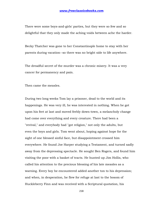There were some boys-and-girls' parties, but they were so few and so delightful that they only made the aching voids between ache the harder.

Becky Thatcher was gone to her Constantinople home to stay with her parents during vacation--so there was no bright side to life anywhere.

The dreadful secret of the murder was a chronic misery. It was a very cancer for permanency and pain.

Then came the measles.

During two long weeks Tom lay a prisoner, dead to the world and its happenings. He was very ill, he was interested in nothing. When he got upon his feet at last and moved feebly down-town, a melancholy change had come over everything and every creature. There had been a "revival," and everybody had "got religion," not only the adults, but even the boys and girls. Tom went about, hoping against hope for the sight of one blessed sinful face, but disappointment crossed him everywhere. He found Joe Harper studying a Testament, and turned sadly away from the depressing spectacle. He sought Ben Rogers, and found him visiting the poor with a basket of tracts. He hunted up Jim Hollis, who called his attention to the precious blessing of his late measles as a warning. Every boy he encountered added another ton to his depression; and when, in desperation, he flew for refuge at last to the bosom of Huckleberry Finn and was received with a Scriptural quotation, his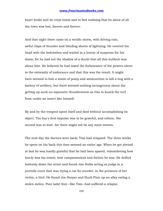heart broke and he crept home and to bed realizing that he alone of all the town was lost, forever and forever.

And that night there came on a terrific storm, with driving rain, awful claps of thunder and blinding sheets of lightning. He covered his head with the bedclothes and waited in a horror of suspense for his doom; for he had not the shadow of a doubt that all this hubbub was about him. He believed he had taxed the forbearance of the powers above to the extremity of endurance and that this was the result. It might have seemed to him a waste of pomp and ammunition to kill a bug with a battery of artillery, but there seemed nothing incongruous about the getting up such an expensive thunderstorm as this to knock the turf from under an insect like himself.

By and by the tempest spent itself and died without accomplishing its object. The boy's first impulse was to be grateful, and reform. His second was to wait--for there might not be any more storms.

The next day the doctors were back; Tom had relapsed. The three weeks he spent on his back this time seemed an entire age. When he got abroad at last he was hardly grateful that he had been spared, remembering how lonely was his estate, how companionless and forlorn he was. He drifted listlessly down the street and found Jim Hollis acting as judge in a juvenile court that was trying a cat for murder, in the presence of her victim, a bird. He found Joe Harper and Huck Finn up an alley eating a stolen melon. Poor lads! they--like Tom--had suffered a relapse.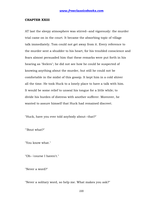### **CHAPTER XXIII**

AT last the sleepy atmosphere was stirred--and vigorously: the murder trial came on in the court. It became the absorbing topic of village talk immediately. Tom could not get away from it. Every reference to the murder sent a shudder to his heart, for his troubled conscience and fears almost persuaded him that these remarks were put forth in his hearing as "feelers"; he did not see how he could be suspected of knowing anything about the murder, but still he could not be comfortable in the midst of this gossip. It kept him in a cold shiver all the time. He took Huck to a lonely place to have a talk with him. It would be some relief to unseal his tongue for a little while; to divide his burden of distress with another sufferer. Moreover, he wanted to assure himself that Huck had remained discreet.

"Huck, have you ever told anybody about--that?"

"'Bout what?"

"You know what."

"Oh--'course I haven't."

"Never a word?"

"Never a solitary word, so help me. What makes you ask?"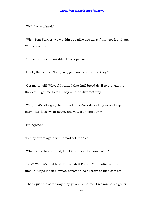"Well, I was afeard."

"Why, Tom Sawyer, we wouldn't be alive two days if that got found out. YOU know that."

Tom felt more comfortable. After a pause:

"Huck, they couldn't anybody get you to tell, could they?"

"Get me to tell? Why, if I wanted that half-breed devil to drownd me they could get me to tell. They ain't no different way."

"Well, that's all right, then. I reckon we're safe as long as we keep mum. But let's swear again, anyway. It's more surer."

"I'm agreed."

So they swore again with dread solemnities.

"What is the talk around, Huck? I've heard a power of it."

"Talk? Well, it's just Muff Potter, Muff Potter, Muff Potter all the time. It keeps me in a sweat, constant, so's I want to hide som'ers."

"That's just the same way they go on round me. I reckon he's a goner.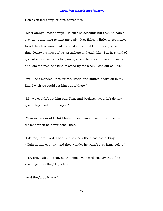Don't you feel sorry for him, sometimes?"

"Most always--most always. He ain't no account; but then he hain't ever done anything to hurt anybody. Just fishes a little, to get money to get drunk on--and loafs around considerable; but lord, we all do that--leastways most of us--preachers and such like. But he's kind of good--he give me half a fish, once, when there warn't enough for two; and lots of times he's kind of stood by me when I was out of luck."

"Well, he's mended kites for me, Huck, and knitted hooks on to my line. I wish we could get him out of there."

"My! we couldn't get him out, Tom. And besides, 'twouldn't do any good; they'd ketch him again."

"Yes--so they would. But I hate to hear 'em abuse him so like the dickens when he never done--that."

"I do too, Tom. Lord, I hear 'em say he's the bloodiest looking villain in this country, and they wonder he wasn't ever hung before."

"Yes, they talk like that, all the time. I've heard 'em say that if he was to get free they'd lynch him."

"And they'd do it, too."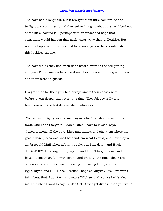The boys had a long talk, but it brought them little comfort. As the twilight drew on, they found themselves hanging about the neighborhood of the little isolated jail, perhaps with an undefined hope that something would happen that might clear away their difficulties. But nothing happened; there seemed to be no angels or fairies interested in this luckless captive.

The boys did as they had often done before--went to the cell grating and gave Potter some tobacco and matches. He was on the ground floor and there were no guards.

His gratitude for their gifts had always smote their consciences before--it cut deeper than ever, this time. They felt cowardly and treacherous to the last degree when Potter said:

"You've been mighty good to me, boys--better'n anybody else in this town. And I don't forget it, I don't. Often I says to myself, says I, 'I used to mend all the boys' kites and things, and show 'em where the good fishin' places was, and befriend 'em what I could, and now they've all forgot old Muff when he's in trouble; but Tom don't, and Huck don't--THEY don't forget him, says I, 'and I don't forget them.' Well, boys, I done an awful thing--drunk and crazy at the time--that's the only way I account for it--and now I got to swing for it, and it's right. Right, and BEST, too, I reckon--hope so, anyway. Well, we won't talk about that. I don't want to make YOU feel bad; you've befriended me. But what I want to say, is, don't YOU ever get drunk--then you won't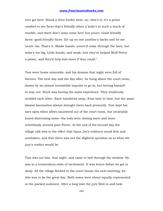ever get here. Stand a litter furder west--so--that's it; it's a prime comfort to see faces that's friendly when a body's in such a muck of trouble, and there don't none come here but yourn. Good friendly faces--good friendly faces. Git up on one another's backs and let me touch 'em. That's it. Shake hands--yourn'll come through the bars, but mine's too big. Little hands, and weak--but they've helped Muff Potter a power, and they'd help him more if they could."

Tom went home miserable, and his dreams that night were full of horrors. The next day and the day after, he hung about the court-room, drawn by an almost irresistible impulse to go in, but forcing himself to stay out. Huck was having the same experience. They studiously avoided each other. Each wandered away, from time to time, but the same dismal fascination always brought them back presently. Tom kept his ears open when idlers sauntered out of the court-room, but invariably heard distressing news--the toils were closing more and more relentlessly around poor Potter. At the end of the second day the village talk was to the effect that Injun Joe's evidence stood firm and unshaken, and that there was not the slightest question as to what the jury's verdict would be.

Tom was out late, that night, and came to bed through the window. He was in a tremendous state of excitement. It was hours before he got to sleep. All the village flocked to the court-house the next morning, for this was to be the great day. Both sexes were about equally represented in the packed audience. After a long wait the jury filed in and took

224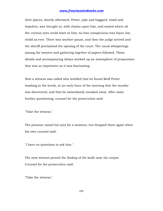their places; shortly afterward, Potter, pale and haggard, timid and hopeless, was brought in, with chains upon him, and seated where all the curious eyes could stare at him; no less conspicuous was Injun Joe, stolid as ever. There was another pause, and then the judge arrived and the sheriff proclaimed the opening of the court. The usual whisperings among the lawyers and gathering together of papers followed. These details and accompanying delays worked up an atmosphere of preparation that was as impressive as it was fascinating.

Now a witness was called who testified that he found Muff Potter washing in the brook, at an early hour of the morning that the murder was discovered, and that he immediately sneaked away. After some further questioning, counsel for the prosecution said:

"Take the witness."

The prisoner raised his eyes for a moment, but dropped them again when his own counsel said:

"I have no questions to ask him."

The next witness proved the finding of the knife near the corpse. Counsel for the prosecution said:

"Take the witness."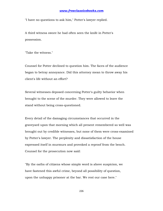"I have no questions to ask him," Potter's lawyer replied.

A third witness swore he had often seen the knife in Potter's possession.

"Take the witness."

Counsel for Potter declined to question him. The faces of the audience began to betray annoyance. Did this attorney mean to throw away his client's life without an effort?

Several witnesses deposed concerning Potter's guilty behavior when brought to the scene of the murder. They were allowed to leave the stand without being cross-questioned.

Every detail of the damaging circumstances that occurred in the graveyard upon that morning which all present remembered so well was brought out by credible witnesses, but none of them were cross-examined by Potter's lawyer. The perplexity and dissatisfaction of the house expressed itself in murmurs and provoked a reproof from the bench. Counsel for the prosecution now said:

"By the oaths of citizens whose simple word is above suspicion, we have fastened this awful crime, beyond all possibility of question, upon the unhappy prisoner at the bar. We rest our case here."

226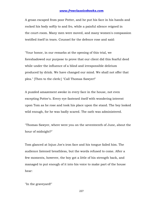A groan escaped from poor Potter, and he put his face in his hands and rocked his body softly to and fro, while a painful silence reigned in the court-room. Many men were moved, and many women's compassion testified itself in tears. Counsel for the defence rose and said:

"Your honor, in our remarks at the opening of this trial, we foreshadowed our purpose to prove that our client did this fearful deed while under the influence of a blind and irresponsible delirium produced by drink. We have changed our mind. We shall not offer that plea." [Then to the clerk:] "Call Thomas Sawyer!"

A puzzled amazement awoke in every face in the house, not even excepting Potter's. Every eye fastened itself with wondering interest upon Tom as he rose and took his place upon the stand. The boy looked wild enough, for he was badly scared. The oath was administered.

"Thomas Sawyer, where were you on the seventeenth of June, about the hour of midnight?"

Tom glanced at Injun Joe's iron face and his tongue failed him. The audience listened breathless, but the words refused to come. After a few moments, however, the boy got a little of his strength back, and managed to put enough of it into his voice to make part of the house hear:

"In the graveyard!"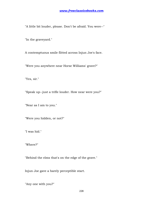"A little bit louder, please. Don't be afraid. You were--"

"In the graveyard."

A contemptuous smile flitted across Injun Joe's face.

"Were you anywhere near Horse Williams' grave?"

"Yes, sir."

"Speak up--just a trifle louder. How near were you?"

"Near as I am to you."

"Were you hidden, or not?"

"I was hid."

"Where?"

"Behind the elms that's on the edge of the grave."

Injun Joe gave a barely perceptible start.

"Any one with you?"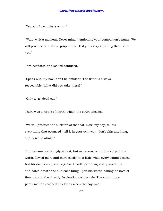"Yes, sir. I went there with--"

"Wait--wait a moment. Never mind mentioning your companion's name. We will produce him at the proper time. Did you carry anything there with you."

Tom hesitated and looked confused.

"Speak out, my boy--don't be diffident. The truth is always respectable. What did you take there?"

"Only a--a--dead cat."

There was a ripple of mirth, which the court checked.

"We will produce the skeleton of that cat. Now, my boy, tell us everything that occurred--tell it in your own way--don't skip anything, and don't be afraid."

Tom began--hesitatingly at first, but as he warmed to his subject his words flowed more and more easily; in a little while every sound ceased but his own voice; every eye fixed itself upon him; with parted lips and bated breath the audience hung upon his words, taking no note of time, rapt in the ghastly fascinations of the tale. The strain upon pent emotion reached its climax when the boy said: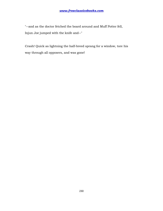"--and as the doctor fetched the board around and Muff Potter fell, Injun Joe jumped with the knife and--"

Crash! Quick as lightning the half-breed sprang for a window, tore his way through all opposers, and was gone!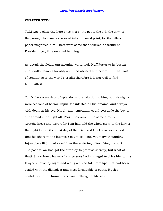#### **CHAPTER XXIV**

TOM was a glittering hero once more--the pet of the old, the envy of the young. His name even went into immortal print, for the village paper magnified him. There were some that believed he would be President, yet, if he escaped hanging.

As usual, the fickle, unreasoning world took Muff Potter to its bosom and fondled him as lavishly as it had abused him before. But that sort of conduct is to the world's credit; therefore it is not well to find fault with it.

Tom's days were days of splendor and exultation to him, but his nights were seasons of horror. Injun Joe infested all his dreams, and always with doom in his eye. Hardly any temptation could persuade the boy to stir abroad after nightfall. Poor Huck was in the same state of wretchedness and terror, for Tom had told the whole story to the lawyer the night before the great day of the trial, and Huck was sore afraid that his share in the business might leak out, yet, notwithstanding Injun Joe's flight had saved him the suffering of testifying in court. The poor fellow had got the attorney to promise secrecy, but what of that? Since Tom's harassed conscience had managed to drive him to the lawyer's house by night and wring a dread tale from lips that had been sealed with the dismalest and most formidable of oaths, Huck's confidence in the human race was well-nigh obliterated.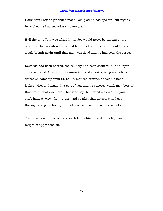Daily Muff Potter's gratitude made Tom glad he had spoken; but nightly he wished he had sealed up his tongue.

Half the time Tom was afraid Injun Joe would never be captured; the other half he was afraid he would be. He felt sure he never could draw a safe breath again until that man was dead and he had seen the corpse.

Rewards had been offered, the country had been scoured, but no Injun Joe was found. One of those omniscient and awe-inspiring marvels, a detective, came up from St. Louis, moused around, shook his head, looked wise, and made that sort of astounding success which members of that craft usually achieve. That is to say, he "found a clew." But you can't hang a "clew" for murder, and so after that detective had got through and gone home, Tom felt just as insecure as he was before.

The slow days drifted on, and each left behind it a slightly lightened weight of apprehension.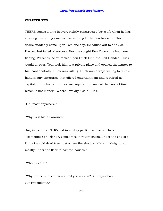#### **CHAPTER XXV**

THERE comes a time in every rightly-constructed boy's life when he has a raging desire to go somewhere and dig for hidden treasure. This desire suddenly came upon Tom one day. He sallied out to find Joe Harper, but failed of success. Next he sought Ben Rogers; he had gone fishing. Presently he stumbled upon Huck Finn the Red-Handed. Huck would answer. Tom took him to a private place and opened the matter to him confidentially. Huck was willing. Huck was always willing to take a hand in any enterprise that offered entertainment and required no capital, for he had a troublesome superabundance of that sort of time which is not money. "Where'll we dig?" said Huck.

"Oh, most anywhere."

"Why, is it hid all around?"

"No, indeed it ain't. It's hid in mighty particular places, Huck --sometimes on islands, sometimes in rotten chests under the end of a limb of an old dead tree, just where the shadow falls at midnight; but mostly under the floor in ha'nted houses."

"Who hides it?"

"Why, robbers, of course--who'd you reckon? Sunday-school sup'rintendents?"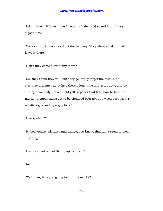"I don't know. If 'twas mine I wouldn't hide it; I'd spend it and have a good time."

"So would I. But robbers don't do that way. They always hide it and leave it there."

"Don't they come after it any more?"

"No, they think they will, but they generally forget the marks, or else they die. Anyway, it lays there a long time and gets rusty; and by and by somebody finds an old yellow paper that tells how to find the marks--a paper that's got to be ciphered over about a week because it's mostly signs and hy'roglyphics."

"HyroQwhich?"

"Hy'roglyphics--pictures and things, you know, that don't seem to mean anything."

"Have you got one of them papers, Tom?"

"No."

"Well then, how you going to find the marks?"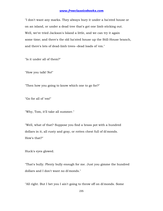"I don't want any marks. They always bury it under a ha'nted house or on an island, or under a dead tree that's got one limb sticking out. Well, we've tried Jackson's Island a little, and we can try it again some time; and there's the old ha'nted house up the Still-House branch, and there's lots of dead-limb trees--dead loads of 'em."

"Is it under all of them?"

"How you talk! No!"

"Then how you going to know which one to go for?"

"Go for all of 'em!"

"Why, Tom, it'll take all summer."

"Well, what of that? Suppose you find a brass pot with a hundred dollars in it, all rusty and gray, or rotten chest full of di'monds. How's that?"

Huck's eyes glowed.

"That's bully. Plenty bully enough for me. Just you gimme the hundred dollars and I don't want no di'monds."

"All right. But I bet you I ain't going to throw off on di'monds. Some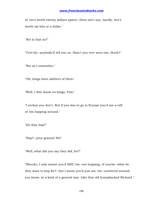of 'em's worth twenty dollars apiece--there ain't any, hardly, but's worth six bits or a dollar."

"No! Is that so?"

"Cert'nly--anybody'll tell you so. Hain't you ever seen one, Huck?"

"Not as I remember."

"Oh, kings have slathers of them."

"Well, I don' know no kings, Tom."

"I reckon you don't. But if you was to go to Europe you'd see a raft of 'em hopping around."

"Do they hop?"

"Hop?--your granny! No!"

"Well, what did you say they did, for?"

"Shucks, I only meant you'd SEE 'em--not hopping, of course--what do they want to hop for?--but I mean you'd just see 'em--scattered around, you know, in a kind of a general way. Like that old humpbacked Richard."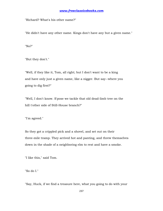"Richard? What's his other name?"

"He didn't have any other name. Kings don't have any but a given name."

"No?"

"But they don't."

"Well, if they like it, Tom, all right; but I don't want to be a king and have only just a given name, like a nigger. But say--where you going to dig first?"

"Well, I don't know. S'pose we tackle that old dead-limb tree on the hill t'other side of Still-House branch?"

"I'm agreed."

So they got a crippled pick and a shovel, and set out on their three-mile tramp. They arrived hot and panting, and threw themselves down in the shade of a neighboring elm to rest and have a smoke.

"I like this," said Tom.

"So do I."

"Say, Huck, if we find a treasure here, what you going to do with your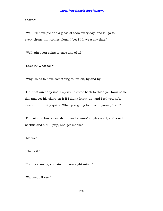share?"

"Well, I'll have pie and a glass of soda every day, and I'll go to every circus that comes along. I bet I'll have a gay time."

"Well, ain't you going to save any of it?"

"Save it? What for?"

"Why, so as to have something to live on, by and by."

"Oh, that ain't any use. Pap would come back to thish-yer town some day and get his claws on it if I didn't hurry up, and I tell you he'd clean it out pretty quick. What you going to do with yourn, Tom?"

"I'm going to buy a new drum, and a sure-'nough sword, and a red necktie and a bull pup, and get married."

"Married!"

"That's it."

"Tom, you--why, you ain't in your right mind."

"Wait--you'll see."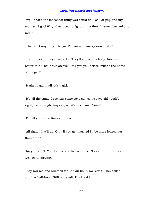"Well, that's the foolishest thing you could do. Look at pap and my mother. Fight! Why, they used to fight all the time. I remember, mighty well."

"That ain't anything. The girl I'm going to marry won't fight."

"Tom, I reckon they're all alike. They'll all comb a body. Now you better think 'bout this awhile. I tell you you better. What's the name of the gal?"

"It ain't a gal at all--it's a girl."

"It's all the same, I reckon; some says gal, some says girl--both's right, like enough. Anyway, what's her name, Tom?"

"I'll tell you some time--not now."

"All right--that'll do. Only if you get married I'll be more lonesomer than ever."

"No you won't. You'll come and live with me. Now stir out of this and we'll go to digging."

They worked and sweated for half an hour. No result. They toiled another half-hour. Still no result. Huck said: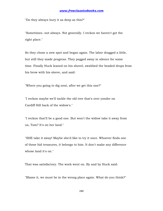"Do they always bury it as deep as this?"

"Sometimes--not always. Not generally. I reckon we haven't got the right place."

So they chose a new spot and began again. The labor dragged a little, but still they made progress. They pegged away in silence for some time. Finally Huck leaned on his shovel, swabbed the beaded drops from his brow with his sleeve, and said:

"Where you going to dig next, after we get this one?"

"I reckon maybe we'll tackle the old tree that's over yonder on Cardiff Hill back of the widow's."

"I reckon that'll be a good one. But won't the widow take it away from us, Tom? It's on her land."

"SHE take it away! Maybe she'd like to try it once. Whoever finds one of these hid treasures, it belongs to him. It don't make any difference whose land it's on."

That was satisfactory. The work went on. By and by Huck said:

"Blame it, we must be in the wrong place again. What do you think?"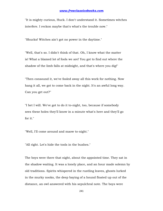"It is mighty curious, Huck. I don't understand it. Sometimes witches interfere. I reckon maybe that's what's the trouble now."

"Shucks! Witches ain't got no power in the daytime."

"Well, that's so. I didn't think of that. Oh, I know what the matter is! What a blamed lot of fools we are! You got to find out where the shadow of the limb falls at midnight, and that's where you dig!"

"Then consound it, we've fooled away all this work for nothing. Now hang it all, we got to come back in the night. It's an awful long way. Can you get out?"

"I bet I will. We've got to do it to-night, too, because if somebody sees these holes they'll know in a minute what's here and they'll go for it."

"Well, I'll come around and maow to-night."

"All right. Let's hide the tools in the bushes."

The boys were there that night, about the appointed time. They sat in the shadow waiting. It was a lonely place, and an hour made solemn by old traditions. Spirits whispered in the rustling leaves, ghosts lurked in the murky nooks, the deep baying of a hound floated up out of the distance, an owl answered with his sepulchral note. The boys were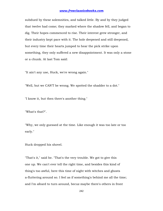subdued by these solemnities, and talked little. By and by they judged that twelve had come; they marked where the shadow fell, and began to dig. Their hopes commenced to rise. Their interest grew stronger, and their industry kept pace with it. The hole deepened and still deepened, but every time their hearts jumped to hear the pick strike upon something, they only suffered a new disappointment. It was only a stone or a chunk. At last Tom said:

"It ain't any use, Huck, we're wrong again."

"Well, but we CAN'T be wrong. We spotted the shadder to a dot."

"I know it, but then there's another thing."

"What's that?".

"Why, we only guessed at the time. Like enough it was too late or too early."

Huck dropped his shovel.

"That's it," said he. "That's the very trouble. We got to give this one up. We can't ever tell the right time, and besides this kind of thing's too awful, here this time of night with witches and ghosts a-fluttering around so. I feel as if something's behind me all the time; and I'm afeard to turn around, becuz maybe there's others in front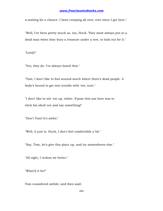a-waiting for a chance. I been creeping all over, ever since I got here."

"Well, I've been pretty much so, too, Huck. They most always put in a dead man when they bury a treasure under a tree, to look out for it."

"Lordy!"

"Yes, they do. I've always heard that."

"Tom, I don't like to fool around much where there's dead people. A body's bound to get into trouble with 'em, sure."

"I don't like to stir 'em up, either. S'pose this one here was to stick his skull out and say something!"

"Don't Tom! It's awful."

"Well, it just is. Huck, I don't feel comfortable a bit."

"Say, Tom, let's give this place up, and try somewheres else."

"All right, I reckon we better."

"What'll it be?"

Tom considered awhile; and then said: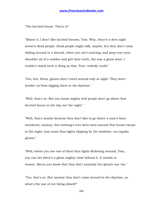"The ha'nted house. That's it!"

"Blame it, I don't like ha'nted houses, Tom. Why, they're a dern sight worse'n dead people. Dead people might talk, maybe, but they don't come sliding around in a shroud, when you ain't noticing, and peep over your shoulder all of a sudden and grit their teeth, the way a ghost does. I couldn't stand such a thing as that, Tom--nobody could."

"Yes, but, Huck, ghosts don't travel around only at night. They won't hender us from digging there in the daytime."

"Well, that's so. But you know mighty well people don't go about that ha'nted house in the day nor the night."

"Well, that's mostly because they don't like to go where a man's been murdered, anyway--but nothing's ever been seen around that house except in the night--just some blue lights slipping by the windows--no regular ghosts."

"Well, where you see one of them blue lights flickering around, Tom, you can bet there's a ghost mighty close behind it. It stands to reason. Becuz you know that they don't anybody but ghosts use 'em."

"Yes, that's so. But anyway they don't come around in the daytime, so what's the use of our being afeard?"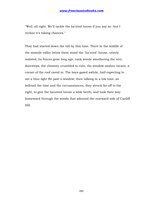"Well, all right. We'll tackle the ha'nted house if you say so--but I reckon it's taking chances."

They had started down the hill by this time. There in the middle of the moonlit valley below them stood the "ha'nted" house, utterly isolated, its fences gone long ago, rank weeds smothering the very doorsteps, the chimney crumbled to ruin, the window-sashes vacant, a corner of the roof caved in. The boys gazed awhile, half expecting to see a blue light flit past a window; then talking in a low tone, as befitted the time and the circumstances, they struck far off to the right, to give the haunted house a wide berth, and took their way homeward through the woods that adorned the rearward side of Cardiff Hill.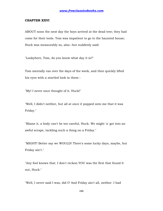#### **CHAPTER XXVI**

ABOUT noon the next day the boys arrived at the dead tree; they had come for their tools. Tom was impatient to go to the haunted house; Huck was measurably so, also--but suddenly said:

"Lookyhere, Tom, do you know what day it is?"

Tom mentally ran over the days of the week, and then quickly lifted his eyes with a startled look in them--

"My! I never once thought of it, Huck!"

"Well, I didn't neither, but all at once it popped onto me that it was Friday."

"Blame it, a body can't be too careful, Huck. We might 'a' got into an awful scrape, tackling such a thing on a Friday."

"MIGHT! Better say we WOULD! There's some lucky days, maybe, but Friday ain't."

"Any fool knows that. I don't reckon YOU was the first that found it out, Huck."

"Well, I never said I was, did I? And Friday ain't all, neither. I had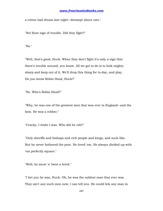a rotten bad dream last night--dreampt about rats."

"No! Sure sign of trouble. Did they fight?"

"No."

"Well, that's good, Huck. When they don't fight it's only a sign that there's trouble around, you know. All we got to do is to look mighty sharp and keep out of it. We'll drop this thing for to-day, and play. Do you know Robin Hood, Huck?"

"No. Who's Robin Hood?"

"Why, he was one of the greatest men that was ever in England--and the best. He was a robber."

"Cracky, I wisht I was. Who did he rob?"

"Only sheriffs and bishops and rich people and kings, and such like. But he never bothered the poor. He loved 'em. He always divided up with 'em perfectly square."

"Well, he must 'a' been a brick."

"I bet you he was, Huck. Oh, he was the noblest man that ever was. They ain't any such men now, I can tell you. He could lick any man in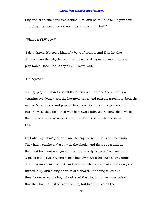England, with one hand tied behind him; and he could take his yew bow and plug a ten-cent piece every time, a mile and a half."

"What's a YEW bow?"

"I don't know. It's some kind of a bow, of course. And if he hit that dime only on the edge he would set down and cry--and curse. But we'll play Robin Hood--it's nobby fun. I'll learn you."

"I'm agreed."

So they played Robin Hood all the afternoon, now and then casting a yearning eye down upon the haunted house and passing a remark about the morrow's prospects and possibilities there. As the sun began to sink into the west they took their way homeward athwart the long shadows of the trees and soon were buried from sight in the forests of Cardiff Hill.

On Saturday, shortly after noon, the boys were at the dead tree again. They had a smoke and a chat in the shade, and then dug a little in their last hole, not with great hope, but merely because Tom said there were so many cases where people had given up a treasure after getting down within six inches of it, and then somebody else had come along and turned it up with a single thrust of a shovel. The thing failed this time, however, so the boys shouldered their tools and went away feeling that they had not trifled with fortune, but had fulfilled all the

248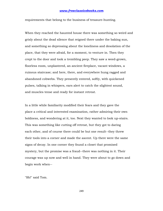requirements that belong to the business of treasure-hunting.

When they reached the haunted house there was something so weird and grisly about the dead silence that reigned there under the baking sun, and something so depressing about the loneliness and desolation of the place, that they were afraid, for a moment, to venture in. Then they crept to the door and took a trembling peep. They saw a weed-grown, floorless room, unplastered, an ancient fireplace, vacant windows, a ruinous staircase; and here, there, and everywhere hung ragged and abandoned cobwebs. They presently entered, softly, with quickened pulses, talking in whispers, ears alert to catch the slightest sound, and muscles tense and ready for instant retreat.

In a little while familiarity modified their fears and they gave the place a critical and interested examination, rather admiring their own boldness, and wondering at it, too. Next they wanted to look up-stairs. This was something like cutting off retreat, but they got to daring each other, and of course there could be but one result--they threw their tools into a corner and made the ascent. Up there were the same signs of decay. In one corner they found a closet that promised mystery, but the promise was a fraud--there was nothing in it. Their courage was up now and well in hand. They were about to go down and begin work when--

"Sh!" said Tom.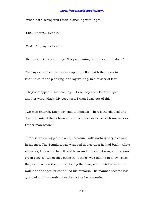"What is it?" whispered Huck, blanching with fright.

"Sh!... There!... Hear it?"

"Yes!... Oh, my! Let's run!"

"Keep still! Don't you budge! They're coming right toward the door."

The boys stretched themselves upon the floor with their eyes to knot-holes in the planking, and lay waiting, in a misery of fear.

"They've stopped.... No--coming.... Here they are. Don't whisper another word, Huck. My goodness, I wish I was out of this!"

Two men entered. Each boy said to himself: "There's the old deaf and dumb Spaniard that's been about town once or twice lately--never saw t'other man before."

"T'other" was a ragged, unkempt creature, with nothing very pleasant in his face. The Spaniard was wrapped in a serape; he had bushy white whiskers; long white hair flowed from under his sombrero, and he wore green goggles. When they came in, "t'other" was talking in a low voice; they sat down on the ground, facing the door, with their backs to the wall, and the speaker continued his remarks. His manner became less guarded and his words more distinct as he proceeded: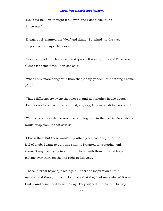"No," said he, "I've thought it all over, and I don't like it. It's dangerous."

"Dangerous!" grunted the "deaf and dumb" Spaniard--to the vast surprise of the boys. "Milksop!"

This voice made the boys gasp and quake. It was Injun Joe's! There was silence for some time. Then Joe said:

"What's any more dangerous than that job up yonder--but nothing's come of it."

"That's different. Away up the river so, and not another house about. 'Twon't ever be known that we tried, anyway, long as we didn't succeed."

"Well, what's more dangerous than coming here in the daytime!--anybody would suspicion us that saw us."

"I know that. But there warn't any other place as handy after that fool of a job. I want to quit this shanty. I wanted to yesterday, only it warn't any use trying to stir out of here, with those infernal boys playing over there on the hill right in full view."

"Those infernal boys" quaked again under the inspiration of this remark, and thought how lucky it was that they had remembered it was Friday and concluded to wait a day. They wished in their hearts they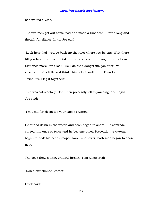had waited a year.

The two men got out some food and made a luncheon. After a long and thoughtful silence, Injun Joe said:

"Look here, lad--you go back up the river where you belong. Wait there till you hear from me. I'll take the chances on dropping into this town just once more, for a look. We'll do that 'dangerous' job after I've spied around a little and think things look well for it. Then for Texas! We'll leg it together!"

This was satisfactory. Both men presently fell to yawning, and Injun Joe said:

"I'm dead for sleep! It's your turn to watch."

He curled down in the weeds and soon began to snore. His comrade stirred him once or twice and he became quiet. Presently the watcher began to nod; his head drooped lower and lower, both men began to snore now.

The boys drew a long, grateful breath. Tom whispered:

"Now's our chance--come!"

Huck said: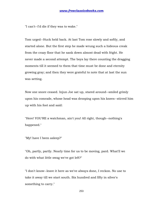"I can't--I'd die if they was to wake."

Tom urged--Huck held back. At last Tom rose slowly and softly, and started alone. But the first step he made wrung such a hideous creak from the crazy floor that he sank down almost dead with fright. He never made a second attempt. The boys lay there counting the dragging moments till it seemed to them that time must be done and eternity growing gray; and then they were grateful to note that at last the sun was setting.

Now one snore ceased. Injun Joe sat up, stared around--smiled grimly upon his comrade, whose head was drooping upon his knees--stirred him up with his foot and said:

"Here! YOU'RE a watchman, ain't you! All right, though--nothing's happened."

"My! have I been asleep?"

"Oh, partly, partly. Nearly time for us to be moving, pard. What'll we do with what little swag we've got left?"

"I don't know--leave it here as we've always done, I reckon. No use to take it away till we start south. Six hundred and fifty in silver's something to carry."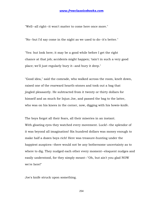"Well--all right--it won't matter to come here once more."

"No--but I'd say come in the night as we used to do--it's better."

"Yes: but look here; it may be a good while before I get the right chance at that job; accidents might happen; 'tain't in such a very good place; we'll just regularly bury it--and bury it deep."

"Good idea," said the comrade, who walked across the room, knelt down, raised one of the rearward hearth-stones and took out a bag that jingled pleasantly. He subtracted from it twenty or thirty dollars for himself and as much for Injun Joe, and passed the bag to the latter, who was on his knees in the corner, now, digging with his bowie-knife.

The boys forgot all their fears, all their miseries in an instant. With gloating eyes they watched every movement. Luck!--the splendor of it was beyond all imagination! Six hundred dollars was money enough to make half a dozen boys rich! Here was treasure-hunting under the happiest auspices--there would not be any bothersome uncertainty as to where to dig. They nudged each other every moment--eloquent nudges and easily understood, for they simply meant--"Oh, but ain't you glad NOW we're here!"

Joe's knife struck upon something.

254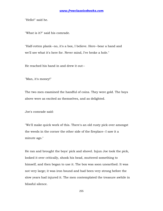"Hello!" said he.

"What is it?" said his comrade.

"Half-rotten plank--no, it's a box, I believe. Here--bear a hand and we'll see what it's here for. Never mind, I've broke a hole."

He reached his hand in and drew it out--

"Man, it's money!"

The two men examined the handful of coins. They were gold. The boys above were as excited as themselves, and as delighted.

Joe's comrade said:

"We'll make quick work of this. There's an old rusty pick over amongst the weeds in the corner the other side of the fireplace--I saw it a minute ago."

He ran and brought the boys' pick and shovel. Injun Joe took the pick, looked it over critically, shook his head, muttered something to himself, and then began to use it. The box was soon unearthed. It was not very large; it was iron bound and had been very strong before the slow years had injured it. The men contemplated the treasure awhile in blissful silence.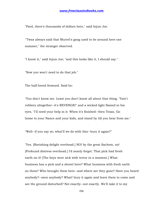"Pard, there's thousands of dollars here," said Injun Joe.

"'Twas always said that Murrel's gang used to be around here one summer," the stranger observed.

"I know it," said Injun Joe; "and this looks like it, I should say."

"Now you won't need to do that job."

The half-breed frowned. Said he:

"You don't know me. Least you don't know all about that thing. 'Tain't robbery altogether--it's REVENGE!" and a wicked light flamed in his eyes. "I'll need your help in it. When it's finished--then Texas. Go home to your Nance and your kids, and stand by till you hear from me."

"Well--if you say so; what'll we do with this--bury it again?"

"Yes. [Ravishing delight overhead.] NO! by the great Sachem, no! [Profound distress overhead.] I'd nearly forgot. That pick had fresh earth on it! [The boys were sick with terror in a moment.] What business has a pick and a shovel here? What business with fresh earth on them? Who brought them here--and where are they gone? Have you heard anybody?--seen anybody? What! bury it again and leave them to come and see the ground disturbed? Not exactly--not exactly. We'll take it to my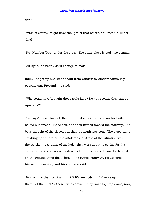den."

"Why, of course! Might have thought of that before. You mean Number One?"

"No--Number Two--under the cross. The other place is bad--too common."

"All right. It's nearly dark enough to start."

Injun Joe got up and went about from window to window cautiously peeping out. Presently he said:

"Who could have brought those tools here? Do you reckon they can be up-stairs?"

The boys' breath forsook them. Injun Joe put his hand on his knife, halted a moment, undecided, and then turned toward the stairway. The boys thought of the closet, but their strength was gone. The steps came creaking up the stairs--the intolerable distress of the situation woke the stricken resolution of the lads--they were about to spring for the closet, when there was a crash of rotten timbers and Injun Joe landed on the ground amid the debris of the ruined stairway. He gathered himself up cursing, and his comrade said:

"Now what's the use of all that? If it's anybody, and they're up there, let them STAY there--who cares? If they want to jump down, now,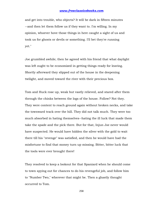and get into trouble, who objects? It will be dark in fifteen minutes --and then let them follow us if they want to. I'm willing. In my opinion, whoever hove those things in here caught a sight of us and took us for ghosts or devils or something. I'll bet they're running yet."

Joe grumbled awhile; then he agreed with his friend that what daylight was left ought to be economized in getting things ready for leaving. Shortly afterward they slipped out of the house in the deepening twilight, and moved toward the river with their precious box.

Tom and Huck rose up, weak but vastly relieved, and stared after them through the chinks between the logs of the house. Follow? Not they. They were content to reach ground again without broken necks, and take the townward track over the hill. They did not talk much. They were too much absorbed in hating themselves--hating the ill luck that made them take the spade and the pick there. But for that, Injun Joe never would have suspected. He would have hidden the silver with the gold to wait there till his "revenge" was satisfied, and then he would have had the misfortune to find that money turn up missing. Bitter, bitter luck that the tools were ever brought there!

They resolved to keep a lookout for that Spaniard when he should come to town spying out for chances to do his revengeful job, and follow him to "Number Two," wherever that might be. Then a ghastly thought occurred to Tom.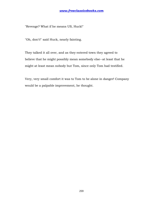"Revenge? What if he means US, Huck!"

"Oh, don't!" said Huck, nearly fainting.

They talked it all over, and as they entered town they agreed to believe that he might possibly mean somebody else--at least that he might at least mean nobody but Tom, since only Tom had testified.

Very, very small comfort it was to Tom to be alone in danger! Company would be a palpable improvement, he thought.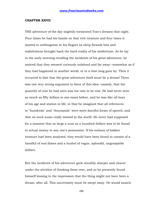#### **CHAPTER XXVII**

THE adventure of the day mightily tormented Tom's dreams that night. Four times he had his hands on that rich treasure and four times it wasted to nothingness in his fingers as sleep forsook him and wakefulness brought back the hard reality of his misfortune. As he lay in the early morning recalling the incidents of his great adventure, he noticed that they seemed curiously subdued and far away--somewhat as if they had happened in another world, or in a time long gone by. Then it occurred to him that the great adventure itself must be a dream! There was one very strong argument in favor of this idea--namely, that the quantity of coin he had seen was too vast to be real. He had never seen as much as fifty dollars in one mass before, and he was like all boys of his age and station in life, in that he imagined that all references to "hundreds" and "thousands" were mere fanciful forms of speech, and that no such sums really existed in the world. He never had supposed for a moment that so large a sum as a hundred dollars was to be found in actual money in any one's possession. If his notions of hidden treasure had been analyzed, they would have been found to consist of a handful of real dimes and a bushel of vague, splendid, ungraspable dollars.

But the incidents of his adventure grew sensibly sharper and clearer under the attrition of thinking them over, and so he presently found himself leaning to the impression that the thing might not have been a dream, after all. This uncertainty must be swept away. He would snatch

260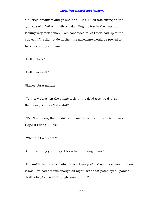a hurried breakfast and go and find Huck. Huck was sitting on the gunwale of a flatboat, listlessly dangling his feet in the water and looking very melancholy. Tom concluded to let Huck lead up to the subject. If he did not do it, then the adventure would be proved to have been only a dream.

"Hello, Huck!"

"Hello, yourself."

Silence, for a minute.

"Tom, if we'd 'a' left the blame tools at the dead tree, we'd 'a' got the money. Oh, ain't it awful!"

"'Tain't a dream, then, 'tain't a dream! Somehow I most wish it was. Dog'd if I don't, Huck."

"What ain't a dream?"

"Oh, that thing yesterday. I been half thinking it was."

"Dream! If them stairs hadn't broke down you'd 'a' seen how much dream it was! I've had dreams enough all night--with that patch-eyed Spanish devil going for me all through 'em--rot him!"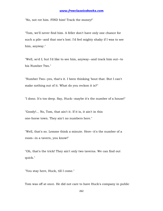"No, not rot him. FIND him! Track the money!"

"Tom, we'll never find him. A feller don't have only one chance for such a pile--and that one's lost. I'd feel mighty shaky if I was to see him, anyway."

"Well, so'd I; but I'd like to see him, anyway--and track him out--to his Number Two."

"Number Two--yes, that's it. I been thinking 'bout that. But I can't make nothing out of it. What do you reckon it is?"

"I dono. It's too deep. Say, Huck--maybe it's the number of a house!"

"Goody!... No, Tom, that ain't it. If it is, it ain't in this one-horse town. They ain't no numbers here."

"Well, that's so. Lemme think a minute. Here--it's the number of a room--in a tavern, you know!"

"Oh, that's the trick! They ain't only two taverns. We can find out quick."

"You stay here, Huck, till I come."

Tom was off at once. He did not care to have Huck's company in public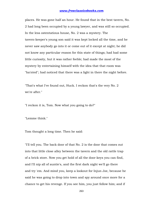places. He was gone half an hour. He found that in the best tavern, No. 2 had long been occupied by a young lawyer, and was still so occupied. In the less ostentatious house, No. 2 was a mystery. The tavern-keeper's young son said it was kept locked all the time, and he never saw anybody go into it or come out of it except at night; he did not know any particular reason for this state of things; had had some little curiosity, but it was rather feeble; had made the most of the mystery by entertaining himself with the idea that that room was "ha'nted"; had noticed that there was a light in there the night before.

"That's what I've found out, Huck. I reckon that's the very No. 2 we're after."

"I reckon it is, Tom. Now what you going to do?"

"Lemme think."

Tom thought a long time. Then he said:

"I'll tell you. The back door of that No. 2 is the door that comes out into that little close alley between the tavern and the old rattle trap of a brick store. Now you get hold of all the door-keys you can find, and I'll nip all of auntie's, and the first dark night we'll go there and try 'em. And mind you, keep a lookout for Injun Joe, because he said he was going to drop into town and spy around once more for a chance to get his revenge. If you see him, you just follow him; and if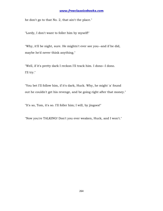he don't go to that No. 2, that ain't the place."

"Lordy, I don't want to foller him by myself!"

"Why, it'll be night, sure. He mightn't ever see you--and if he did, maybe he'd never think anything."

"Well, if it's pretty dark I reckon I'll track him. I dono--I dono. I'll try."

"You bet I'll follow him, if it's dark, Huck. Why, he might 'a' found out he couldn't get his revenge, and be going right after that money."

"It's so, Tom, it's so. I'll foller him; I will, by jingoes!"

"Now you're TALKING! Don't you ever weaken, Huck, and I won't."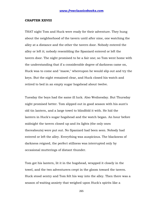#### **CHAPTER XXVIII**

THAT night Tom and Huck were ready for their adventure. They hung about the neighborhood of the tavern until after nine, one watching the alley at a distance and the other the tavern door. Nobody entered the alley or left it; nobody resembling the Spaniard entered or left the tavern door. The night promised to be a fair one; so Tom went home with the understanding that if a considerable degree of darkness came on, Huck was to come and "maow," whereupon he would slip out and try the keys. But the night remained clear, and Huck closed his watch and retired to bed in an empty sugar hogshead about twelve.

Tuesday the boys had the same ill luck. Also Wednesday. But Thursday night promised better. Tom slipped out in good season with his aunt's old tin lantern, and a large towel to blindfold it with. He hid the lantern in Huck's sugar hogshead and the watch began. An hour before midnight the tavern closed up and its lights (the only ones thereabouts) were put out. No Spaniard had been seen. Nobody had entered or left the alley. Everything was auspicious. The blackness of darkness reigned, the perfect stillness was interrupted only by occasional mutterings of distant thunder.

Tom got his lantern, lit it in the hogshead, wrapped it closely in the towel, and the two adventurers crept in the gloom toward the tavern. Huck stood sentry and Tom felt his way into the alley. Then there was a season of waiting anxiety that weighed upon Huck's spirits like a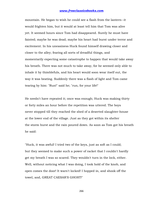mountain. He began to wish he could see a flash from the lantern--it would frighten him, but it would at least tell him that Tom was alive yet. It seemed hours since Tom had disappeared. Surely he must have fainted; maybe he was dead; maybe his heart had burst under terror and excitement. In his uneasiness Huck found himself drawing closer and closer to the alley; fearing all sorts of dreadful things, and momentarily expecting some catastrophe to happen that would take away his breath. There was not much to take away, for he seemed only able to inhale it by thimblefuls, and his heart would soon wear itself out, the way it was beating. Suddenly there was a flash of light and Tom came tearing by him: "Run!" said he; "run, for your life!"

He needn't have repeated it; once was enough; Huck was making thirty or forty miles an hour before the repetition was uttered. The boys never stopped till they reached the shed of a deserted slaughter-house at the lower end of the village. Just as they got within its shelter the storm burst and the rain poured down. As soon as Tom got his breath he said:

"Huck, it was awful! I tried two of the keys, just as soft as I could; but they seemed to make such a power of racket that I couldn't hardly get my breath I was so scared. They wouldn't turn in the lock, either. Well, without noticing what I was doing, I took hold of the knob, and open comes the door! It warn't locked! I hopped in, and shook off the towel, and, GREAT CAESAR'S GHOST!"

266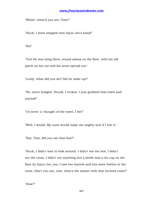"What!--what'd you see, Tom?"

"Huck, I most stepped onto Injun Joe's hand!"

"No!"

"Yes! He was lying there, sound asleep on the floor, with his old patch on his eye and his arms spread out."

"Lordy, what did you do? Did he wake up?"

"No, never budged. Drunk, I reckon. I just grabbed that towel and started!"

"I'd never 'a' thought of the towel, I bet!"

"Well, I would. My aunt would make me mighty sick if I lost it."

"Say, Tom, did you see that box?"

"Huck, I didn't wait to look around. I didn't see the box, I didn't see the cross. I didn't see anything but a bottle and a tin cup on the floor by Injun Joe; yes, I saw two barrels and lots more bottles in the room. Don't you see, now, what's the matter with that ha'nted room?"

"How?"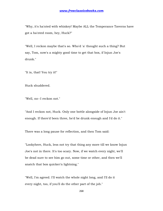"Why, it's ha'nted with whiskey! Maybe ALL the Temperance Taverns have got a ha'nted room, hey, Huck?"

"Well, I reckon maybe that's so. Who'd 'a' thought such a thing? But say, Tom, now's a mighty good time to get that box, if Injun Joe's drunk."

"It is, that! You try it!"

Huck shuddered.

"Well, no--I reckon not."

"And I reckon not, Huck. Only one bottle alongside of Injun Joe ain't enough. If there'd been three, he'd be drunk enough and I'd do it."

There was a long pause for reflection, and then Tom said:

"Lookyhere, Huck, less not try that thing any more till we know Injun Joe's not in there. It's too scary. Now, if we watch every night, we'll be dead sure to see him go out, some time or other, and then we'll snatch that box quicker'n lightning."

"Well, I'm agreed. I'll watch the whole night long, and I'll do it every night, too, if you'll do the other part of the job."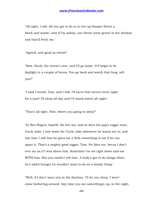"All right, I will. All you got to do is to trot up Hooper Street a block and maow--and if I'm asleep, you throw some gravel at the window and that'll fetch me."

"Agreed, and good as wheat!"

"Now, Huck, the storm's over, and I'll go home. It'll begin to be daylight in a couple of hours. You go back and watch that long, will you?"

"I said I would, Tom, and I will. I'll ha'nt that tavern every night for a year! I'll sleep all day and I'll stand watch all night."

"That's all right. Now, where you going to sleep?"

"In Ben Rogers' hayloft. He lets me, and so does his pap's nigger man, Uncle Jake. I tote water for Uncle Jake whenever he wants me to, and any time I ask him he gives me a little something to eat if he can spare it. That's a mighty good nigger, Tom. He likes me, becuz I don't ever act as if I was above him. Sometime I've set right down and eat WITH him. But you needn't tell that. A body's got to do things when he's awful hungry he wouldn't want to do as a steady thing."

"Well, if I don't want you in the daytime, I'll let you sleep. I won't come bothering around. Any time you see something's up, in the night,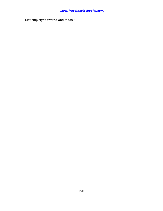just skip right around and maow."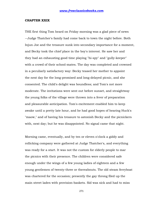#### **CHAPTER XXIX**

THE first thing Tom heard on Friday morning was a glad piece of news --Judge Thatcher's family had come back to town the night before. Both Injun Joe and the treasure sunk into secondary importance for a moment, and Becky took the chief place in the boy's interest. He saw her and they had an exhausting good time playing "hi-spy" and "gully-keeper" with a crowd of their school-mates. The day was completed and crowned in a peculiarly satisfactory way: Becky teased her mother to appoint the next day for the long-promised and long-delayed picnic, and she consented. The child's delight was boundless; and Tom's not more moderate. The invitations were sent out before sunset, and straightway the young folks of the village were thrown into a fever of preparation and pleasurable anticipation. Tom's excitement enabled him to keep awake until a pretty late hour, and he had good hopes of hearing Huck's "maow," and of having his treasure to astonish Becky and the picnickers with, next day; but he was disappointed. No signal came that night.

Morning came, eventually, and by ten or eleven o'clock a giddy and rollicking company were gathered at Judge Thatcher's, and everything was ready for a start. It was not the custom for elderly people to mar the picnics with their presence. The children were considered safe enough under the wings of a few young ladies of eighteen and a few young gentlemen of twenty-three or thereabouts. The old steam ferryboat was chartered for the occasion; presently the gay throng filed up the main street laden with provision-baskets. Sid was sick and had to miss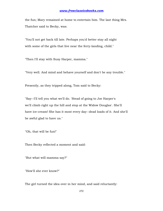the fun; Mary remained at home to entertain him. The last thing Mrs. Thatcher said to Becky, was:

"You'll not get back till late. Perhaps you'd better stay all night with some of the girls that live near the ferry-landing, child."

"Then I'll stay with Susy Harper, mamma."

"Very well. And mind and behave yourself and don't be any trouble."

Presently, as they tripped along, Tom said to Becky:

"Say--I'll tell you what we'll do. 'Stead of going to Joe Harper's we'll climb right up the hill and stop at the Widow Douglas'. She'll have ice-cream! She has it most every day--dead loads of it. And she'll be awful glad to have us."

"Oh, that will be fun!"

Then Becky reflected a moment and said:

"But what will mamma say?"

"How'll she ever know?"

The girl turned the idea over in her mind, and said reluctantly: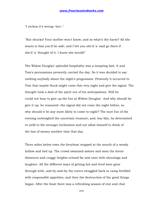"I reckon it's wrong--but--"

"But shucks! Your mother won't know, and so what's the harm? All she wants is that you'll be safe; and I bet you she'd 'a' said go there if she'd 'a' thought of it. I know she would!"

The Widow Douglas' splendid hospitality was a tempting bait. It and Tom's persuasions presently carried the day. So it was decided to say nothing anybody about the night's programme. Presently it occurred to Tom that maybe Huck might come this very night and give the signal. The thought took a deal of the spirit out of his anticipations. Still he could not bear to give up the fun at Widow Douglas'. And why should he give it up, he reasoned--the signal did not come the night before, so why should it be any more likely to come to-night? The sure fun of the evening outweighed the uncertain treasure; and, boy-like, he determined to yield to the stronger inclination and not allow himself to think of the box of money another time that day.

Three miles below town the ferryboat stopped at the mouth of a woody hollow and tied up. The crowd swarmed ashore and soon the forest distances and craggy heights echoed far and near with shoutings and laughter. All the different ways of getting hot and tired were gone through with, and by-and-by the rovers straggled back to camp fortified with responsible appetites, and then the destruction of the good things began. After the feast there was a refreshing season of rest and chat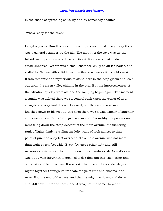in the shade of spreading oaks. By-and-by somebody shouted:

"Who's ready for the cave?"

Everybody was. Bundles of candles were procured, and straightway there was a general scamper up the hill. The mouth of the cave was up the hillside--an opening shaped like a letter A. Its massive oaken door stood unbarred. Within was a small chamber, chilly as an ice-house, and walled by Nature with solid limestone that was dewy with a cold sweat. It was romantic and mysterious to stand here in the deep gloom and look out upon the green valley shining in the sun. But the impressiveness of the situation quickly wore off, and the romping began again. The moment a candle was lighted there was a general rush upon the owner of it; a struggle and a gallant defence followed, but the candle was soon knocked down or blown out, and then there was a glad clamor of laughter and a new chase. But all things have an end. By-and-by the procession went filing down the steep descent of the main avenue, the flickering rank of lights dimly revealing the lofty walls of rock almost to their point of junction sixty feet overhead. This main avenue was not more than eight or ten feet wide. Every few steps other lofty and still narrower crevices branched from it on either hand--for McDougal's cave was but a vast labyrinth of crooked aisles that ran into each other and out again and led nowhere. It was said that one might wander days and nights together through its intricate tangle of rifts and chasms, and never find the end of the cave; and that he might go down, and down, and still down, into the earth, and it was just the same--labyrinth

274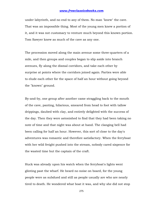under labyrinth, and no end to any of them. No man "knew" the cave. That was an impossible thing. Most of the young men knew a portion of it, and it was not customary to venture much beyond this known portion. Tom Sawyer knew as much of the cave as any one.

The procession moved along the main avenue some three-quarters of a mile, and then groups and couples began to slip aside into branch avenues, fly along the dismal corridors, and take each other by surprise at points where the corridors joined again. Parties were able to elude each other for the space of half an hour without going beyond the "known" ground.

By-and-by, one group after another came straggling back to the mouth of the cave, panting, hilarious, smeared from head to foot with tallow drippings, daubed with clay, and entirely delighted with the success of the day. Then they were astonished to find that they had been taking no note of time and that night was about at hand. The clanging bell had been calling for half an hour. However, this sort of close to the day's adventures was romantic and therefore satisfactory. When the ferryboat with her wild freight pushed into the stream, nobody cared sixpence for the wasted time but the captain of the craft.

Huck was already upon his watch when the ferryboat's lights went glinting past the wharf. He heard no noise on board, for the young people were as subdued and still as people usually are who are nearly tired to death. He wondered what boat it was, and why she did not stop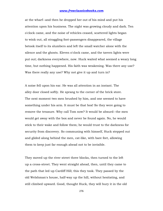at the wharf--and then he dropped her out of his mind and put his attention upon his business. The night was growing cloudy and dark. Ten o'clock came, and the noise of vehicles ceased, scattered lights began to wink out, all straggling foot-passengers disappeared, the village betook itself to its slumbers and left the small watcher alone with the silence and the ghosts. Eleven o'clock came, and the tavern lights were put out; darkness everywhere, now. Huck waited what seemed a weary long time, but nothing happened. His faith was weakening. Was there any use? Was there really any use? Why not give it up and turn in?

A noise fell upon his ear. He was all attention in an instant. The alley door closed softly. He sprang to the corner of the brick store. The next moment two men brushed by him, and one seemed to have something under his arm. It must be that box! So they were going to remove the treasure. Why call Tom now? It would be absurd--the men would get away with the box and never be found again. No, he would stick to their wake and follow them; he would trust to the darkness for security from discovery. So communing with himself, Huck stepped out and glided along behind the men, cat-like, with bare feet, allowing them to keep just far enough ahead not to be invisible.

They moved up the river street three blocks, then turned to the left up a cross-street. They went straight ahead, then, until they came to the path that led up Cardiff Hill; this they took. They passed by the old Welshman's house, half-way up the hill, without hesitating, and still climbed upward. Good, thought Huck, they will bury it in the old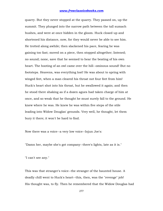quarry. But they never stopped at the quarry. They passed on, up the summit. They plunged into the narrow path between the tall sumach bushes, and were at once hidden in the gloom. Huck closed up and shortened his distance, now, for they would never be able to see him. He trotted along awhile; then slackened his pace, fearing he was gaining too fast; moved on a piece, then stopped altogether; listened; no sound; none, save that he seemed to hear the beating of his own heart. The hooting of an owl came over the hill--ominous sound! But no footsteps. Heavens, was everything lost! He was about to spring with winged feet, when a man cleared his throat not four feet from him! Huck's heart shot into his throat, but he swallowed it again; and then he stood there shaking as if a dozen agues had taken charge of him at once, and so weak that he thought he must surely fall to the ground. He knew where he was. He knew he was within five steps of the stile leading into Widow Douglas' grounds. Very well, he thought, let them bury it there; it won't be hard to find.

Now there was a voice--a very low voice--Injun Joe's:

"Damn her, maybe she's got company--there's lights, late as it is."

"I can't see any."

This was that stranger's voice--the stranger of the haunted house. A deadly chill went to Huck's heart--this, then, was the "revenge" job! His thought was, to fly. Then he remembered that the Widow Douglas had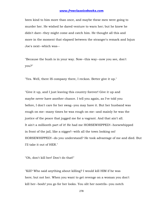been kind to him more than once, and maybe these men were going to murder her. He wished he dared venture to warn her; but he knew he didn't dare--they might come and catch him. He thought all this and more in the moment that elapsed between the stranger's remark and Injun Joe's next--which was--

"Because the bush is in your way. Now--this way--now you see, don't you?"

"Yes. Well, there IS company there, I reckon. Better give it up."

"Give it up, and I just leaving this country forever! Give it up and maybe never have another chance. I tell you again, as I've told you before, I don't care for her swag--you may have it. But her husband was rough on me--many times he was rough on me--and mainly he was the justice of the peace that jugged me for a vagrant. And that ain't all. It ain't a millionth part of it! He had me HORSEWHIPPED!--horsewhipped in front of the jail, like a nigger!--with all the town looking on! HORSEWHIPPED!--do you understand? He took advantage of me and died. But I'll take it out of HER."

"Oh, don't kill her! Don't do that!"

"Kill? Who said anything about killing? I would kill HIM if he was here; but not her. When you want to get revenge on a woman you don't kill her--bosh! you go for her looks. You slit her nostrils--you notch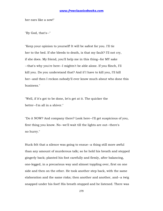her ears like a sow!"

"By God, that's--"

"Keep your opinion to yourself! It will be safest for you. I'll tie her to the bed. If she bleeds to death, is that my fault? I'll not cry, if she does. My friend, you'll help me in this thing--for MY sake --that's why you're here--I mightn't be able alone. If you flinch, I'll kill you. Do you understand that? And if I have to kill you, I'll kill her--and then I reckon nobody'll ever know much about who done this business."

"Well, if it's got to be done, let's get at it. The quicker the better--I'm all in a shiver."

"Do it NOW? And company there? Look here--I'll get suspicious of you, first thing you know. No--we'll wait till the lights are out--there's no hurry."

Huck felt that a silence was going to ensue--a thing still more awful than any amount of murderous talk; so he held his breath and stepped gingerly back; planted his foot carefully and firmly, after balancing, one-legged, in a precarious way and almost toppling over, first on one side and then on the other. He took another step back, with the same elaboration and the same risks; then another and another, and--a twig snapped under his foot! His breath stopped and he listened. There was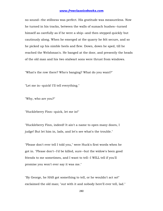no sound--the stillness was perfect. His gratitude was measureless. Now he turned in his tracks, between the walls of sumach bushes--turned himself as carefully as if he were a ship--and then stepped quickly but cautiously along. When he emerged at the quarry he felt secure, and so he picked up his nimble heels and flew. Down, down he sped, till he reached the Welshman's. He banged at the door, and presently the heads of the old man and his two stalwart sons were thrust from windows.

"What's the row there? Who's banging? What do you want?"

"Let me in--quick! I'll tell everything."

"Why, who are you?"

"Huckleberry Finn--quick, let me in!"

"Huckleberry Finn, indeed! It ain't a name to open many doors, I judge! But let him in, lads, and let's see what's the trouble."

"Please don't ever tell I told you," were Huck's first words when he got in. "Please don't--I'd be killed, sure--but the widow's been good friends to me sometimes, and I want to tell--I WILL tell if you'll promise you won't ever say it was me."

"By George, he HAS got something to tell, or he wouldn't act so!" exclaimed the old man; "out with it and nobody here'll ever tell, lad."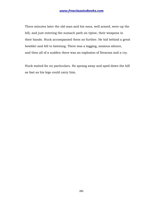Three minutes later the old man and his sons, well armed, were up the hill, and just entering the sumach path on tiptoe, their weapons in their hands. Huck accompanied them no further. He hid behind a great bowlder and fell to listening. There was a lagging, anxious silence, and then all of a sudden there was an explosion of firearms and a cry.

Huck waited for no particulars. He sprang away and sped down the hill as fast as his legs could carry him.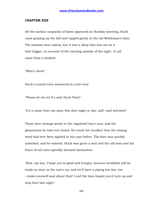#### **CHAPTER XXX**

AS the earliest suspicion of dawn appeared on Sunday morning, Huck came groping up the hill and rapped gently at the old Welshman's door. The inmates were asleep, but it was a sleep that was set on a hair-trigger, on account of the exciting episode of the night. A call came from a window:

"Who's there!"

Huck's scared voice answered in a low tone:

"Please let me in! It's only Huck Finn!"

"It's a name that can open this door night or day, lad!--and welcome!"

These were strange words to the vagabond boy's ears, and the pleasantest he had ever heard. He could not recollect that the closing word had ever been applied in his case before. The door was quickly unlocked, and he entered. Huck was given a seat and the old man and his brace of tall sons speedily dressed themselves.

"Now, my boy, I hope you're good and hungry, because breakfast will be ready as soon as the sun's up, and we'll have a piping hot one, too --make yourself easy about that! I and the boys hoped you'd turn up and stop here last night."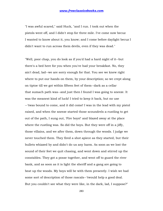"I was awful scared," said Huck, "and I run. I took out when the pistols went off, and I didn't stop for three mile. I've come now becuz I wanted to know about it, you know; and I come before daylight becuz I didn't want to run across them devils, even if they was dead."

"Well, poor chap, you do look as if you'd had a hard night of it--but there's a bed here for you when you've had your breakfast. No, they ain't dead, lad--we are sorry enough for that. You see we knew right where to put our hands on them, by your description; so we crept along on tiptoe till we got within fifteen feet of them--dark as a cellar that sumach path was--and just then I found I was going to sneeze. It was the meanest kind of luck! I tried to keep it back, but no use --'twas bound to come, and it did come! I was in the lead with my pistol raised, and when the sneeze started those scoundrels a-rustling to get out of the path, I sung out, 'Fire boys!' and blazed away at the place where the rustling was. So did the boys. But they were off in a jiffy, those villains, and we after them, down through the woods. I judge we never touched them. They fired a shot apiece as they started, but their bullets whizzed by and didn't do us any harm. As soon as we lost the sound of their feet we quit chasing, and went down and stirred up the constables. They got a posse together, and went off to guard the river bank, and as soon as it is light the sheriff and a gang are going to beat up the woods. My boys will be with them presently. I wish we had some sort of description of those rascals--'twould help a good deal. But you couldn't see what they were like, in the dark, lad, I suppose?"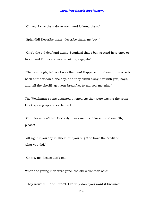"Oh yes; I saw them down-town and follered them."

"Splendid! Describe them--describe them, my boy!"

"One's the old deaf and dumb Spaniard that's ben around here once or twice, and t'other's a mean-looking, ragged--"

"That's enough, lad, we know the men! Happened on them in the woods back of the widow's one day, and they slunk away. Off with you, boys, and tell the sheriff--get your breakfast to-morrow morning!"

The Welshman's sons departed at once. As they were leaving the room Huck sprang up and exclaimed:

"Oh, please don't tell ANYbody it was me that blowed on them! Oh, please!"

"All right if you say it, Huck, but you ought to have the credit of what you did."

"Oh no, no! Please don't tell!"

When the young men were gone, the old Welshman said:

"They won't tell--and I won't. But why don't you want it known?"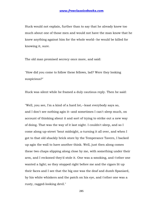Huck would not explain, further than to say that he already knew too much about one of those men and would not have the man know that he knew anything against him for the whole world--he would be killed for knowing it, sure.

The old man promised secrecy once more, and said:

"How did you come to follow these fellows, lad? Were they looking suspicious?"

Huck was silent while he framed a duly cautious reply. Then he said:

"Well, you see, I'm a kind of a hard lot,--least everybody says so, and I don't see nothing agin it--and sometimes I can't sleep much, on account of thinking about it and sort of trying to strike out a new way of doing. That was the way of it last night. I couldn't sleep, and so I come along up-street 'bout midnight, a-turning it all over, and when I got to that old shackly brick store by the Temperance Tavern, I backed up agin the wall to have another think. Well, just then along comes these two chaps slipping along close by me, with something under their arm, and I reckoned they'd stole it. One was a-smoking, and t'other one wanted a light; so they stopped right before me and the cigars lit up their faces and I see that the big one was the deaf and dumb Spaniard, by his white whiskers and the patch on his eye, and t'other one was a rusty, ragged-looking devil."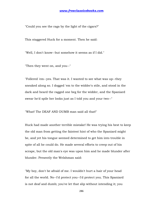"Could you see the rags by the light of the cigars?"

This staggered Huck for a moment. Then he said:

"Well, I don't know--but somehow it seems as if I did."

"Then they went on, and you--"

"Follered 'em--yes. That was it. I wanted to see what was up--they sneaked along so. I dogged 'em to the widder's stile, and stood in the dark and heard the ragged one beg for the widder, and the Spaniard swear he'd spile her looks just as I told you and your two--"

"What! The DEAF AND DUMB man said all that!"

Huck had made another terrible mistake! He was trying his best to keep the old man from getting the faintest hint of who the Spaniard might be, and yet his tongue seemed determined to get him into trouble in spite of all he could do. He made several efforts to creep out of his scrape, but the old man's eye was upon him and he made blunder after blunder. Presently the Welshman said:

"My boy, don't be afraid of me. I wouldn't hurt a hair of your head for all the world. No--I'd protect you--I'd protect you. This Spaniard is not deaf and dumb; you've let that slip without intending it; you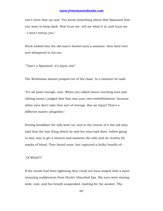can't cover that up now. You know something about that Spaniard that you want to keep dark. Now trust me--tell me what it is, and trust me --I won't betray you."

Huck looked into the old man's honest eyes a moment, then bent over and whispered in his ear:

"'Tain't a Spaniard--it's Injun Joe!"

The Welshman almost jumped out of his chair. In a moment he said:

"It's all plain enough, now. When you talked about notching ears and slitting noses I judged that that was your own embellishment, because white men don't take that sort of revenge. But an Injun! That's a different matter altogether."

During breakfast the talk went on, and in the course of it the old man said that the last thing which he and his sons had done, before going to bed, was to get a lantern and examine the stile and its vicinity for marks of blood. They found none, but captured a bulky bundle of--

"Of WHAT?"

If the words had been lightning they could not have leaped with a more stunning suddenness from Huck's blanched lips. His eyes were staring wide, now, and his breath suspended--waiting for the answer. The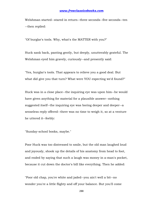Welshman started--stared in return--three seconds--five seconds--ten --then replied:

"Of burglar's tools. Why, what's the MATTER with you?"

Huck sank back, panting gently, but deeply, unutterably grateful. The Welshman eyed him gravely, curiously--and presently said:

"Yes, burglar's tools. That appears to relieve you a good deal. But what did give you that turn? What were YOU expecting we'd found?"

Huck was in a close place--the inquiring eye was upon him--he would have given anything for material for a plausible answer--nothing suggested itself--the inquiring eye was boring deeper and deeper--a senseless reply offered--there was no time to weigh it, so at a venture he uttered it--feebly:

"Sunday-school books, maybe."

Poor Huck was too distressed to smile, but the old man laughed loud and joyously, shook up the details of his anatomy from head to foot, and ended by saying that such a laugh was money in a-man's pocket, because it cut down the doctor's bill like everything. Then he added:

"Poor old chap, you're white and jaded--you ain't well a bit--no wonder you're a little flighty and off your balance. But you'll come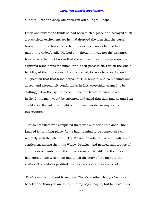out of it. Rest and sleep will fetch you out all right, I hope."

Huck was irritated to think he had been such a goose and betrayed such a suspicious excitement, for he had dropped the idea that the parcel brought from the tavern was the treasure, as soon as he had heard the talk at the widow's stile. He had only thought it was not the treasure, however--he had not known that it wasn't--and so the suggestion of a captured bundle was too much for his self-possession. But on the whole he felt glad the little episode had happened, for now he knew beyond all question that that bundle was not THE bundle, and so his mind was at rest and exceedingly comfortable. In fact, everything seemed to be drifting just in the right direction, now; the treasure must be still in No. 2, the men would be captured and jailed that day, and he and Tom could seize the gold that night without any trouble or any fear of interruption.

Just as breakfast was completed there was a knock at the door. Huck jumped for a hiding-place, for he had no mind to be connected even remotely with the late event. The Welshman admitted several ladies and gentlemen, among them the Widow Douglas, and noticed that groups of citizens were climbing up the hill--to stare at the stile. So the news had spread. The Welshman had to tell the story of the night to the visitors. The widow's gratitude for her preservation was outspoken.

"Don't say a word about it, madam. There's another that you're more beholden to than you are to me and my boys, maybe, but he don't allow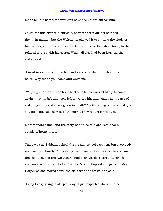me to tell his name. We wouldn't have been there but for him."

Of course this excited a curiosity so vast that it almost belittled the main matter--but the Welshman allowed it to eat into the vitals of his visitors, and through them be transmitted to the whole town, for he refused to part with his secret. When all else had been learned, the widow said:

"I went to sleep reading in bed and slept straight through all that noise. Why didn't you come and wake me?"

"We judged it warn't worth while. Those fellows warn't likely to come again--they hadn't any tools left to work with, and what was the use of waking you up and scaring you to death? My three negro men stood guard at your house all the rest of the night. They've just come back."

More visitors came, and the story had to be told and retold for a couple of hours more.

There was no Sabbath-school during day-school vacation, but everybody was early at church. The stirring event was well canvassed. News came that not a sign of the two villains had been yet discovered. When the sermon was finished, Judge Thatcher's wife dropped alongside of Mrs. Harper as she moved down the aisle with the crowd and said:

"Is my Becky going to sleep all day? I just expected she would be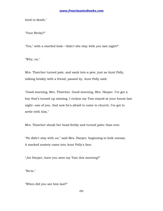tired to death."

"Your Becky?"

"Yes," with a startled look--"didn't she stay with you last night?"

"Why, no."

Mrs. Thatcher turned pale, and sank into a pew, just as Aunt Polly, talking briskly with a friend, passed by. Aunt Polly said:

"Good-morning, Mrs. Thatcher. Good-morning, Mrs. Harper. I've got a boy that's turned up missing. I reckon my Tom stayed at your house last night--one of you. And now he's afraid to come to church. I've got to settle with him."

Mrs. Thatcher shook her head feebly and turned paler than ever.

"He didn't stay with us," said Mrs. Harper, beginning to look uneasy. A marked anxiety came into Aunt Polly's face.

"Joe Harper, have you seen my Tom this morning?"

"No'm."

"When did you see him last?"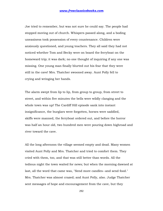Joe tried to remember, but was not sure he could say. The people had stopped moving out of church. Whispers passed along, and a boding uneasiness took possession of every countenance. Children were anxiously questioned, and young teachers. They all said they had not noticed whether Tom and Becky were on board the ferryboat on the homeward trip; it was dark; no one thought of inquiring if any one was missing. One young man finally blurted out his fear that they were still in the cave! Mrs. Thatcher swooned away. Aunt Polly fell to crying and wringing her hands.

The alarm swept from lip to lip, from group to group, from street to street, and within five minutes the bells were wildly clanging and the whole town was up! The Cardiff Hill episode sank into instant insignificance, the burglars were forgotten, horses were saddled, skiffs were manned, the ferryboat ordered out, and before the horror was half an hour old, two hundred men were pouring down highroad and river toward the cave.

All the long afternoon the village seemed empty and dead. Many women visited Aunt Polly and Mrs. Thatcher and tried to comfort them. They cried with them, too, and that was still better than words. All the tedious night the town waited for news; but when the morning dawned at last, all the word that came was, "Send more candles--and send food." Mrs. Thatcher was almost crazed; and Aunt Polly, also. Judge Thatcher sent messages of hope and encouragement from the cave, but they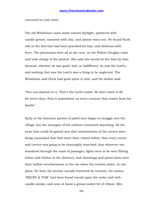conveyed no real cheer.

The old Welshman came home toward daylight, spattered with candle-grease, smeared with clay, and almost worn out. He found Huck still in the bed that had been provided for him, and delirious with fever. The physicians were all at the cave, so the Widow Douglas came and took charge of the patient. She said she would do her best by him, because, whether he was good, bad, or indifferent, he was the Lord's, and nothing that was the Lord's was a thing to be neglected. The Welshman said Huck had good spots in him, and the widow said:

"You can depend on it. That's the Lord's mark. He don't leave it off. He never does. Puts it somewhere on every creature that comes from his hands."

Early in the forenoon parties of jaded men began to straggle into the village, but the strongest of the citizens continued searching. All the news that could be gained was that remotenesses of the cavern were being ransacked that had never been visited before; that every corner and crevice was going to be thoroughly searched; that wherever one wandered through the maze of passages, lights were to be seen flitting hither and thither in the distance, and shoutings and pistol-shots sent their hollow reverberations to the ear down the sombre aisles. In one place, far from the section usually traversed by tourists, the names "BECKY & TOM" had been found traced upon the rocky wall with candle-smoke, and near at hand a grease-soiled bit of ribbon. Mrs.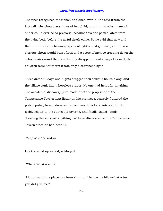Thatcher recognized the ribbon and cried over it. She said it was the last relic she should ever have of her child; and that no other memorial of her could ever be so precious, because this one parted latest from the living body before the awful death came. Some said that now and then, in the cave, a far-away speck of light would glimmer, and then a glorious shout would burst forth and a score of men go trooping down the echoing aisle--and then a sickening disappointment always followed; the children were not there; it was only a searcher's light.

Three dreadful days and nights dragged their tedious hours along, and the village sank into a hopeless stupor. No one had heart for anything. The accidental discovery, just made, that the proprietor of the Temperance Tavern kept liquor on his premises, scarcely fluttered the public pulse, tremendous as the fact was. In a lucid interval, Huck feebly led up to the subject of taverns, and finally asked--dimly dreading the worst--if anything had been discovered at the Temperance Tavern since he had been ill.

"Yes," said the widow.

Huck started up in bed, wild-eyed:

"What? What was it?"

"Liquor!--and the place has been shut up. Lie down, child--what a turn you did give me!"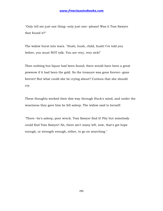"Only tell me just one thing--only just one--please! Was it Tom Sawyer that found it?"

The widow burst into tears. "Hush, hush, child, hush! I've told you before, you must NOT talk. You are very, very sick!"

Then nothing but liquor had been found; there would have been a great powwow if it had been the gold. So the treasure was gone forever--gone forever! But what could she be crying about? Curious that she should cry.

These thoughts worked their dim way through Huck's mind, and under the weariness they gave him he fell asleep. The widow said to herself:

"There--he's asleep, poor wreck. Tom Sawyer find it! Pity but somebody could find Tom Sawyer! Ah, there ain't many left, now, that's got hope enough, or strength enough, either, to go on searching."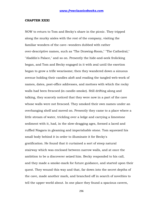#### **CHAPTER XXXI**

NOW to return to Tom and Becky's share in the picnic. They tripped along the murky aisles with the rest of the company, visiting the familiar wonders of the cave--wonders dubbed with rather over-descriptive names, such as "The Drawing-Room," "The Cathedral," "Aladdin's Palace," and so on. Presently the hide-and-seek frolicking began, and Tom and Becky engaged in it with zeal until the exertion began to grow a trifle wearisome; then they wandered down a sinuous avenue holding their candles aloft and reading the tangled web-work of names, dates, post-office addresses, and mottoes with which the rocky walls had been frescoed (in candle-smoke). Still drifting along and talking, they scarcely noticed that they were now in a part of the cave whose walls were not frescoed. They smoked their own names under an overhanging shelf and moved on. Presently they came to a place where a little stream of water, trickling over a ledge and carrying a limestone sediment with it, had, in the slow-dragging ages, formed a laced and ruffled Niagara in gleaming and imperishable stone. Tom squeezed his small body behind it in order to illuminate it for Becky's gratification. He found that it curtained a sort of steep natural stairway which was enclosed between narrow walls, and at once the ambition to be a discoverer seized him. Becky responded to his call, and they made a smoke-mark for future guidance, and started upon their quest. They wound this way and that, far down into the secret depths of the cave, made another mark, and branched off in search of novelties to tell the upper world about. In one place they found a spacious cavern,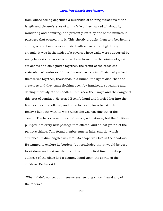from whose ceiling depended a multitude of shining stalactites of the length and circumference of a man's leg; they walked all about it, wondering and admiring, and presently left it by one of the numerous passages that opened into it. This shortly brought them to a bewitching spring, whose basin was incrusted with a frostwork of glittering crystals; it was in the midst of a cavern whose walls were supported by many fantastic pillars which had been formed by the joining of great stalactites and stalagmites together, the result of the ceaseless water-drip of centuries. Under the roof vast knots of bats had packed themselves together, thousands in a bunch; the lights disturbed the creatures and they came flocking down by hundreds, squeaking and darting furiously at the candles. Tom knew their ways and the danger of this sort of conduct. He seized Becky's hand and hurried her into the first corridor that offered; and none too soon, for a bat struck Becky's light out with its wing while she was passing out of the cavern. The bats chased the children a good distance; but the fugitives plunged into every new passage that offered, and at last got rid of the perilous things. Tom found a subterranean lake, shortly, which stretched its dim length away until its shape was lost in the shadows. He wanted to explore its borders, but concluded that it would be best to sit down and rest awhile, first. Now, for the first time, the deep stillness of the place laid a clammy hand upon the spirits of the children. Becky said:

"Why, I didn't notice, but it seems ever so long since I heard any of the others."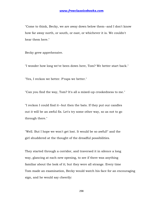"Come to think, Becky, we are away down below them--and I don't know how far away north, or south, or east, or whichever it is. We couldn't hear them here."

Becky grew apprehensive.

"I wonder how long we've been down here, Tom? We better start back."

"Yes, I reckon we better. P'raps we better."

"Can you find the way, Tom? It's all a mixed-up crookedness to me."

"I reckon I could find it--but then the bats. If they put our candles out it will be an awful fix. Let's try some other way, so as not to go through there."

"Well. But I hope we won't get lost. It would be so awful!" and the girl shuddered at the thought of the dreadful possibilities.

They started through a corridor, and traversed it in silence a long way, glancing at each new opening, to see if there was anything familiar about the look of it; but they were all strange. Every time Tom made an examination, Becky would watch his face for an encouraging sign, and he would say cheerily: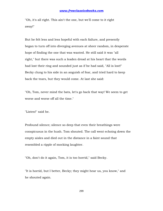"Oh, it's all right. This ain't the one, but we'll come to it right away!"

But he felt less and less hopeful with each failure, and presently began to turn off into diverging avenues at sheer random, in desperate hope of finding the one that was wanted. He still said it was "all right," but there was such a leaden dread at his heart that the words had lost their ring and sounded just as if he had said, "All is lost!" Becky clung to his side in an anguish of fear, and tried hard to keep back the tears, but they would come. At last she said:

"Oh, Tom, never mind the bats, let's go back that way! We seem to get worse and worse off all the time."

"Listen!" said he.

Profound silence; silence so deep that even their breathings were conspicuous in the hush. Tom shouted. The call went echoing down the empty aisles and died out in the distance in a faint sound that resembled a ripple of mocking laughter.

"Oh, don't do it again, Tom, it is too horrid," said Becky.

"It is horrid, but I better, Becky; they might hear us, you know," and he shouted again.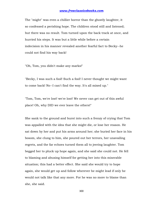The "might" was even a chillier horror than the ghostly laughter, it so confessed a perishing hope. The children stood still and listened; but there was no result. Tom turned upon the back track at once, and hurried his steps. It was but a little while before a certain indecision in his manner revealed another fearful fact to Becky--he could not find his way back!

"Oh, Tom, you didn't make any marks!"

"Becky, I was such a fool! Such a fool! I never thought we might want to come back! No--I can't find the way. It's all mixed up."

"Tom, Tom, we're lost! we're lost! We never can get out of this awful place! Oh, why DID we ever leave the others!"

She sank to the ground and burst into such a frenzy of crying that Tom was appalled with the idea that she might die, or lose her reason. He sat down by her and put his arms around her; she buried her face in his bosom, she clung to him, she poured out her terrors, her unavailing regrets, and the far echoes turned them all to jeering laughter. Tom begged her to pluck up hope again, and she said she could not. He fell to blaming and abusing himself for getting her into this miserable situation; this had a better effect. She said she would try to hope again, she would get up and follow wherever he might lead if only he would not talk like that any more. For he was no more to blame than she, she said.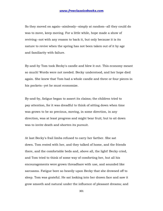So they moved on again--aimlessly--simply at random--all they could do was to move, keep moving. For a little while, hope made a show of reviving--not with any reason to back it, but only because it is its nature to revive when the spring has not been taken out of it by age and familiarity with failure.

By-and-by Tom took Becky's candle and blew it out. This economy meant so much! Words were not needed. Becky understood, and her hope died again. She knew that Tom had a whole candle and three or four pieces in his pockets--yet he must economize.

By-and-by, fatigue began to assert its claims; the children tried to pay attention, for it was dreadful to think of sitting down when time was grown to be so precious, moving, in some direction, in any direction, was at least progress and might bear fruit; but to sit down was to invite death and shorten its pursuit.

At last Becky's frail limbs refused to carry her farther. She sat down. Tom rested with her, and they talked of home, and the friends there, and the comfortable beds and, above all, the light! Becky cried, and Tom tried to think of some way of comforting her, but all his encouragements were grown threadbare with use, and sounded like sarcasms. Fatigue bore so heavily upon Becky that she drowsed off to sleep. Tom was grateful. He sat looking into her drawn face and saw it grow smooth and natural under the influence of pleasant dreams; and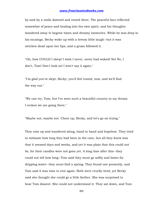by-and-by a smile dawned and rested there. The peaceful face reflected somewhat of peace and healing into his own spirit, and his thoughts wandered away to bygone times and dreamy memories. While he was deep in his musings, Becky woke up with a breezy little laugh--but it was stricken dead upon her lips, and a groan followed it.

"Oh, how COULD I sleep! I wish I never, never had waked! No! No, I don't, Tom! Don't look so! I won't say it again."

"I'm glad you've slept, Becky; you'll feel rested, now, and we'll find the way out."

"We can try, Tom; but I've seen such a beautiful country in my dream. I reckon we are going there."

"Maybe not, maybe not. Cheer up, Becky, and let's go on trying."

They rose up and wandered along, hand in hand and hopeless. They tried to estimate how long they had been in the cave, but all they knew was that it seemed days and weeks, and yet it was plain that this could not be, for their candles were not gone yet. A long time after this--they could not tell how long--Tom said they must go softly and listen for dripping water--they must find a spring. They found one presently, and Tom said it was time to rest again. Both were cruelly tired, yet Becky said she thought she could go a little farther. She was surprised to hear Tom dissent. She could not understand it. They sat down, and Tom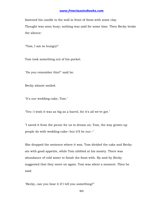fastened his candle to the wall in front of them with some clay. Thought was soon busy; nothing was said for some time. Then Becky broke the silence:

"Tom, I am so hungry!"

Tom took something out of his pocket.

"Do you remember this?" said he.

Becky almost smiled.

"It's our wedding-cake, Tom."

"Yes--I wish it was as big as a barrel, for it's all we've got."

"I saved it from the picnic for us to dream on, Tom, the way grown-up people do with wedding-cake--but it'll be our--"

She dropped the sentence where it was. Tom divided the cake and Becky ate with good appetite, while Tom nibbled at his moiety. There was abundance of cold water to finish the feast with. By-and-by Becky suggested that they move on again. Tom was silent a moment. Then he said:

"Becky, can you bear it if I tell you something?"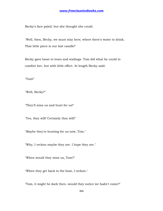Becky's face paled, but she thought she could.

"Well, then, Becky, we must stay here, where there's water to drink. That little piece is our last candle!"

Becky gave loose to tears and wailings. Tom did what he could to comfort her, but with little effect. At length Becky said:

"Tom!"

"Well, Becky?"

"They'll miss us and hunt for us!"

"Yes, they will! Certainly they will!"

"Maybe they're hunting for us now, Tom."

"Why, I reckon maybe they are. I hope they are."

"When would they miss us, Tom?"

"When they get back to the boat, I reckon."

"Tom, it might be dark then--would they notice we hadn't come?"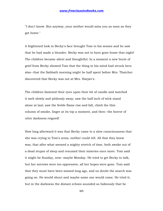"I don't know. But anyway, your mother would miss you as soon as they got home."

A frightened look in Becky's face brought Tom to his senses and he saw that he had made a blunder. Becky was not to have gone home that night! The children became silent and thoughtful. In a moment a new burst of grief from Becky showed Tom that the thing in his mind had struck hers also--that the Sabbath morning might be half spent before Mrs. Thatcher discovered that Becky was not at Mrs. Harper's.

The children fastened their eyes upon their bit of candle and watched it melt slowly and pitilessly away; saw the half inch of wick stand alone at last; saw the feeble flame rise and fall, climb the thin column of smoke, linger at its top a moment, and then--the horror of utter darkness reigned!

How long afterward it was that Becky came to a slow consciousness that she was crying in Tom's arms, neither could tell. All that they knew was, that after what seemed a mighty stretch of time, both awoke out of a dead stupor of sleep and resumed their miseries once more. Tom said it might be Sunday, now--maybe Monday. He tried to get Becky to talk, but her sorrows were too oppressive, all her hopes were gone. Tom said that they must have been missed long ago, and no doubt the search was going on. He would shout and maybe some one would come. He tried it; but in the darkness the distant echoes sounded so hideously that he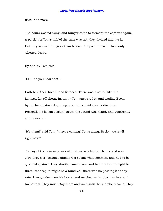tried it no more.

The hours wasted away, and hunger came to torment the captives again. A portion of Tom's half of the cake was left; they divided and ate it. But they seemed hungrier than before. The poor morsel of food only whetted desire.

By-and-by Tom said:

"SH! Did you hear that?"

Both held their breath and listened. There was a sound like the faintest, far-off shout. Instantly Tom answered it, and leading Becky by the hand, started groping down the corridor in its direction. Presently he listened again; again the sound was heard, and apparently a little nearer.

"It's them!" said Tom; "they're coming! Come along, Becky--we're all right now!"

The joy of the prisoners was almost overwhelming. Their speed was slow, however, because pitfalls were somewhat common, and had to be guarded against. They shortly came to one and had to stop. It might be three feet deep, it might be a hundred--there was no passing it at any rate. Tom got down on his breast and reached as far down as he could. No bottom. They must stay there and wait until the searchers came. They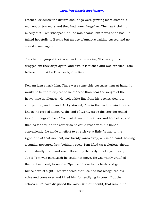listened; evidently the distant shoutings were growing more distant! a moment or two more and they had gone altogether. The heart-sinking misery of it! Tom whooped until he was hoarse, but it was of no use. He talked hopefully to Becky; but an age of anxious waiting passed and no sounds came again.

The children groped their way back to the spring. The weary time dragged on; they slept again, and awoke famished and woe-stricken. Tom believed it must be Tuesday by this time.

Now an idea struck him. There were some side passages near at hand. It would be better to explore some of these than bear the weight of the heavy time in idleness. He took a kite-line from his pocket, tied it to a projection, and he and Becky started, Tom in the lead, unwinding the line as he groped along. At the end of twenty steps the corridor ended in a "jumping-off place." Tom got down on his knees and felt below, and then as far around the corner as he could reach with his hands conveniently; he made an effort to stretch yet a little farther to the right, and at that moment, not twenty yards away, a human hand, holding a candle, appeared from behind a rock! Tom lifted up a glorious shout, and instantly that hand was followed by the body it belonged to--Injun Joe's! Tom was paralyzed; he could not move. He was vastly gratified the next moment, to see the "Spaniard" take to his heels and get himself out of sight. Tom wondered that Joe had not recognized his voice and come over and killed him for testifying in court. But the echoes must have disguised the voice. Without doubt, that was it, he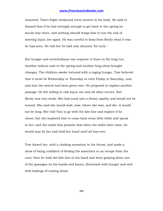reasoned. Tom's fright weakened every muscle in his body. He said to himself that if he had strength enough to get back to the spring he would stay there, and nothing should tempt him to run the risk of meeting Injun Joe again. He was careful to keep from Becky what it was he had seen. He told her he had only shouted "for luck."

But hunger and wretchedness rise superior to fears in the long run. Another tedious wait at the spring and another long sleep brought changes. The children awoke tortured with a raging hunger. Tom believed that it must be Wednesday or Thursday or even Friday or Saturday, now, and that the search had been given over. He proposed to explore another passage. He felt willing to risk Injun Joe and all other terrors. But Becky was very weak. She had sunk into a dreary apathy and would not be roused. She said she would wait, now, where she was, and die--it would not be long. She told Tom to go with the kite-line and explore if he chose; but she implored him to come back every little while and speak to her; and she made him promise that when the awful time came, he would stay by her and hold her hand until all was over.

Tom kissed her, with a choking sensation in his throat, and made a show of being confident of finding the searchers or an escape from the cave; then he took the kite-line in his hand and went groping down one of the passages on his hands and knees, distressed with hunger and sick with bodings of coming doom.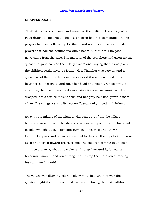#### **CHAPTER XXXII**

TUESDAY afternoon came, and waned to the twilight. The village of St. Petersburg still mourned. The lost children had not been found. Public prayers had been offered up for them, and many and many a private prayer that had the petitioner's whole heart in it; but still no good news came from the cave. The majority of the searchers had given up the quest and gone back to their daily avocations, saying that it was plain the children could never be found. Mrs. Thatcher was very ill, and a great part of the time delirious. People said it was heartbreaking to hear her call her child, and raise her head and listen a whole minute at a time, then lay it wearily down again with a moan. Aunt Polly had drooped into a settled melancholy, and her gray hair had grown almost white. The village went to its rest on Tuesday night, sad and forlorn.

Away in the middle of the night a wild peal burst from the village bells, and in a moment the streets were swarming with frantic half-clad people, who shouted, "Turn out! turn out! they're found! they're found!" Tin pans and horns were added to the din, the population massed itself and moved toward the river, met the children coming in an open carriage drawn by shouting citizens, thronged around it, joined its homeward march, and swept magnificently up the main street roaring huzzah after huzzah!

The village was illuminated; nobody went to bed again; it was the greatest night the little town had ever seen. During the first half-hour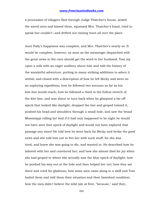a procession of villagers filed through Judge Thatcher's house, seized the saved ones and kissed them, squeezed Mrs. Thatcher's hand, tried to speak but couldn't--and drifted out raining tears all over the place.

Aunt Polly's happiness was complete, and Mrs. Thatcher's nearly so. It would be complete, however, as soon as the messenger dispatched with the great news to the cave should get the word to her husband. Tom lay upon a sofa with an eager auditory about him and told the history of the wonderful adventure, putting in many striking additions to adorn it withal; and closed with a description of how he left Becky and went on an exploring expedition; how he followed two avenues as far as his kite-line would reach; how he followed a third to the fullest stretch of the kite-line, and was about to turn back when he glimpsed a far-off speck that looked like daylight; dropped the line and groped toward it, pushed his head and shoulders through a small hole, and saw the broad Mississippi rolling by! And if it had only happened to be night he would not have seen that speck of daylight and would not have explored that passage any more! He told how he went back for Becky and broke the good news and she told him not to fret her with such stuff, for she was tired, and knew she was going to die, and wanted to. He described how he labored with her and convinced her; and how she almost died for joy when she had groped to where she actually saw the blue speck of daylight; how he pushed his way out at the hole and then helped her out; how they sat there and cried for gladness; how some men came along in a skiff and Tom hailed them and told them their situation and their famished condition; how the men didn't believe the wild tale at first, "because," said they,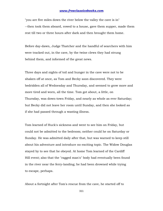"you are five miles down the river below the valley the cave is in" --then took them aboard, rowed to a house, gave them supper, made them rest till two or three hours after dark and then brought them home.

Before day-dawn, Judge Thatcher and the handful of searchers with him were tracked out, in the cave, by the twine clews they had strung behind them, and informed of the great news.

Three days and nights of toil and hunger in the cave were not to be shaken off at once, as Tom and Becky soon discovered. They were bedridden all of Wednesday and Thursday, and seemed to grow more and more tired and worn, all the time. Tom got about, a little, on Thursday, was down-town Friday, and nearly as whole as ever Saturday; but Becky did not leave her room until Sunday, and then she looked as if she had passed through a wasting illness.

Tom learned of Huck's sickness and went to see him on Friday, but could not be admitted to the bedroom; neither could he on Saturday or Sunday. He was admitted daily after that, but was warned to keep still about his adventure and introduce no exciting topic. The Widow Douglas stayed by to see that he obeyed. At home Tom learned of the Cardiff Hill event; also that the "ragged man's" body had eventually been found in the river near the ferry-landing; he had been drowned while trying to escape, perhaps.

About a fortnight after Tom's rescue from the cave, he started off to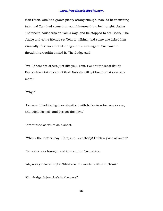visit Huck, who had grown plenty strong enough, now, to hear exciting talk, and Tom had some that would interest him, he thought. Judge Thatcher's house was on Tom's way, and he stopped to see Becky. The Judge and some friends set Tom to talking, and some one asked him ironically if he wouldn't like to go to the cave again. Tom said he thought he wouldn't mind it. The Judge said:

"Well, there are others just like you, Tom, I've not the least doubt. But we have taken care of that. Nobody will get lost in that cave any more."

"Why?"

"Because I had its big door sheathed with boiler iron two weeks ago, and triple-locked--and I've got the keys."

Tom turned as white as a sheet.

"What's the matter, boy! Here, run, somebody! Fetch a glass of water!"

The water was brought and thrown into Tom's face.

"Ah, now you're all right. What was the matter with you, Tom?"

"Oh, Judge, Injun Joe's in the cave!"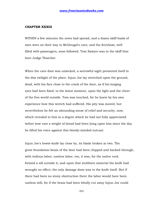#### **CHAPTER XXXIII**

WITHIN a few minutes the news had spread, and a dozen skiff-loads of men were on their way to McDougal's cave, and the ferryboat, well filled with passengers, soon followed. Tom Sawyer was in the skiff that bore Judge Thatcher.

When the cave door was unlocked, a sorrowful sight presented itself in the dim twilight of the place. Injun Joe lay stretched upon the ground, dead, with his face close to the crack of the door, as if his longing eyes had been fixed, to the latest moment, upon the light and the cheer of the free world outside. Tom was touched, for he knew by his own experience how this wretch had suffered. His pity was moved, but nevertheless he felt an abounding sense of relief and security, now, which revealed to him in a degree which he had not fully appreciated before how vast a weight of dread had been lying upon him since the day he lifted his voice against this bloody-minded outcast.

Injun Joe's bowie-knife lay close by, its blade broken in two. The great foundation-beam of the door had been chipped and hacked through, with tedious labor; useless labor, too, it was, for the native rock formed a sill outside it, and upon that stubborn material the knife had wrought no effect; the only damage done was to the knife itself. But if there had been no stony obstruction there the labor would have been useless still, for if the beam had been wholly cut away Injun Joe could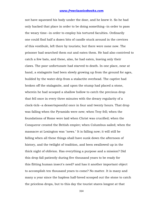not have squeezed his body under the door, and he knew it. So he had only hacked that place in order to be doing something--in order to pass the weary time--in order to employ his tortured faculties. Ordinarily one could find half a dozen bits of candle stuck around in the crevices of this vestibule, left there by tourists; but there were none now. The prisoner had searched them out and eaten them. He had also contrived to catch a few bats, and these, also, he had eaten, leaving only their claws. The poor unfortunate had starved to death. In one place, near at hand, a stalagmite had been slowly growing up from the ground for ages, builded by the water-drip from a stalactite overhead. The captive had broken off the stalagmite, and upon the stump had placed a stone, wherein he had scooped a shallow hollow to catch the precious drop that fell once in every three minutes with the dreary regularity of a clock-tick--a dessertspoonful once in four and twenty hours. That drop was falling when the Pyramids were new; when Troy fell; when the foundations of Rome were laid when Christ was crucified; when the Conqueror created the British empire; when Columbus sailed; when the massacre at Lexington was "news." It is falling now; it will still be falling when all these things shall have sunk down the afternoon of history, and the twilight of tradition, and been swallowed up in the thick night of oblivion. Has everything a purpose and a mission? Did this drop fall patiently during five thousand years to be ready for this flitting human insect's need? and has it another important object to accomplish ten thousand years to come? No matter. It is many and many a year since the hapless half-breed scooped out the stone to catch the priceless drops, but to this day the tourist stares longest at that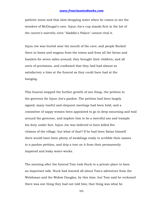pathetic stone and that slow-dropping water when he comes to see the wonders of McDougal's cave. Injun Joe's cup stands first in the list of the cavern's marvels; even "Aladdin's Palace" cannot rival it.

Injun Joe was buried near the mouth of the cave; and people flocked there in boats and wagons from the towns and from all the farms and hamlets for seven miles around; they brought their children, and all sorts of provisions, and confessed that they had had almost as satisfactory a time at the funeral as they could have had at the hanging.

This funeral stopped the further growth of one thing--the petition to the governor for Injun Joe's pardon. The petition had been largely signed; many tearful and eloquent meetings had been held, and a committee of sappy women been appointed to go in deep mourning and wail around the governor, and implore him to be a merciful ass and trample his duty under foot. Injun Joe was believed to have killed five citizens of the village, but what of that? If he had been Satan himself there would have been plenty of weaklings ready to scribble their names to a pardon-petition, and drip a tear on it from their permanently impaired and leaky water-works.

The morning after the funeral Tom took Huck to a private place to have an important talk. Huck had learned all about Tom's adventure from the Welshman and the Widow Douglas, by this time, but Tom said he reckoned there was one thing they had not told him; that thing was what he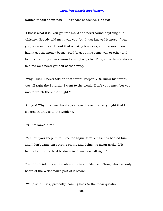wanted to talk about now. Huck's face saddened. He said:

"I know what it is. You got into No. 2 and never found anything but whiskey. Nobody told me it was you; but I just knowed it must 'a' ben you, soon as I heard 'bout that whiskey business; and I knowed you hadn't got the money becuz you'd 'a' got at me some way or other and told me even if you was mum to everybody else. Tom, something's always told me we'd never get holt of that swag."

"Why, Huck, I never told on that tavern-keeper. YOU know his tavern was all right the Saturday I went to the picnic. Don't you remember you was to watch there that night?"

"Oh yes! Why, it seems 'bout a year ago. It was that very night that I follered Injun Joe to the widder's."

"YOU followed him?"

"Yes--but you keep mum. I reckon Injun Joe's left friends behind him, and I don't want 'em souring on me and doing me mean tricks. If it hadn't ben for me he'd be down in Texas now, all right."

Then Huck told his entire adventure in confidence to Tom, who had only heard of the Welshman's part of it before.

"Well," said Huck, presently, coming back to the main question,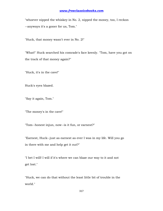"whoever nipped the whiskey in No. 2, nipped the money, too, I reckon --anyways it's a goner for us, Tom."

"Huck, that money wasn't ever in No. 2!"

"What!" Huck searched his comrade's face keenly. "Tom, have you got on the track of that money again?"

"Huck, it's in the cave!"

Huck's eyes blazed.

"Say it again, Tom."

"The money's in the cave!"

"Tom--honest injun, now--is it fun, or earnest?"

"Earnest, Huck--just as earnest as ever I was in my life. Will you go in there with me and help get it out?"

"I bet I will! I will if it's where we can blaze our way to it and not get lost."

"Huck, we can do that without the least little bit of trouble in the world."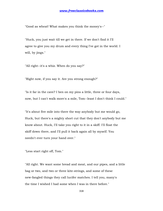"Good as wheat! What makes you think the money's--"

"Huck, you just wait till we get in there. If we don't find it I'll agree to give you my drum and every thing I've got in the world. I will, by jings."

"All right--it's a whiz. When do you say?"

"Right now, if you say it. Are you strong enough?"

"Is it far in the cave? I ben on my pins a little, three or four days, now, but I can't walk more'n a mile, Tom--least I don't think I could."

"It's about five mile into there the way anybody but me would go, Huck, but there's a mighty short cut that they don't anybody but me know about. Huck, I'll take you right to it in a skiff. I'll float the skiff down there, and I'll pull it back again all by myself. You needn't ever turn your hand over."

"Less start right off, Tom."

"All right. We want some bread and meat, and our pipes, and a little bag or two, and two or three kite-strings, and some of these new-fangled things they call lucifer matches. I tell you, many's the time I wished I had some when I was in there before."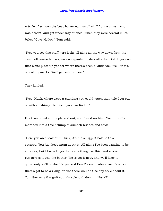A trifle after noon the boys borrowed a small skiff from a citizen who was absent, and got under way at once. When they were several miles below "Cave Hollow," Tom said:

"Now you see this bluff here looks all alike all the way down from the cave hollow--no houses, no wood-yards, bushes all alike. But do you see that white place up yonder where there's been a landslide? Well, that's one of my marks. We'll get ashore, now."

They landed.

"Now, Huck, where we're a-standing you could touch that hole I got out of with a fishing-pole. See if you can find it."

Huck searched all the place about, and found nothing. Tom proudly marched into a thick clump of sumach bushes and said:

"Here you are! Look at it, Huck; it's the snuggest hole in this country. You just keep mum about it. All along I've been wanting to be a robber, but I knew I'd got to have a thing like this, and where to run across it was the bother. We've got it now, and we'll keep it quiet, only we'll let Joe Harper and Ben Rogers in--because of course there's got to be a Gang, or else there wouldn't be any style about it. Tom Sawyer's Gang--it sounds splendid, don't it, Huck?"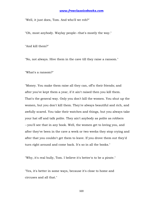"Well, it just does, Tom. And who'll we rob?"

"Oh, most anybody. Waylay people--that's mostly the way."

"And kill them?"

"No, not always. Hive them in the cave till they raise a ransom."

"What's a ransom?"

"Money. You make them raise all they can, off'n their friends; and after you've kept them a year, if it ain't raised then you kill them. That's the general way. Only you don't kill the women. You shut up the women, but you don't kill them. They're always beautiful and rich, and awfully scared. You take their watches and things, but you always take your hat off and talk polite. They ain't anybody as polite as robbers --you'll see that in any book. Well, the women get to loving you, and after they've been in the cave a week or two weeks they stop crying and after that you couldn't get them to leave. If you drove them out they'd turn right around and come back. It's so in all the books."

"Why, it's real bully, Tom. I believe it's better'n to be a pirate."

"Yes, it's better in some ways, because it's close to home and circuses and all that."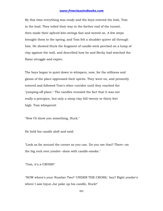By this time everything was ready and the boys entered the hole, Tom in the lead. They toiled their way to the farther end of the tunnel, then made their spliced kite-strings fast and moved on. A few steps brought them to the spring, and Tom felt a shudder quiver all through him. He showed Huck the fragment of candle-wick perched on a lump of clay against the wall, and described how he and Becky had watched the flame struggle and expire.

The boys began to quiet down to whispers, now, for the stillness and gloom of the place oppressed their spirits. They went on, and presently entered and followed Tom's other corridor until they reached the "jumping-off place." The candles revealed the fact that it was not really a precipice, but only a steep clay hill twenty or thirty feet high. Tom whispered:

"Now I'll show you something, Huck."

He held his candle aloft and said:

"Look as far around the corner as you can. Do you see that? There--on the big rock over yonder--done with candle-smoke."

"Tom, it's a CROSS!"

"NOW where's your Number Two? 'UNDER THE CROSS,' hey? Right yonder's where I saw Injun Joe poke up his candle, Huck!"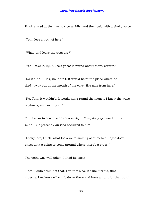Huck stared at the mystic sign awhile, and then said with a shaky voice:

"Tom, less git out of here!"

"What! and leave the treasure?"

"Yes--leave it. Injun Joe's ghost is round about there, certain."

"No it ain't, Huck, no it ain't. It would ha'nt the place where he died--away out at the mouth of the cave--five mile from here."

"No, Tom, it wouldn't. It would hang round the money. I know the ways of ghosts, and so do you."

Tom began to fear that Huck was right. Misgivings gathered in his mind. But presently an idea occurred to him--

"Lookyhere, Huck, what fools we're making of ourselves! Injun Joe's ghost ain't a going to come around where there's a cross!"

The point was well taken. It had its effect.

"Tom, I didn't think of that. But that's so. It's luck for us, that cross is. I reckon we'll climb down there and have a hunt for that box."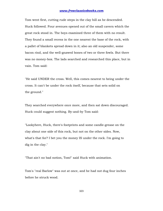Tom went first, cutting rude steps in the clay hill as he descended. Huck followed. Four avenues opened out of the small cavern which the great rock stood in. The boys examined three of them with no result. They found a small recess in the one nearest the base of the rock, with a pallet of blankets spread down in it; also an old suspender, some bacon rind, and the well-gnawed bones of two or three fowls. But there was no money-box. The lads searched and researched this place, but in vain. Tom said:

"He said UNDER the cross. Well, this comes nearest to being under the cross. It can't be under the rock itself, because that sets solid on the ground."

They searched everywhere once more, and then sat down discouraged. Huck could suggest nothing. By-and-by Tom said:

"Lookyhere, Huck, there's footprints and some candle-grease on the clay about one side of this rock, but not on the other sides. Now, what's that for? I bet you the money IS under the rock. I'm going to dig in the clay."

"That ain't no bad notion, Tom!" said Huck with animation.

Tom's "real Barlow" was out at once, and he had not dug four inches before he struck wood.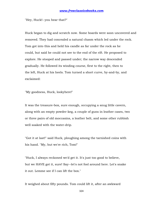"Hey, Huck!--you hear that?"

Huck began to dig and scratch now. Some boards were soon uncovered and removed. They had concealed a natural chasm which led under the rock. Tom got into this and held his candle as far under the rock as he could, but said he could not see to the end of the rift. He proposed to explore. He stooped and passed under; the narrow way descended gradually. He followed its winding course, first to the right, then to the left, Huck at his heels. Tom turned a short curve, by-and-by, and exclaimed:

"My goodness, Huck, lookyhere!"

It was the treasure-box, sure enough, occupying a snug little cavern, along with an empty powder-keg, a couple of guns in leather cases, two or three pairs of old moccasins, a leather belt, and some other rubbish well soaked with the water-drip.

"Got it at last!" said Huck, ploughing among the tarnished coins with his hand. "My, but we're rich, Tom!"

"Huck, I always reckoned we'd get it. It's just too good to believe, but we HAVE got it, sure! Say--let's not fool around here. Let's snake it out. Lemme see if I can lift the box."

It weighed about fifty pounds. Tom could lift it, after an awkward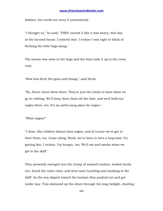fashion, but could not carry it conveniently.

"I thought so," he said; "THEY carried it like it was heavy, that day at the ha'nted house. I noticed that. I reckon I was right to think of fetching the little bags along."

The money was soon in the bags and the boys took it up to the cross rock.

"Now less fetch the guns and things," said Huck.

"No, Huck--leave them there. They're just the tricks to have when we go to robbing. We'll keep them there all the time, and we'll hold our orgies there, too. It's an awful snug place for orgies."

"What orgies?"

"I dono. But robbers always have orgies, and of course we've got to have them, too. Come along, Huck, we've been in here a long time. It's getting late, I reckon. I'm hungry, too. We'll eat and smoke when we get to the skiff."

They presently emerged into the clump of sumach bushes, looked warily out, found the coast clear, and were soon lunching and smoking in the skiff. As the sun dipped toward the horizon they pushed out and got under way. Tom skimmed up the shore through the long twilight, chatting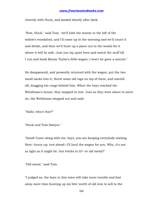cheerily with Huck, and landed shortly after dark.

"Now, Huck," said Tom, "we'll hide the money in the loft of the widow's woodshed, and I'll come up in the morning and we'll count it and divide, and then we'll hunt up a place out in the woods for it where it will be safe. Just you lay quiet here and watch the stuff till I run and hook Benny Taylor's little wagon; I won't be gone a minute."

He disappeared, and presently returned with the wagon, put the two small sacks into it, threw some old rags on top of them, and started off, dragging his cargo behind him. When the boys reached the Welshman's house, they stopped to rest. Just as they were about to move on, the Welshman stepped out and said:

"Hallo, who's that?"

"Huck and Tom Sawyer."

"Good! Come along with me, boys, you are keeping everybody waiting. Here--hurry up, trot ahead--I'll haul the wagon for you. Why, it's not as light as it might be. Got bricks in it?--or old metal?"

"Old metal," said Tom.

"I judged so; the boys in this town will take more trouble and fool away more time hunting up six bits' worth of old iron to sell to the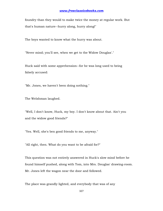foundry than they would to make twice the money at regular work. But that's human nature--hurry along, hurry along!"

The boys wanted to know what the hurry was about.

"Never mind; you'll see, when we get to the Widow Douglas'."

Huck said with some apprehension--for he was long used to being falsely accused:

"Mr. Jones, we haven't been doing nothing."

The Welshman laughed.

"Well, I don't know, Huck, my boy. I don't know about that. Ain't you and the widow good friends?"

"Yes. Well, she's ben good friends to me, anyway."

"All right, then. What do you want to be afraid for?"

This question was not entirely answered in Huck's slow mind before he found himself pushed, along with Tom, into Mrs. Douglas' drawing-room. Mr. Jones left the wagon near the door and followed.

The place was grandly lighted, and everybody that was of any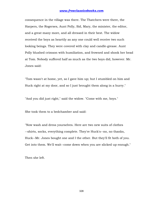consequence in the village was there. The Thatchers were there, the Harpers, the Rogerses, Aunt Polly, Sid, Mary, the minister, the editor, and a great many more, and all dressed in their best. The widow received the boys as heartily as any one could well receive two such looking beings. They were covered with clay and candle-grease. Aunt Polly blushed crimson with humiliation, and frowned and shook her head at Tom. Nobody suffered half as much as the two boys did, however. Mr. Jones said:

"Tom wasn't at home, yet, so I gave him up; but I stumbled on him and Huck right at my door, and so I just brought them along in a hurry."

"And you did just right," said the widow. "Come with me, boys."

She took them to a bedchamber and said:

"Now wash and dress yourselves. Here are two new suits of clothes --shirts, socks, everything complete. They're Huck's--no, no thanks, Huck--Mr. Jones bought one and I the other. But they'll fit both of you. Get into them. We'll wait--come down when you are slicked up enough."

Then she left.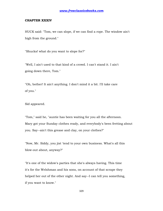#### **CHAPTER XXXIV**

HUCK said: "Tom, we can slope, if we can find a rope. The window ain't high from the ground."

"Shucks! what do you want to slope for?"

"Well, I ain't used to that kind of a crowd. I can't stand it. I ain't going down there, Tom."

"Oh, bother! It ain't anything. I don't mind it a bit. I'll take care of you."

Sid appeared.

"Tom," said he, "auntie has been waiting for you all the afternoon. Mary got your Sunday clothes ready, and everybody's been fretting about you. Say--ain't this grease and clay, on your clothes?"

"Now, Mr. Siddy, you jist 'tend to your own business. What's all this blow-out about, anyway?"

"It's one of the widow's parties that she's always having. This time it's for the Welshman and his sons, on account of that scrape they helped her out of the other night. And say--I can tell you something, if you want to know."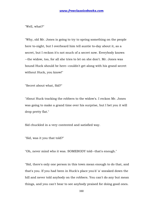"Well, what?"

"Why, old Mr. Jones is going to try to spring something on the people here to-night, but I overheard him tell auntie to-day about it, as a secret, but I reckon it's not much of a secret now. Everybody knows --the widow, too, for all she tries to let on she don't. Mr. Jones was bound Huck should be here--couldn't get along with his grand secret without Huck, you know!"

"Secret about what, Sid?"

"About Huck tracking the robbers to the widow's. I reckon Mr. Jones was going to make a grand time over his surprise, but I bet you it will drop pretty flat."

Sid chuckled in a very contented and satisfied way.

"Sid, was it you that told?"

"Oh, never mind who it was. SOMEBODY told--that's enough."

"Sid, there's only one person in this town mean enough to do that, and that's you. If you had been in Huck's place you'd 'a' sneaked down the hill and never told anybody on the robbers. You can't do any but mean things, and you can't bear to see anybody praised for doing good ones.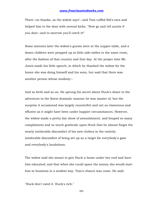There--no thanks, as the widow says"--and Tom cuffed Sid's ears and helped him to the door with several kicks. "Now go and tell auntie if you dare--and to-morrow you'll catch it!"

Some minutes later the widow's guests were at the supper-table, and a dozen children were propped up at little side-tables in the same room, after the fashion of that country and that day. At the proper time Mr. Jones made his little speech, in which he thanked the widow for the honor she was doing himself and his sons, but said that there was another person whose modesty--

And so forth and so on. He sprung his secret about Huck's share in the adventure in the finest dramatic manner he was master of, but the surprise it occasioned was largely counterfeit and not as clamorous and effusive as it might have been under happier circumstances. However, the widow made a pretty fair show of astonishment, and heaped so many compliments and so much gratitude upon Huck that he almost forgot the nearly intolerable discomfort of his new clothes in the entirely intolerable discomfort of being set up as a target for everybody's gaze and everybody's laudations.

The widow said she meant to give Huck a home under her roof and have him educated; and that when she could spare the money she would start him in business in a modest way. Tom's chance was come. He said:

"Huck don't need it. Huck's rich."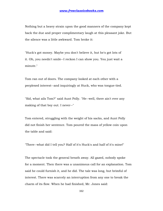Nothing but a heavy strain upon the good manners of the company kept back the due and proper complimentary laugh at this pleasant joke. But the silence was a little awkward. Tom broke it:

"Huck's got money. Maybe you don't believe it, but he's got lots of it. Oh, you needn't smile--I reckon I can show you. You just wait a minute."

Tom ran out of doors. The company looked at each other with a perplexed interest--and inquiringly at Huck, who was tongue-tied.

"Sid, what ails Tom?" said Aunt Polly. "He--well, there ain't ever any making of that boy out. I never--"

Tom entered, struggling with the weight of his sacks, and Aunt Polly did not finish her sentence. Tom poured the mass of yellow coin upon the table and said:

"There--what did I tell you? Half of it's Huck's and half of it's mine!"

The spectacle took the general breath away. All gazed, nobody spoke for a moment. Then there was a unanimous call for an explanation. Tom said he could furnish it, and he did. The tale was long, but brimful of interest. There was scarcely an interruption from any one to break the charm of its flow. When he had finished, Mr. Jones said: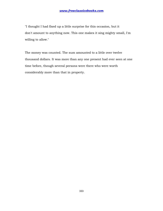"I thought I had fixed up a little surprise for this occasion, but it don't amount to anything now. This one makes it sing mighty small, I'm willing to allow."

The money was counted. The sum amounted to a little over twelve thousand dollars. It was more than any one present had ever seen at one time before, though several persons were there who were worth considerably more than that in property.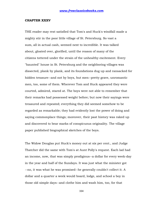#### **CHAPTER XXXV**

THE reader may rest satisfied that Tom's and Huck's windfall made a mighty stir in the poor little village of St. Petersburg. So vast a sum, all in actual cash, seemed next to incredible. It was talked about, gloated over, glorified, until the reason of many of the citizens tottered under the strain of the unhealthy excitement. Every "haunted" house in St. Petersburg and the neighboring villages was dissected, plank by plank, and its foundations dug up and ransacked for hidden treasure--and not by boys, but men--pretty grave, unromantic men, too, some of them. Wherever Tom and Huck appeared they were courted, admired, stared at. The boys were not able to remember that their remarks had possessed weight before; but now their sayings were treasured and repeated; everything they did seemed somehow to be regarded as remarkable; they had evidently lost the power of doing and saying commonplace things; moreover, their past history was raked up and discovered to bear marks of conspicuous originality. The village paper published biographical sketches of the boys.

The Widow Douglas put Huck's money out at six per cent., and Judge Thatcher did the same with Tom's at Aunt Polly's request. Each lad had an income, now, that was simply prodigious--a dollar for every week-day in the year and half of the Sundays. It was just what the minister got --no, it was what he was promised--he generally couldn't collect it. A dollar and a quarter a week would board, lodge, and school a boy in those old simple days--and clothe him and wash him, too, for that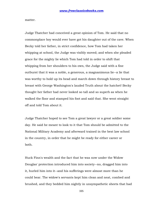matter.

Judge Thatcher had conceived a great opinion of Tom. He said that no commonplace boy would ever have got his daughter out of the cave. When Becky told her father, in strict confidence, how Tom had taken her whipping at school, the Judge was visibly moved; and when she pleaded grace for the mighty lie which Tom had told in order to shift that whipping from her shoulders to his own, the Judge said with a fine outburst that it was a noble, a generous, a magnanimous lie--a lie that was worthy to hold up its head and march down through history breast to breast with George Washington's lauded Truth about the hatchet! Becky thought her father had never looked so tall and so superb as when he walked the floor and stamped his foot and said that. She went straight off and told Tom about it.

Judge Thatcher hoped to see Tom a great lawyer or a great soldier some day. He said he meant to look to it that Tom should be admitted to the National Military Academy and afterward trained in the best law school in the country, in order that he might be ready for either career or both.

Huck Finn's wealth and the fact that he was now under the Widow Douglas' protection introduced him into society--no, dragged him into it, hurled him into it--and his sufferings were almost more than he could bear. The widow's servants kept him clean and neat, combed and brushed, and they bedded him nightly in unsympathetic sheets that had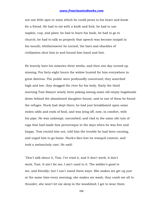not one little spot or stain which he could press to his heart and know for a friend. He had to eat with a knife and fork; he had to use napkin, cup, and plate; he had to learn his book, he had to go to church; he had to talk so properly that speech was become insipid in his mouth; whithersoever he turned, the bars and shackles of civilization shut him in and bound him hand and foot.

He bravely bore his miseries three weeks, and then one day turned up missing. For forty-eight hours the widow hunted for him everywhere in great distress. The public were profoundly concerned; they searched high and low, they dragged the river for his body. Early the third morning Tom Sawyer wisely went poking among some old empty hogsheads down behind the abandoned slaughter-house, and in one of them he found the refugee. Huck had slept there; he had just breakfasted upon some stolen odds and ends of food, and was lying off, now, in comfort, with his pipe. He was unkempt, uncombed, and clad in the same old ruin of rags that had made him picturesque in the days when he was free and happy. Tom routed him out, told him the trouble he had been causing, and urged him to go home. Huck's face lost its tranquil content, and took a melancholy cast. He said:

"Don't talk about it, Tom. I've tried it, and it don't work; it don't work, Tom. It ain't for me; I ain't used to it. The widder's good to me, and friendly; but I can't stand them ways. She makes me get up just at the same time every morning; she makes me wash, they comb me all to thunder; she won't let me sleep in the woodshed; I got to wear them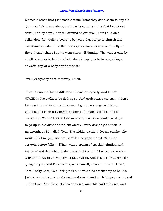blamed clothes that just smothers me, Tom; they don't seem to any air git through 'em, somehow; and they're so rotten nice that I can't set down, nor lay down, nor roll around anywher's; I hain't slid on a cellar-door for--well, it 'pears to be years; I got to go to church and sweat and sweat--I hate them ornery sermons! I can't ketch a fly in there, I can't chaw. I got to wear shoes all Sunday. The widder eats by a bell; she goes to bed by a bell; she gits up by a bell--everything's so awful reg'lar a body can't stand it."

"Well, everybody does that way, Huck."

"Tom, it don't make no difference. I ain't everybody, and I can't STAND it. It's awful to be tied up so. And grub comes too easy--I don't take no interest in vittles, that way. I got to ask to go a-fishing; I got to ask to go in a-swimming--dern'd if I hain't got to ask to do everything. Well, I'd got to talk so nice it wasn't no comfort--I'd got to go up in the attic and rip out awhile, every day, to git a taste in my mouth, or I'd a died, Tom. The widder wouldn't let me smoke; she wouldn't let me yell, she wouldn't let me gape, nor stretch, nor scratch, before folks--" [Then with a spasm of special irritation and injury]--"And dad fetch it, she prayed all the time! I never see such a woman! I HAD to shove, Tom--I just had to. And besides, that school's going to open, and I'd a had to go to it--well, I wouldn't stand THAT, Tom. Looky here, Tom, being rich ain't what it's cracked up to be. It's just worry and worry, and sweat and sweat, and a-wishing you was dead all the time. Now these clothes suits me, and this bar'l suits me, and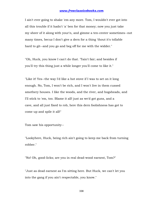I ain't ever going to shake 'em any more. Tom, I wouldn't ever got into all this trouble if it hadn't 'a' ben for that money; now you just take my sheer of it along with your'n, and gimme a ten-center sometimes--not many times, becuz I don't give a dern for a thing 'thout it's tollable hard to git--and you go and beg off for me with the widder."

"Oh, Huck, you know I can't do that. 'Tain't fair; and besides if you'll try this thing just a while longer you'll come to like it."

"Like it! Yes--the way I'd like a hot stove if I was to set on it long enough. No, Tom, I won't be rich, and I won't live in them cussed smothery houses. I like the woods, and the river, and hogsheads, and I'll stick to 'em, too. Blame it all! just as we'd got guns, and a cave, and all just fixed to rob, here this dern foolishness has got to come up and spile it all!"

Tom saw his opportunity--

"Lookyhere, Huck, being rich ain't going to keep me back from turning robber."

"No! Oh, good-licks; are you in real dead-wood earnest, Tom?"

"Just as dead earnest as I'm sitting here. But Huck, we can't let you into the gang if you ain't respectable, you know."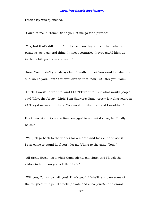Huck's joy was quenched.

"Can't let me in, Tom? Didn't you let me go for a pirate?"

"Yes, but that's different. A robber is more high-toned than what a pirate is--as a general thing. In most countries they're awful high up in the nobility--dukes and such."

"Now, Tom, hain't you always ben friendly to me? You wouldn't shet me out, would you, Tom? You wouldn't do that, now, WOULD you, Tom?"

"Huck, I wouldn't want to, and I DON'T want to--but what would people say? Why, they'd say, 'Mph! Tom Sawyer's Gang! pretty low characters in it!' They'd mean you, Huck. You wouldn't like that, and I wouldn't."

Huck was silent for some time, engaged in a mental struggle. Finally he said:

"Well, I'll go back to the widder for a month and tackle it and see if I can come to stand it, if you'll let me b'long to the gang, Tom."

"All right, Huck, it's a whiz! Come along, old chap, and I'll ask the widow to let up on you a little, Huck."

"Will you, Tom--now will you? That's good. If she'll let up on some of the roughest things, I'll smoke private and cuss private, and crowd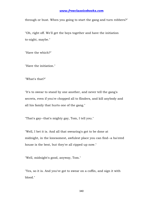through or bust. When you going to start the gang and turn robbers?"

"Oh, right off. We'll get the boys together and have the initiation to-night, maybe."

"Have the which?"

"Have the initiation."

"What's that?"

"It's to swear to stand by one another, and never tell the gang's secrets, even if you're chopped all to flinders, and kill anybody and all his family that hurts one of the gang."

"That's gay--that's mighty gay, Tom, I tell you."

"Well, I bet it is. And all that swearing's got to be done at midnight, in the lonesomest, awfulest place you can find--a ha'nted house is the best, but they're all ripped up now."

"Well, midnight's good, anyway, Tom."

"Yes, so it is. And you've got to swear on a coffin, and sign it with blood."